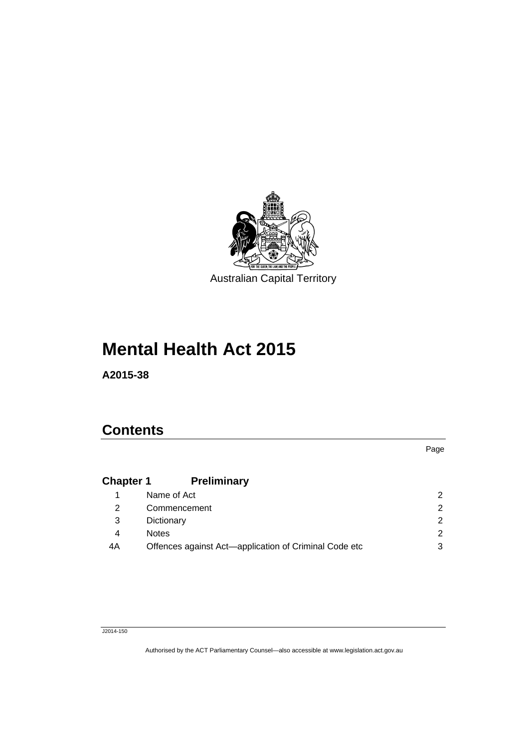

# **Mental Health Act 2015**

**A2015-38** 

### **Contents**

Page

## **Chapter 1 [Preliminary](#page-11-0)**

|    | Name of Act                                           |   |
|----|-------------------------------------------------------|---|
|    | Commencement                                          |   |
| 3  | Dictionary                                            |   |
|    | <b>Notes</b>                                          |   |
| 4A | Offences against Act-application of Criminal Code etc | 3 |
|    |                                                       |   |

#### J2014-150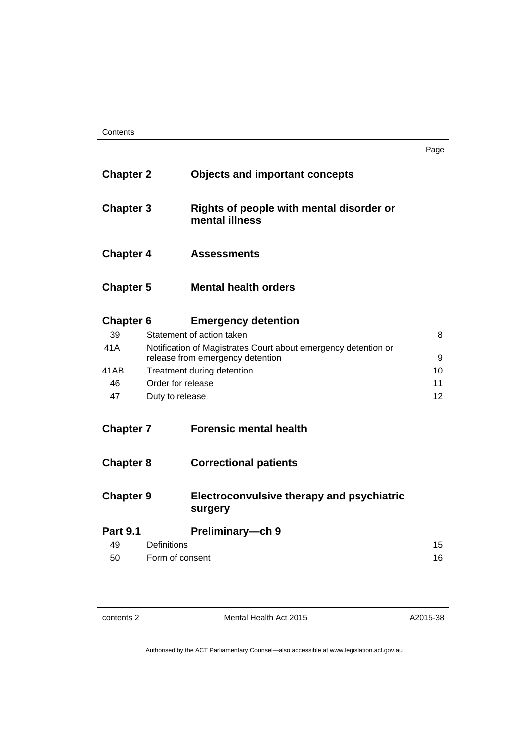| Contents |
|----------|
|----------|

| ×<br>٠<br>۹ | I |
|-------------|---|

| <b>Chapter 2</b> |                    | <b>Objects and important concepts</b>                                                              |    |
|------------------|--------------------|----------------------------------------------------------------------------------------------------|----|
| <b>Chapter 3</b> |                    | Rights of people with mental disorder or<br>mental illness                                         |    |
| <b>Chapter 4</b> |                    | <b>Assessments</b>                                                                                 |    |
| <b>Chapter 5</b> |                    | <b>Mental health orders</b>                                                                        |    |
| <b>Chapter 6</b> |                    | <b>Emergency detention</b>                                                                         |    |
| 39               |                    | Statement of action taken                                                                          | 8  |
| 41A              |                    | Notification of Magistrates Court about emergency detention or<br>release from emergency detention | 9  |
| 41 AB            |                    | Treatment during detention                                                                         | 10 |
| 46               | Order for release  |                                                                                                    | 11 |
| 47               | Duty to release    |                                                                                                    | 12 |
| <b>Chapter 7</b> |                    | <b>Forensic mental health</b>                                                                      |    |
| <b>Chapter 8</b> |                    | <b>Correctional patients</b>                                                                       |    |
| <b>Chapter 9</b> |                    | Electroconvulsive therapy and psychiatric<br>surgery                                               |    |
| <b>Part 9.1</b>  |                    | Preliminary-ch 9                                                                                   |    |
| 49               | <b>Definitions</b> |                                                                                                    | 15 |
| 50               | Form of consent    |                                                                                                    | 16 |

| contents 2 |  |
|------------|--|
|------------|--|

Mental Health Act 2015

A2015-38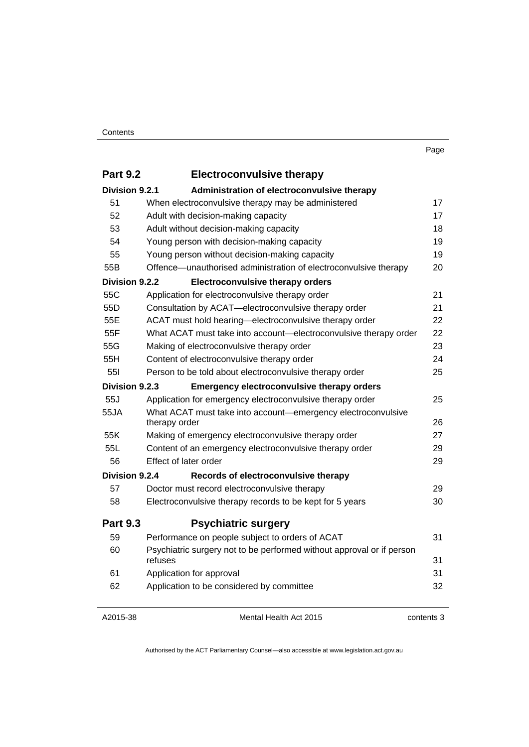| <b>Part 9.2</b>       | <b>Electroconvulsive therapy</b>                                                 |    |
|-----------------------|----------------------------------------------------------------------------------|----|
| Division 9.2.1        | Administration of electroconvulsive therapy                                      |    |
| 51                    | When electroconvulsive therapy may be administered                               | 17 |
| 52                    | Adult with decision-making capacity                                              | 17 |
| 53                    | Adult without decision-making capacity                                           | 18 |
| 54                    | Young person with decision-making capacity                                       | 19 |
| 55                    | Young person without decision-making capacity                                    | 19 |
| 55B                   | Offence-unauthorised administration of electroconvulsive therapy                 | 20 |
| <b>Division 9.2.2</b> | <b>Electroconvulsive therapy orders</b>                                          |    |
| 55C                   | Application for electroconvulsive therapy order                                  | 21 |
| 55D                   | Consultation by ACAT-electroconvulsive therapy order                             | 21 |
| 55E                   | ACAT must hold hearing-electroconvulsive therapy order                           | 22 |
| 55F                   | What ACAT must take into account-electroconvulsive therapy order                 | 22 |
| 55G                   | Making of electroconvulsive therapy order                                        | 23 |
| 55H                   | Content of electroconvulsive therapy order                                       | 24 |
| 551                   | Person to be told about electroconvulsive therapy order                          | 25 |
| Division 9.2.3        | <b>Emergency electroconvulsive therapy orders</b>                                |    |
| 55J                   | Application for emergency electroconvulsive therapy order                        | 25 |
| 55JA                  | What ACAT must take into account-emergency electroconvulsive<br>therapy order    | 26 |
| 55K                   | Making of emergency electroconvulsive therapy order                              | 27 |
| 55L                   | Content of an emergency electroconvulsive therapy order                          | 29 |
| 56                    | Effect of later order                                                            | 29 |
| Division 9.2.4        | Records of electroconvulsive therapy                                             |    |
| 57                    | Doctor must record electroconvulsive therapy                                     | 29 |
| 58                    | Electroconvulsive therapy records to be kept for 5 years                         | 30 |
| <b>Part 9.3</b>       | <b>Psychiatric surgery</b>                                                       |    |
| 59                    | Performance on people subject to orders of ACAT                                  | 31 |
| 60                    | Psychiatric surgery not to be performed without approval or if person<br>refuses | 31 |
| 61                    | Application for approval                                                         | 31 |
| 62                    | Application to be considered by committee                                        | 32 |
|                       |                                                                                  |    |

#### A2015-38

Mental Health Act 2015

contents 3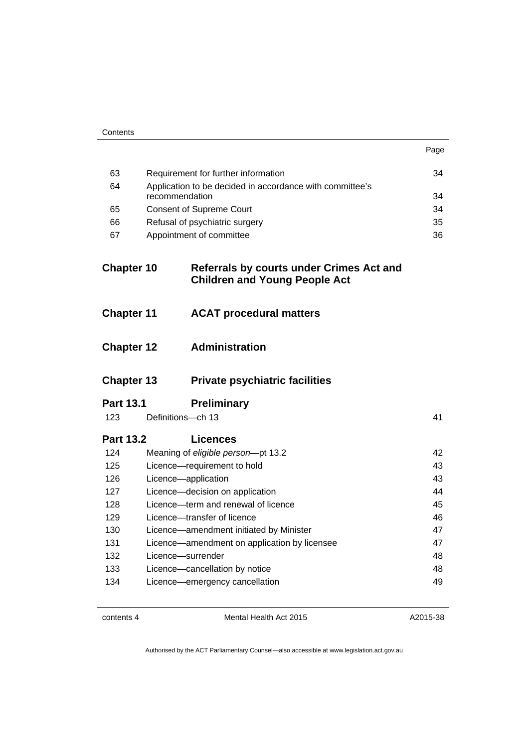| ×<br>I |
|--------|
|--------|

| 63                |                     | Requirement for further information                                              | 34 |
|-------------------|---------------------|----------------------------------------------------------------------------------|----|
| 64                | recommendation      | Application to be decided in accordance with committee's                         | 34 |
| 65                |                     | <b>Consent of Supreme Court</b>                                                  | 34 |
| 66                |                     | Refusal of psychiatric surgery                                                   | 35 |
| 67                |                     |                                                                                  | 36 |
|                   |                     | Appointment of committee                                                         |    |
| <b>Chapter 10</b> |                     | Referrals by courts under Crimes Act and<br><b>Children and Young People Act</b> |    |
| <b>Chapter 11</b> |                     | <b>ACAT procedural matters</b>                                                   |    |
| <b>Chapter 12</b> |                     | <b>Administration</b>                                                            |    |
| <b>Chapter 13</b> |                     | <b>Private psychiatric facilities</b>                                            |    |
|                   |                     |                                                                                  |    |
| <b>Part 13.1</b>  |                     | <b>Preliminary</b>                                                               |    |
| 123               | Definitions-ch 13   |                                                                                  | 41 |
| <b>Part 13.2</b>  |                     | <b>Licences</b>                                                                  |    |
| 124               |                     | Meaning of eligible person-pt 13.2                                               | 42 |
| 125               |                     | Licence-requirement to hold                                                      | 43 |
| 126               | Licence-application |                                                                                  | 43 |
| 127               |                     | Licence-decision on application                                                  | 44 |
| 128               |                     | Licence—term and renewal of licence                                              | 45 |
| 129               |                     | Licence-transfer of licence                                                      | 46 |
| 130               |                     | Licence-amendment initiated by Minister                                          | 47 |
| 131               |                     | Licence-amendment on application by licensee                                     | 47 |
| 132               | Licence—surrender   |                                                                                  | 48 |
| 133               |                     | Licence-cancellation by notice                                                   | 48 |
| 134               |                     | Licence-emergency cancellation                                                   | 49 |

contents 4 Mental Health Act 2015

A2015-38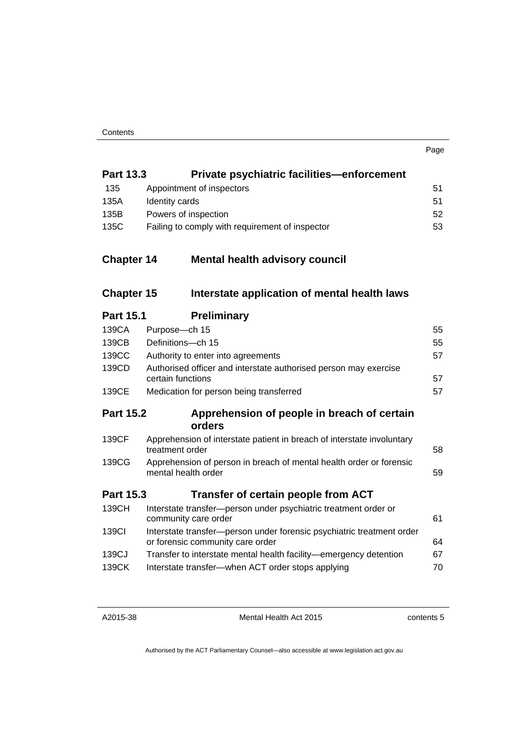| Private psychiatric facilities—enforcement<br><b>Part 13.3</b> |  |
|----------------------------------------------------------------|--|
|----------------------------------------------------------------|--|

| 135  | Appointment of inspectors                       | 51 |
|------|-------------------------------------------------|----|
| 135A | Identity cards                                  | 51 |
| 135B | Powers of inspection                            | 52 |
| 135C | Failing to comply with requirement of inspector | 53 |

### **Chapter 14 [Mental health advisory council](#page-63-0)**

### **Chapter 15 [Interstate application of mental health laws](#page-64-0)**

### **Part 15.1 [Preliminary](#page-64-1)**

| 139CA            | Purpose-ch 15                                                                                             | 55 |
|------------------|-----------------------------------------------------------------------------------------------------------|----|
| 139CB            | Definitions-ch 15                                                                                         | 55 |
| 139CC            | Authority to enter into agreements                                                                        | 57 |
| 139CD            | Authorised officer and interstate authorised person may exercise<br>certain functions                     | 57 |
| 139CE            | Medication for person being transferred                                                                   | 57 |
| <b>Part 15.2</b> | Apprehension of people in breach of certain<br>orders                                                     |    |
| 139CF            | Apprehension of interstate patient in breach of interstate involuntary<br>treatment order                 | 58 |
| 139CG            | Apprehension of person in breach of mental health order or forensic<br>mental health order                | 59 |
| <b>Part 15.3</b> | Transfer of certain people from ACT                                                                       |    |
| 139CH            | Interstate transfer-person under psychiatric treatment order or<br>community care order                   | 61 |
| 139CI            | Interstate transfer-person under forensic psychiatric treatment order<br>or forensic community care order | 64 |
| 139CJ            | Transfer to interstate mental health facility—emergency detention                                         | 67 |
| 139CK            | Interstate transfer-when ACT order stops applying                                                         | 70 |
|                  |                                                                                                           |    |

Mental Health Act 2015

contents 5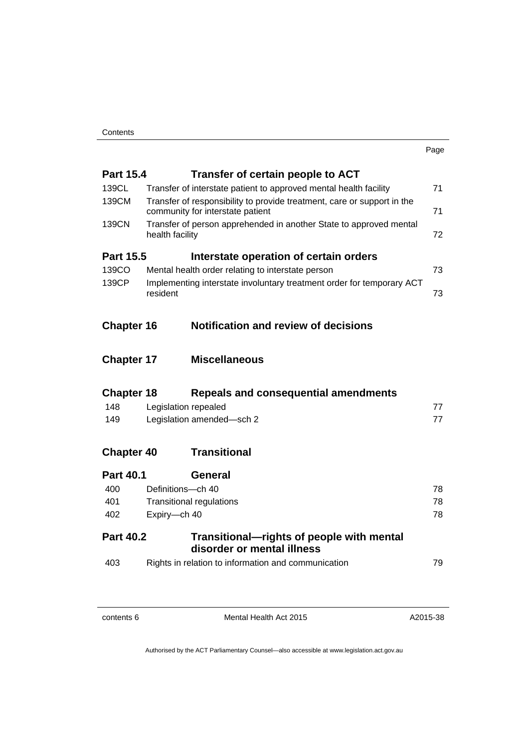| ×<br>× |  |
|--------|--|

| <b>Part 15.4</b>  |                                                                                         | Transfer of certain people to ACT                                  |    |  |  |
|-------------------|-----------------------------------------------------------------------------------------|--------------------------------------------------------------------|----|--|--|
| 139CL             | 71<br>Transfer of interstate patient to approved mental health facility                 |                                                                    |    |  |  |
| 139CM             | Transfer of responsibility to provide treatment, care or support in the                 |                                                                    |    |  |  |
|                   | community for interstate patient<br>71                                                  |                                                                    |    |  |  |
| 139CN             |                                                                                         | Transfer of person apprehended in another State to approved mental |    |  |  |
|                   | health facility                                                                         |                                                                    | 72 |  |  |
| <b>Part 15.5</b>  |                                                                                         | Interstate operation of certain orders                             |    |  |  |
| 139CO             |                                                                                         | Mental health order relating to interstate person                  | 73 |  |  |
| 139CP             | Implementing interstate involuntary treatment order for temporary ACT<br>resident<br>73 |                                                                    |    |  |  |
|                   |                                                                                         |                                                                    |    |  |  |
|                   |                                                                                         |                                                                    |    |  |  |
|                   |                                                                                         |                                                                    |    |  |  |
| <b>Chapter 16</b> |                                                                                         | <b>Notification and review of decisions</b>                        |    |  |  |
|                   |                                                                                         |                                                                    |    |  |  |
| <b>Chapter 17</b> |                                                                                         | <b>Miscellaneous</b>                                               |    |  |  |
| <b>Chapter 18</b> |                                                                                         | <b>Repeals and consequential amendments</b>                        |    |  |  |
| 148               |                                                                                         |                                                                    |    |  |  |
|                   | Legislation repealed                                                                    |                                                                    | 77 |  |  |
| 149               |                                                                                         | Legislation amended-sch 2                                          | 77 |  |  |
| <b>Chapter 40</b> |                                                                                         | <b>Transitional</b>                                                |    |  |  |
|                   |                                                                                         |                                                                    |    |  |  |
| <b>Part 40.1</b>  |                                                                                         | General                                                            |    |  |  |
| 400               | Definitions-ch 40                                                                       |                                                                    | 78 |  |  |
| 401               |                                                                                         | <b>Transitional regulations</b>                                    | 78 |  |  |
| 402               | Expiry-ch 40                                                                            |                                                                    | 78 |  |  |
| <b>Part 40.2</b>  |                                                                                         | Transitional—rights of people with mental                          |    |  |  |
|                   |                                                                                         | disorder or mental illness                                         |    |  |  |
| 403               |                                                                                         | Rights in relation to information and communication                | 79 |  |  |
|                   |                                                                                         |                                                                    |    |  |  |

contents 6 Mental Health Act 2015

A2015-38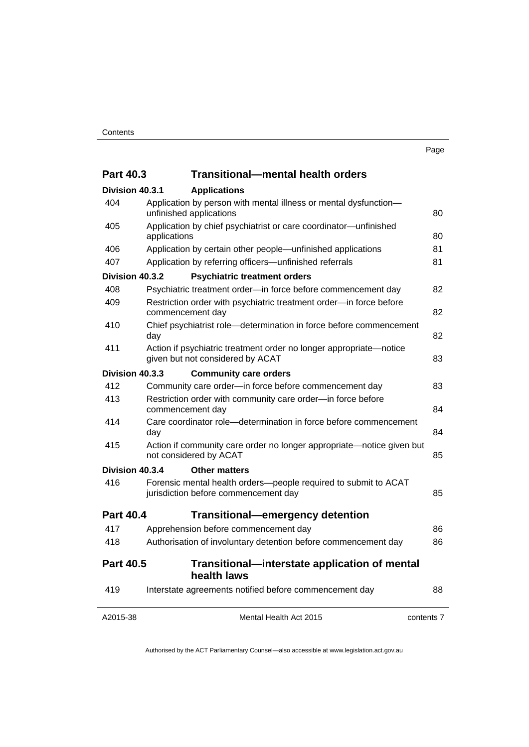| <b>Part 40.3</b> |                                                                                                 | <b>Transitional-mental health orders</b>                                                                |            |  |
|------------------|-------------------------------------------------------------------------------------------------|---------------------------------------------------------------------------------------------------------|------------|--|
| Division 40.3.1  |                                                                                                 | <b>Applications</b>                                                                                     |            |  |
| 404              |                                                                                                 | Application by person with mental illness or mental dysfunction-<br>unfinished applications             | 80         |  |
| 405              | Application by chief psychiatrist or care coordinator-unfinished<br>applications                |                                                                                                         |            |  |
| 406              |                                                                                                 | Application by certain other people—unfinished applications                                             | 81         |  |
| 407              |                                                                                                 | Application by referring officers-unfinished referrals                                                  | 81         |  |
| Division 40.3.2  |                                                                                                 | <b>Psychiatric treatment orders</b>                                                                     |            |  |
| 408              |                                                                                                 | Psychiatric treatment order-in force before commencement day                                            | 82         |  |
| 409              | Restriction order with psychiatric treatment order-in force before<br>commencement day          |                                                                                                         |            |  |
| 410              | Chief psychiatrist role-determination in force before commencement<br>day                       |                                                                                                         | 82         |  |
| 411              |                                                                                                 | Action if psychiatric treatment order no longer appropriate-notice<br>given but not considered by ACAT  | 83         |  |
| Division 40.3.3  |                                                                                                 | <b>Community care orders</b>                                                                            |            |  |
| 412              |                                                                                                 | Community care order-in force before commencement day                                                   | 83         |  |
| 413              | Restriction order with community care order-in force before<br>commencement day                 |                                                                                                         | 84         |  |
| 414              | Care coordinator role-determination in force before commencement<br>day                         |                                                                                                         | 84         |  |
| 415              | Action if community care order no longer appropriate—notice given but<br>not considered by ACAT |                                                                                                         | 85         |  |
| Division 40.3.4  |                                                                                                 | <b>Other matters</b>                                                                                    |            |  |
| 416              |                                                                                                 | Forensic mental health orders-people required to submit to ACAT<br>jurisdiction before commencement day | 85         |  |
| <b>Part 40.4</b> |                                                                                                 | <b>Transitional-emergency detention</b>                                                                 |            |  |
| 417              |                                                                                                 | Apprehension before commencement day                                                                    | 86         |  |
| 418              |                                                                                                 | Authorisation of involuntary detention before commencement day                                          | 86         |  |
| <b>Part 40.5</b> |                                                                                                 | Transitional—interstate application of mental<br>health laws                                            |            |  |
| 419              |                                                                                                 | Interstate agreements notified before commencement day                                                  | 88         |  |
| A2015-38         |                                                                                                 | Mental Health Act 2015                                                                                  | contents 7 |  |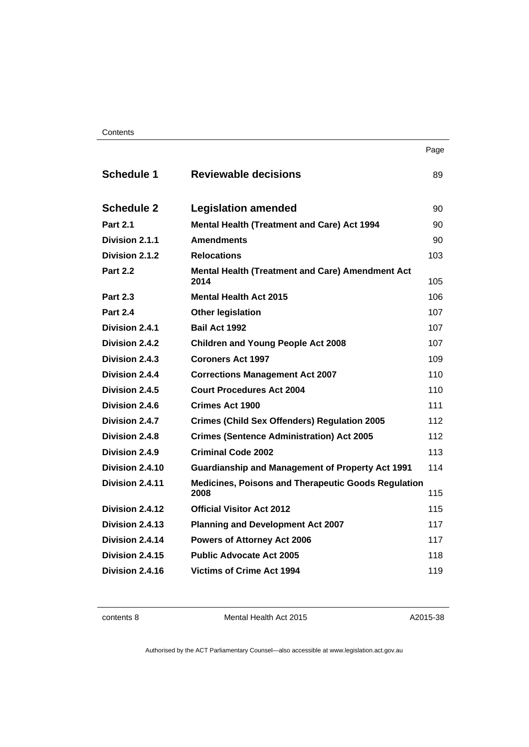#### **Contents**

| . .<br>× | ۰.<br>× |
|----------|---------|

| <b>Schedule 1</b> | <b>Reviewable decisions</b>                                     | 89  |
|-------------------|-----------------------------------------------------------------|-----|
| <b>Schedule 2</b> | <b>Legislation amended</b>                                      | 90  |
| <b>Part 2.1</b>   | <b>Mental Health (Treatment and Care) Act 1994</b>              | 90  |
| Division 2.1.1    | <b>Amendments</b>                                               | 90  |
| Division 2.1.2    | <b>Relocations</b>                                              | 103 |
| <b>Part 2.2</b>   | <b>Mental Health (Treatment and Care) Amendment Act</b><br>2014 | 105 |
| <b>Part 2.3</b>   | <b>Mental Health Act 2015</b>                                   | 106 |
| <b>Part 2.4</b>   | <b>Other legislation</b>                                        | 107 |
| Division 2.4.1    | Bail Act 1992                                                   | 107 |
| Division 2.4.2    | <b>Children and Young People Act 2008</b>                       | 107 |
| Division 2.4.3    | <b>Coroners Act 1997</b>                                        | 109 |
| Division 2.4.4    | <b>Corrections Management Act 2007</b>                          | 110 |
| Division 2.4.5    | <b>Court Procedures Act 2004</b>                                | 110 |
| Division 2.4.6    | <b>Crimes Act 1900</b>                                          | 111 |
| Division 2.4.7    | <b>Crimes (Child Sex Offenders) Regulation 2005</b>             | 112 |
| Division 2.4.8    | <b>Crimes (Sentence Administration) Act 2005</b>                | 112 |
| Division 2.4.9    | <b>Criminal Code 2002</b>                                       | 113 |
| Division 2.4.10   | <b>Guardianship and Management of Property Act 1991</b>         | 114 |
| Division 2.4.11   | Medicines, Poisons and Therapeutic Goods Regulation<br>2008     | 115 |
| Division 2.4.12   | <b>Official Visitor Act 2012</b>                                | 115 |
| Division 2.4.13   | <b>Planning and Development Act 2007</b>                        | 117 |
| Division 2.4.14   | <b>Powers of Attorney Act 2006</b>                              | 117 |
| Division 2.4.15   | <b>Public Advocate Act 2005</b>                                 | 118 |
| Division 2.4.16   | <b>Victims of Crime Act 1994</b>                                | 119 |
|                   |                                                                 |     |

contents 8 Mental Health Act 2015

A2015-38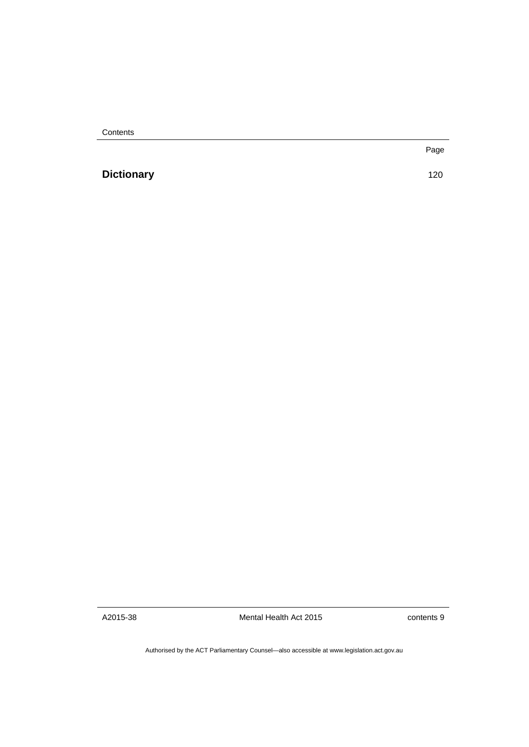**Contents** 

**[Dictionary](#page-129-0)** [120](#page-129-0)

Page

A2015-38

Mental Health Act 2015

contents 9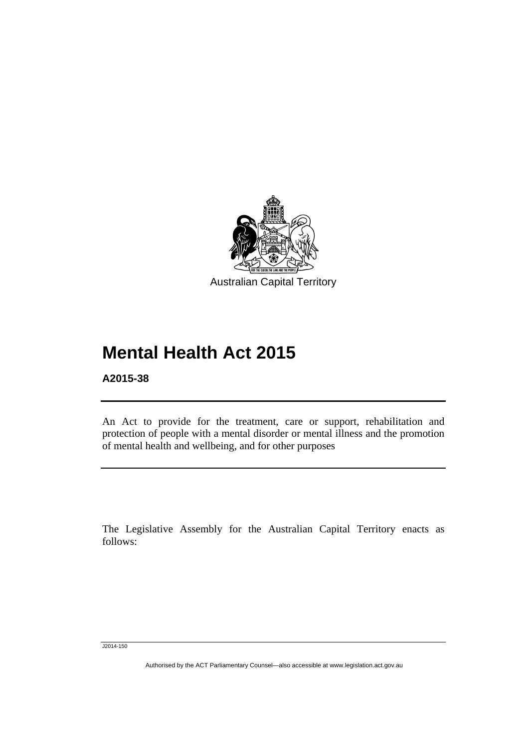

# **Mental Health Act 2015**

**A2015-38** 

Ī

An Act to provide for the treatment, care or support, rehabilitation and protection of people with a mental disorder or mental illness and the promotion of mental health and wellbeing, and for other purposes

The Legislative Assembly for the Australian Capital Territory enacts as follows:

J2014-150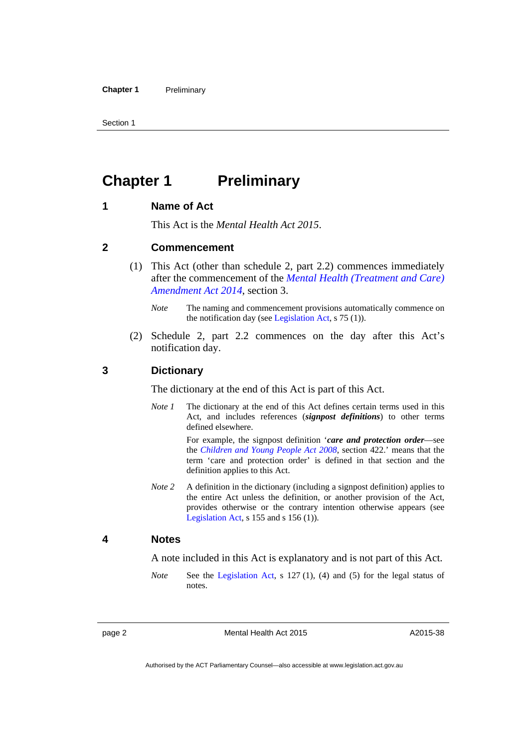Section 1

### <span id="page-11-0"></span>**Chapter 1 Preliminary**

#### <span id="page-11-1"></span>**1 Name of Act**

This Act is the *Mental Health Act 2015*.

#### <span id="page-11-2"></span>**2 Commencement**

- (1) This Act (other than schedule 2, part 2.2) commences immediately after the commencement of the *[Mental Health \(Treatment and Care\)](http://www.legislation.act.gov.au/a/2014-51/default.asp)  [Amendment Act 2014](http://www.legislation.act.gov.au/a/2014-51/default.asp)*, section 3.
	- *Note* The naming and commencement provisions automatically commence on the notification day (see [Legislation Act,](http://www.legislation.act.gov.au/a/2001-14) s 75 (1)).
- (2) Schedule 2, part 2.2 commences on the day after this Act's notification day.

#### <span id="page-11-3"></span>**3 Dictionary**

The dictionary at the end of this Act is part of this Act.

*Note 1* The dictionary at the end of this Act defines certain terms used in this Act, and includes references (*signpost definitions*) to other terms defined elsewhere.

> For example, the signpost definition '*care and protection order*—see the *[Children and Young People Act 2008](http://www.legislation.act.gov.au/a/2008-19)*, section 422.' means that the term 'care and protection order' is defined in that section and the definition applies to this Act.

*Note 2* A definition in the dictionary (including a signpost definition) applies to the entire Act unless the definition, or another provision of the Act, provides otherwise or the contrary intention otherwise appears (see [Legislation Act,](http://www.legislation.act.gov.au/a/2001-14)  $s$  155 and  $s$  156 (1)).

#### <span id="page-11-4"></span>**4 Notes**

A note included in this Act is explanatory and is not part of this Act.

*Note* See the [Legislation Act,](http://www.legislation.act.gov.au/a/2001-14) s 127 (1), (4) and (5) for the legal status of notes.

A2015-38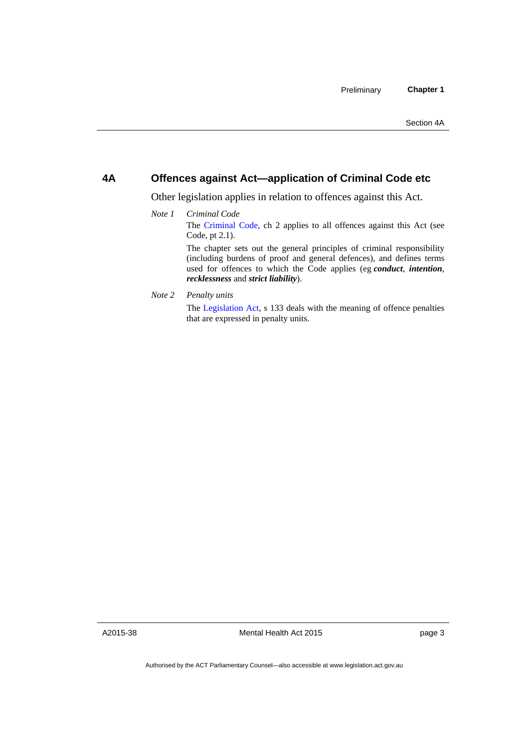#### <span id="page-12-0"></span>**4A Offences against Act—application of Criminal Code etc**

Other legislation applies in relation to offences against this Act.

*Note 1 Criminal Code* The [Criminal Code](http://www.legislation.act.gov.au/a/2002-51), ch 2 applies to all offences against this Act (see Code, pt 2.1). The chapter sets out the general principles of criminal responsibility

(including burdens of proof and general defences), and defines terms used for offences to which the Code applies (eg *conduct*, *intention*, *recklessness* and *strict liability*).

*Note 2 Penalty units* 

The [Legislation Act,](http://www.legislation.act.gov.au/a/2001-14) s 133 deals with the meaning of offence penalties that are expressed in penalty units.

A2015-38

Mental Health Act 2015

page 3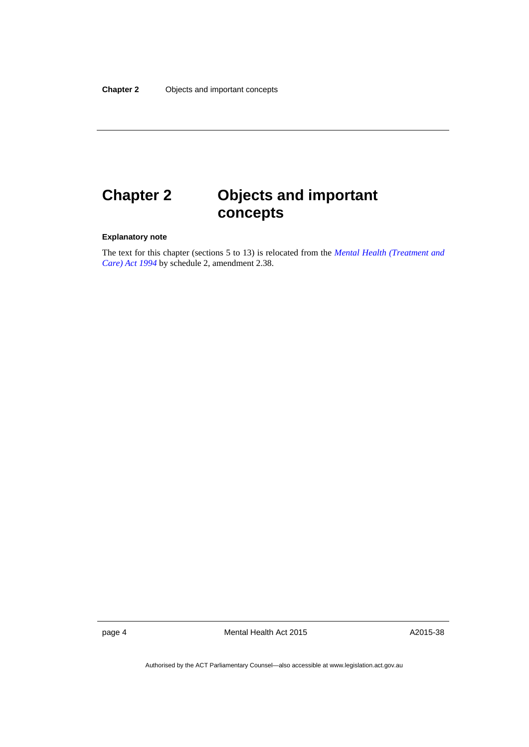# <span id="page-13-0"></span>**Chapter 2 Objects and important concepts**

#### **Explanatory note**

The text for this chapter (sections 5 to 13) is relocated from the *[Mental Health \(Treatment and](http://www.legislation.act.gov.au/a/1994-44)  [Care\) Act 1994](http://www.legislation.act.gov.au/a/1994-44)* by schedule 2, amendment 2.38.

page 4 Mental Health Act 2015

A2015-38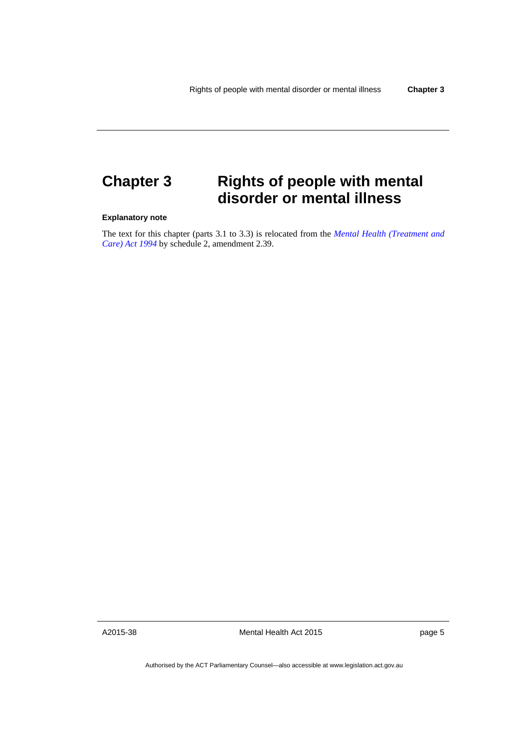## <span id="page-14-0"></span>**Chapter 3 Rights of people with mental disorder or mental illness**

#### **Explanatory note**

The text for this chapter (parts 3.1 to 3.3) is relocated from the *[Mental Health \(Treatment and](http://www.legislation.act.gov.au/a/1994-44)  [Care\) Act 1994](http://www.legislation.act.gov.au/a/1994-44)* by schedule 2, amendment 2.39.

A2015-38

Mental Health Act 2015

page 5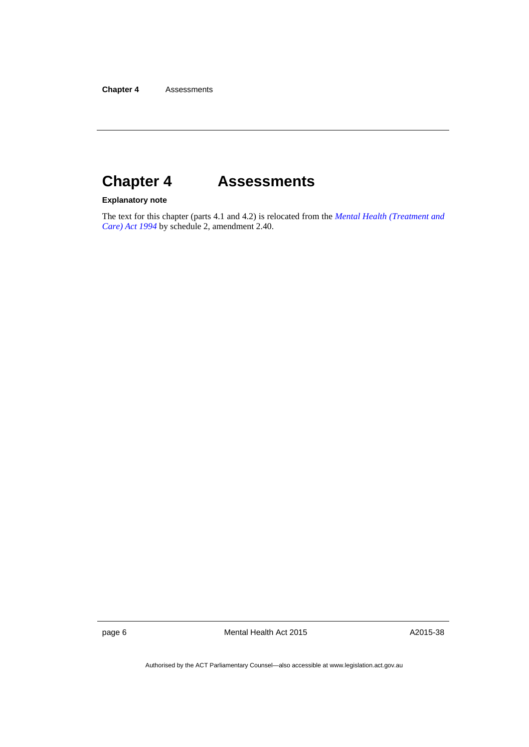# <span id="page-15-0"></span>**Chapter 4 Assessments**

#### **Explanatory note**

The text for this chapter (parts 4.1 and 4.2) is relocated from the *[Mental Health \(Treatment and](http://www.legislation.act.gov.au/a/1994-44)  [Care\) Act 1994](http://www.legislation.act.gov.au/a/1994-44)* by schedule 2, amendment 2.40.

page 6 Mental Health Act 2015

A2015-38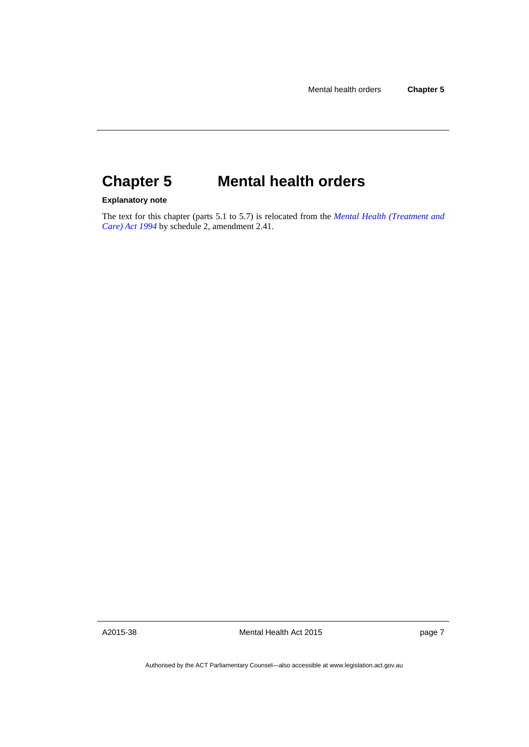# <span id="page-16-0"></span>**Chapter 5 Mental health orders**

#### **Explanatory note**

The text for this chapter (parts 5.1 to 5.7) is relocated from the *[Mental Health \(Treatment and](http://www.legislation.act.gov.au/a/1994-44)  [Care\) Act 1994](http://www.legislation.act.gov.au/a/1994-44)* by schedule 2, amendment 2.41.

A2015-38

Mental Health Act 2015

page 7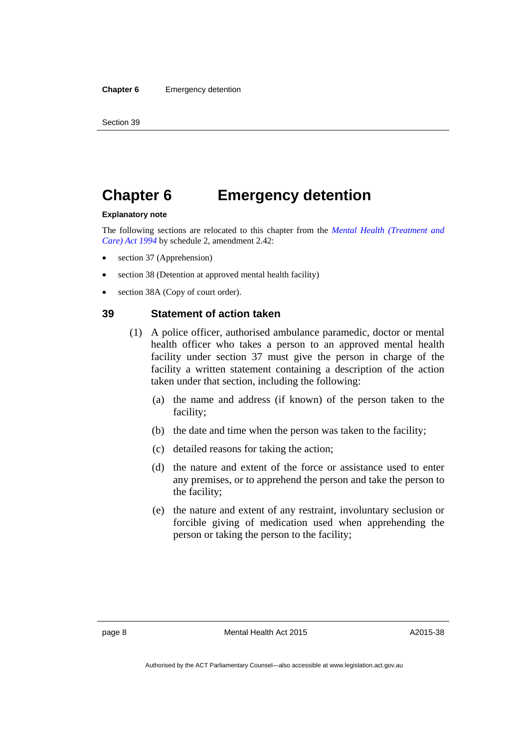### <span id="page-17-0"></span>**Chapter 6 Emergency detention**

#### **Explanatory note**

The following sections are relocated to this chapter from the *[Mental Health \(Treatment and](http://www.legislation.act.gov.au/a/1994-44)  [Care\) Act 1994](http://www.legislation.act.gov.au/a/1994-44)* by schedule 2, amendment 2.42:

- section 37 (Apprehension)
- section 38 (Detention at approved mental health facility)
- section 38A (Copy of court order).

#### <span id="page-17-1"></span>**39 Statement of action taken**

- (1) A police officer, authorised ambulance paramedic, doctor or mental health officer who takes a person to an approved mental health facility under section 37 must give the person in charge of the facility a written statement containing a description of the action taken under that section, including the following:
	- (a) the name and address (if known) of the person taken to the facility;
	- (b) the date and time when the person was taken to the facility;
	- (c) detailed reasons for taking the action;
	- (d) the nature and extent of the force or assistance used to enter any premises, or to apprehend the person and take the person to the facility;
	- (e) the nature and extent of any restraint, involuntary seclusion or forcible giving of medication used when apprehending the person or taking the person to the facility;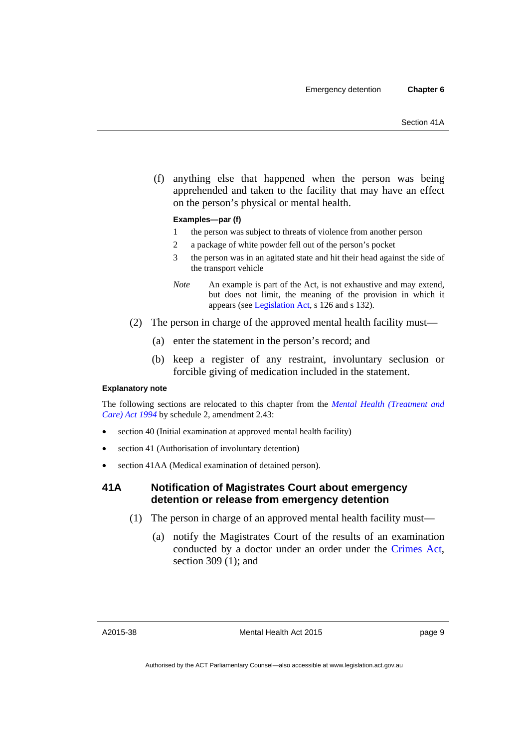(f) anything else that happened when the person was being apprehended and taken to the facility that may have an effect on the person's physical or mental health.

#### **Examples—par (f)**

- 1 the person was subject to threats of violence from another person
- 2 a package of white powder fell out of the person's pocket
- 3 the person was in an agitated state and hit their head against the side of the transport vehicle
- *Note* An example is part of the Act, is not exhaustive and may extend, but does not limit, the meaning of the provision in which it appears (see [Legislation Act,](http://www.legislation.act.gov.au/a/2001-14) s 126 and s 132).
- (2) The person in charge of the approved mental health facility must—
	- (a) enter the statement in the person's record; and
	- (b) keep a register of any restraint, involuntary seclusion or forcible giving of medication included in the statement.

#### **Explanatory note**

The following sections are relocated to this chapter from the *[Mental Health \(Treatment and](http://www.legislation.act.gov.au/a/1994-44)  [Care\) Act 1994](http://www.legislation.act.gov.au/a/1994-44)* by schedule 2, amendment 2.43:

- section 40 (Initial examination at approved mental health facility)
- section 41 (Authorisation of involuntary detention)
- section 41AA (Medical examination of detained person).

#### <span id="page-18-0"></span>**41A Notification of Magistrates Court about emergency detention or release from emergency detention**

- (1) The person in charge of an approved mental health facility must—
	- (a) notify the Magistrates Court of the results of an examination conducted by a doctor under an order under the [Crimes Act](http://www.legislation.act.gov.au/a/1900-40), section 309 (1); and

A2015-38

page 9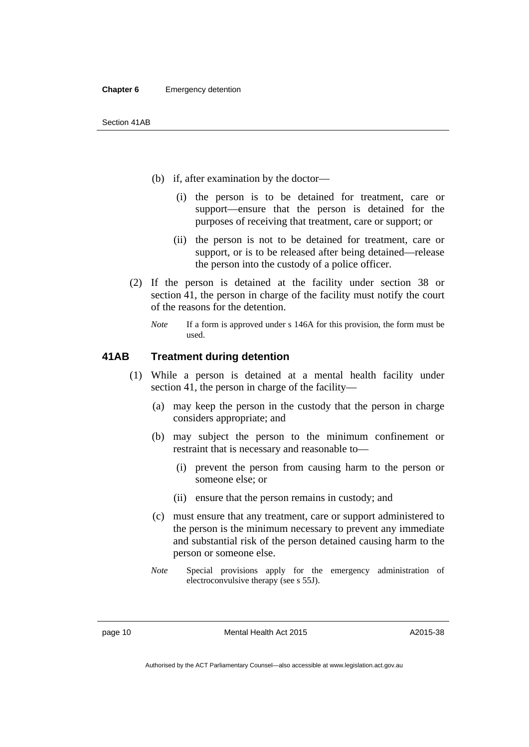- (b) if, after examination by the doctor—
	- (i) the person is to be detained for treatment, care or support—ensure that the person is detained for the purposes of receiving that treatment, care or support; or
	- (ii) the person is not to be detained for treatment, care or support, or is to be released after being detained—release the person into the custody of a police officer.
- (2) If the person is detained at the facility under section 38 or section 41, the person in charge of the facility must notify the court of the reasons for the detention.
	- *Note* If a form is approved under s 146A for this provision, the form must be used.

#### <span id="page-19-0"></span>**41AB Treatment during detention**

- (1) While a person is detained at a mental health facility under section 41, the person in charge of the facility—
	- (a) may keep the person in the custody that the person in charge considers appropriate; and
	- (b) may subject the person to the minimum confinement or restraint that is necessary and reasonable to—
		- (i) prevent the person from causing harm to the person or someone else; or
		- (ii) ensure that the person remains in custody; and
	- (c) must ensure that any treatment, care or support administered to the person is the minimum necessary to prevent any immediate and substantial risk of the person detained causing harm to the person or someone else.
	- *Note* Special provisions apply for the emergency administration of electroconvulsive therapy (see s 55J).

page 10 Mental Health Act 2015

A2015-38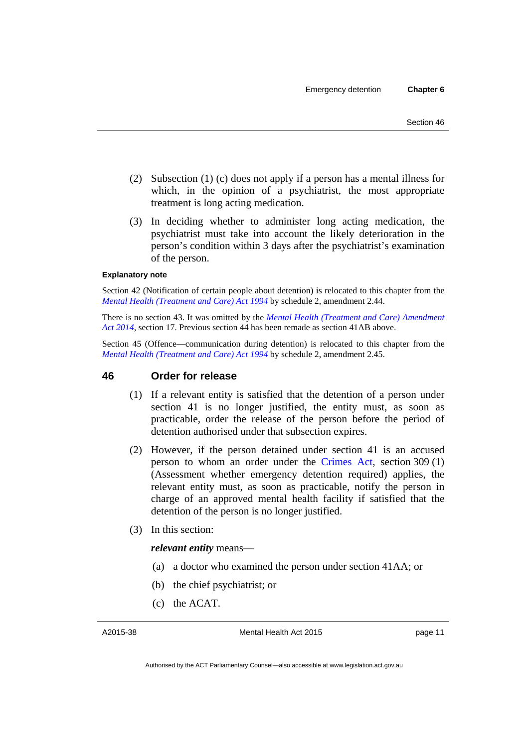- (2) Subsection (1) (c) does not apply if a person has a mental illness for which, in the opinion of a psychiatrist, the most appropriate treatment is long acting medication.
- (3) In deciding whether to administer long acting medication, the psychiatrist must take into account the likely deterioration in the person's condition within 3 days after the psychiatrist's examination of the person.

#### **Explanatory note**

Section 42 (Notification of certain people about detention) is relocated to this chapter from the *[Mental Health \(Treatment and Care\) Act 1994](http://www.legislation.act.gov.au/a/1994-44)* by schedule 2, amendment 2.44.

There is no section 43. It was omitted by the *[Mental Health \(Treatment and Care\) Amendment](http://www.legislation.act.gov.au/a/2014-51/default.asp)  [Act 2014](http://www.legislation.act.gov.au/a/2014-51/default.asp)*, section 17. Previous section 44 has been remade as section 41AB above.

Section 45 (Offence—communication during detention) is relocated to this chapter from the *[Mental Health \(Treatment and Care\) Act 1994](http://www.legislation.act.gov.au/a/1994-44)* by schedule 2, amendment 2.45.

#### <span id="page-20-0"></span>**46 Order for release**

- (1) If a relevant entity is satisfied that the detention of a person under section 41 is no longer justified, the entity must, as soon as practicable, order the release of the person before the period of detention authorised under that subsection expires.
- (2) However, if the person detained under section 41 is an accused person to whom an order under the [Crimes Act,](http://www.legislation.act.gov.au/a/1900-40) section 309 (1) (Assessment whether emergency detention required) applies, the relevant entity must, as soon as practicable, notify the person in charge of an approved mental health facility if satisfied that the detention of the person is no longer justified.
- (3) In this section:

#### *relevant entity* means—

- (a) a doctor who examined the person under section 41AA; or
- (b) the chief psychiatrist; or
- (c) the ACAT.

A2015-38

Mental Health Act 2015

page 11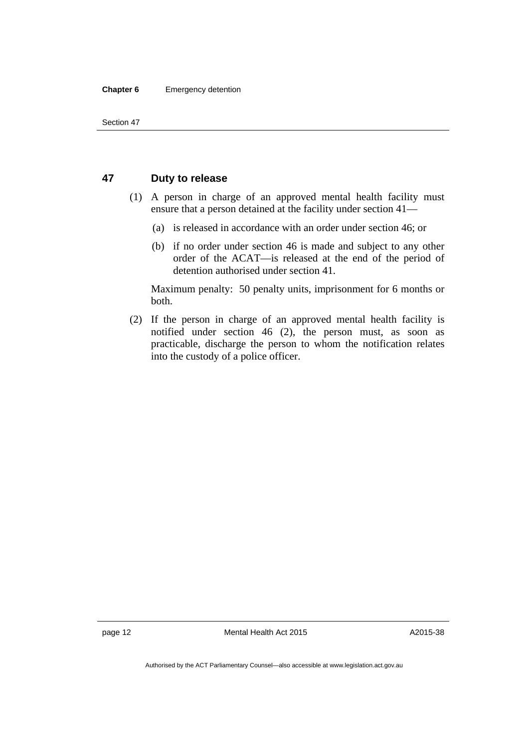#### **Chapter 6** Emergency detention

#### <span id="page-21-0"></span>**47 Duty to release**

- (1) A person in charge of an approved mental health facility must ensure that a person detained at the facility under section 41—
	- (a) is released in accordance with an order under section 46; or
	- (b) if no order under section 46 is made and subject to any other order of the ACAT—is released at the end of the period of detention authorised under section 41.

Maximum penalty: 50 penalty units, imprisonment for 6 months or both.

 (2) If the person in charge of an approved mental health facility is notified under section 46 (2), the person must, as soon as practicable, discharge the person to whom the notification relates into the custody of a police officer.

page 12 Mental Health Act 2015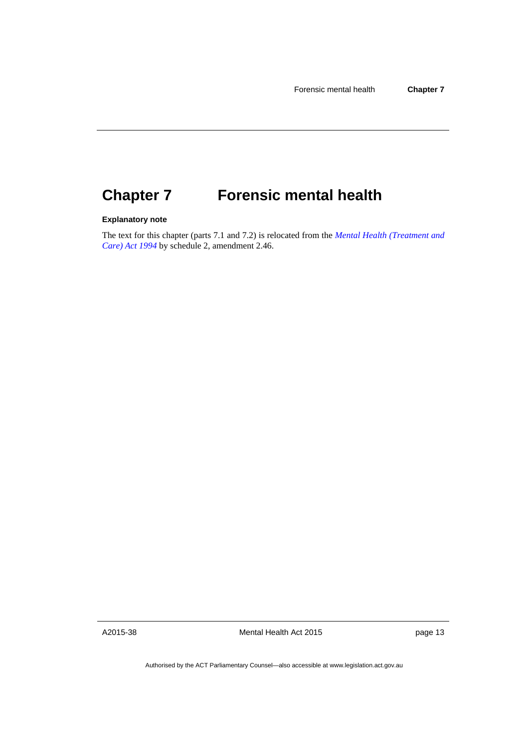#### <span id="page-22-0"></span>**Forensic mental health Chapter 7**

#### **Explanatory note**

The text for this chapter (parts 7.1 and 7.2) is relocated from the *[Mental Health \(Treatment and](http://www.legislation.act.gov.au/a/1994-44)  [Care\) Act 1994](http://www.legislation.act.gov.au/a/1994-44)* by schedule 2, amendment 2.46.

A2015-38

Mental Health Act 2015

page 13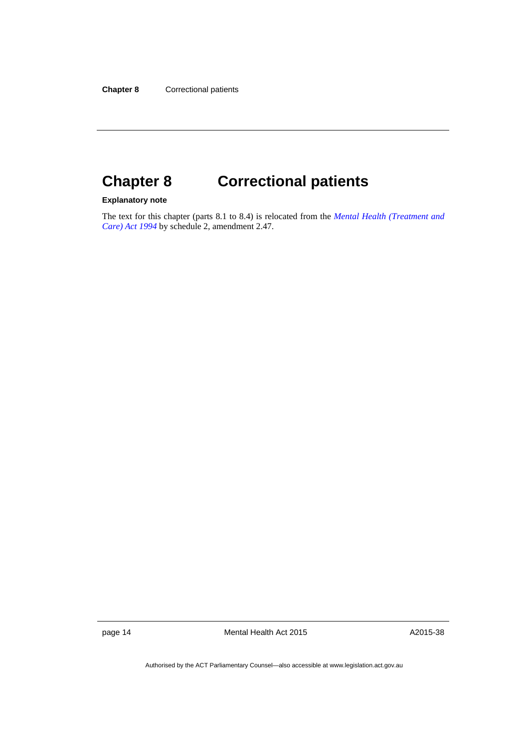# <span id="page-23-0"></span>**Chapter 8 Correctional patients**

#### **Explanatory note**

The text for this chapter (parts 8.1 to 8.4) is relocated from the *[Mental Health \(Treatment and](http://www.legislation.act.gov.au/a/1994-44)  [Care\) Act 1994](http://www.legislation.act.gov.au/a/1994-44)* by schedule 2, amendment 2.47.

page 14 Mental Health Act 2015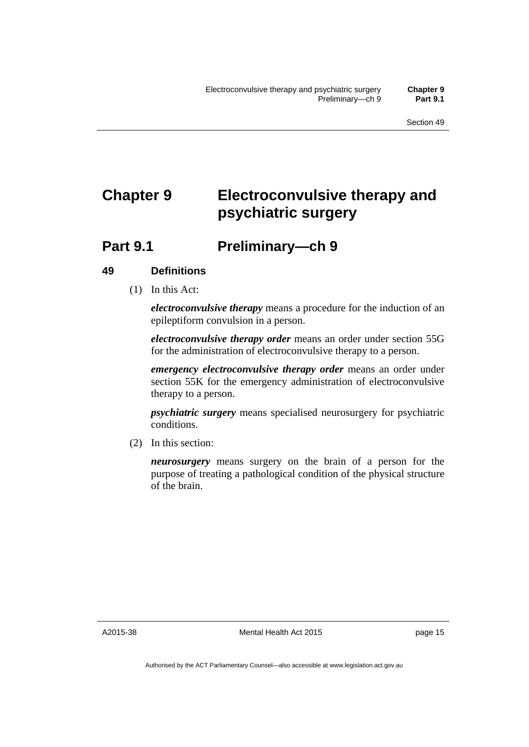# <span id="page-24-0"></span>**Chapter 9 Electroconvulsive therapy and psychiatric surgery**

### <span id="page-24-1"></span>**Part 9.1 Preliminary—ch 9**

#### <span id="page-24-2"></span>**49 Definitions**

(1) In this Act:

*electroconvulsive therapy* means a procedure for the induction of an epileptiform convulsion in a person.

*electroconvulsive therapy order* means an order under section 55G for the administration of electroconvulsive therapy to a person.

*emergency electroconvulsive therapy order* means an order under section 55K for the emergency administration of electroconvulsive therapy to a person.

*psychiatric surgery* means specialised neurosurgery for psychiatric conditions.

(2) In this section:

*neurosurgery* means surgery on the brain of a person for the purpose of treating a pathological condition of the physical structure of the brain.

A2015-38

Mental Health Act 2015

page 15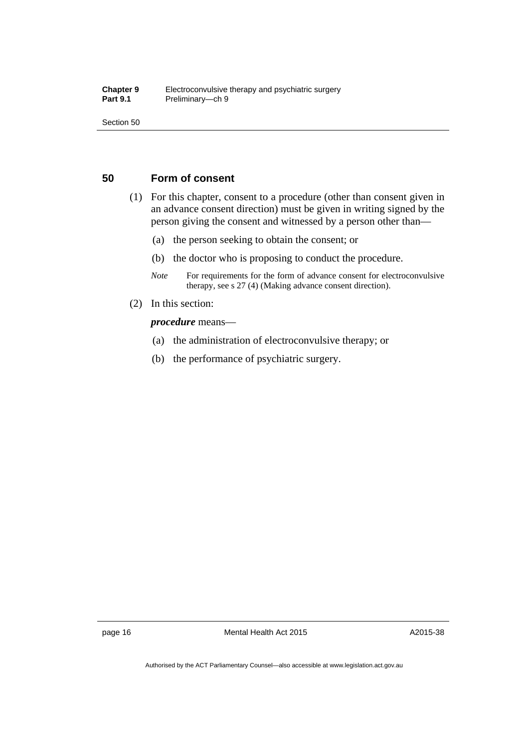Section 50

#### <span id="page-25-0"></span>**50 Form of consent**

- (1) For this chapter, consent to a procedure (other than consent given in an advance consent direction) must be given in writing signed by the person giving the consent and witnessed by a person other than—
	- (a) the person seeking to obtain the consent; or
	- (b) the doctor who is proposing to conduct the procedure.
	- *Note* For requirements for the form of advance consent for electroconvulsive therapy, see s 27 (4) (Making advance consent direction).
- (2) In this section:

#### *procedure* means—

- (a) the administration of electroconvulsive therapy; or
- (b) the performance of psychiatric surgery.

page 16 Mental Health Act 2015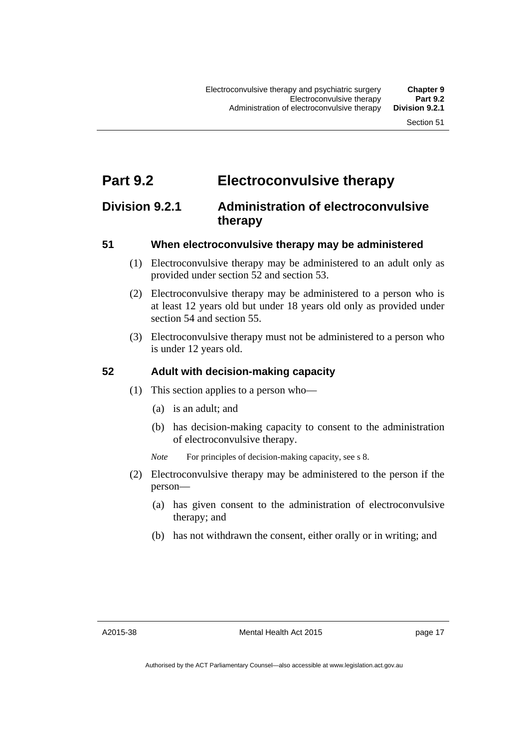### <span id="page-26-0"></span>**Part 9.2 Electroconvulsive therapy**

### <span id="page-26-1"></span>**Division 9.2.1 Administration of electroconvulsive therapy**

#### <span id="page-26-2"></span>**51 When electroconvulsive therapy may be administered**

- (1) Electroconvulsive therapy may be administered to an adult only as provided under section 52 and section 53.
- (2) Electroconvulsive therapy may be administered to a person who is at least 12 years old but under 18 years old only as provided under section 54 and section 55.
- (3) Electroconvulsive therapy must not be administered to a person who is under 12 years old.

#### <span id="page-26-3"></span>**52 Adult with decision-making capacity**

- (1) This section applies to a person who—
	- (a) is an adult; and
	- (b) has decision-making capacity to consent to the administration of electroconvulsive therapy.
	- *Note* For principles of decision-making capacity, see s 8.
- (2) Electroconvulsive therapy may be administered to the person if the person—
	- (a) has given consent to the administration of electroconvulsive therapy; and
	- (b) has not withdrawn the consent, either orally or in writing; and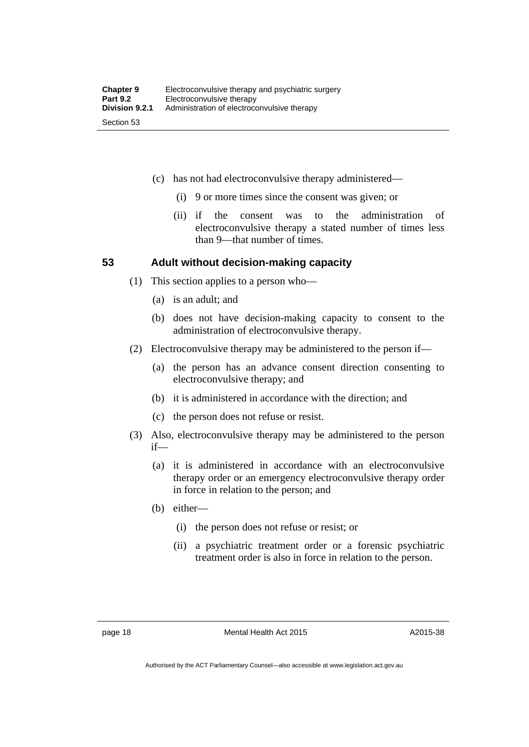- (c) has not had electroconvulsive therapy administered—
	- (i) 9 or more times since the consent was given; or
	- (ii) if the consent was to the administration of electroconvulsive therapy a stated number of times less than 9—that number of times.

#### <span id="page-27-0"></span>**53 Adult without decision-making capacity**

- (1) This section applies to a person who—
	- (a) is an adult; and
	- (b) does not have decision-making capacity to consent to the administration of electroconvulsive therapy.
- (2) Electroconvulsive therapy may be administered to the person if—
	- (a) the person has an advance consent direction consenting to electroconvulsive therapy; and
	- (b) it is administered in accordance with the direction; and
	- (c) the person does not refuse or resist.
- (3) Also, electroconvulsive therapy may be administered to the person if—
	- (a) it is administered in accordance with an electroconvulsive therapy order or an emergency electroconvulsive therapy order in force in relation to the person; and
	- (b) either—
		- (i) the person does not refuse or resist; or
		- (ii) a psychiatric treatment order or a forensic psychiatric treatment order is also in force in relation to the person.

Authorised by the ACT Parliamentary Counsel—also accessible at www.legislation.act.gov.au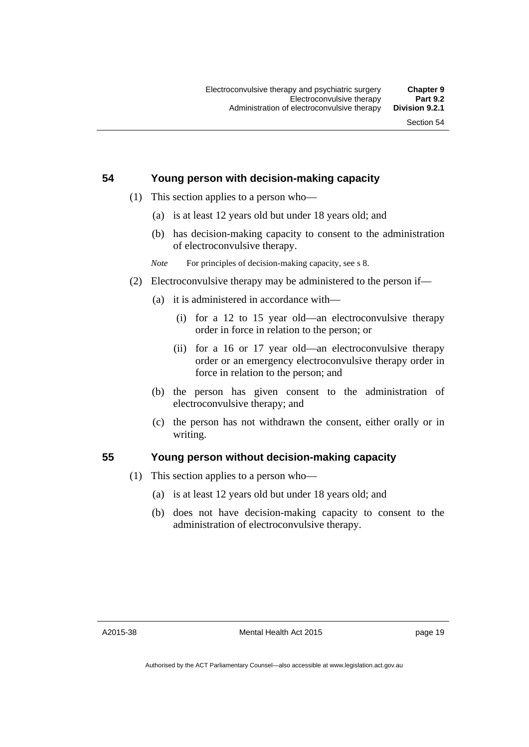#### <span id="page-28-0"></span>**54 Young person with decision-making capacity**

- (1) This section applies to a person who—
	- (a) is at least 12 years old but under 18 years old; and
	- (b) has decision-making capacity to consent to the administration of electroconvulsive therapy.
	- *Note* For principles of decision-making capacity, see s 8.
- (2) Electroconvulsive therapy may be administered to the person if—
	- (a) it is administered in accordance with—
		- (i) for a 12 to 15 year old—an electroconvulsive therapy order in force in relation to the person; or
		- (ii) for a 16 or 17 year old—an electroconvulsive therapy order or an emergency electroconvulsive therapy order in force in relation to the person; and
	- (b) the person has given consent to the administration of electroconvulsive therapy; and
	- (c) the person has not withdrawn the consent, either orally or in writing.

#### <span id="page-28-1"></span>**55 Young person without decision-making capacity**

- (1) This section applies to a person who—
	- (a) is at least 12 years old but under 18 years old; and
	- (b) does not have decision-making capacity to consent to the administration of electroconvulsive therapy.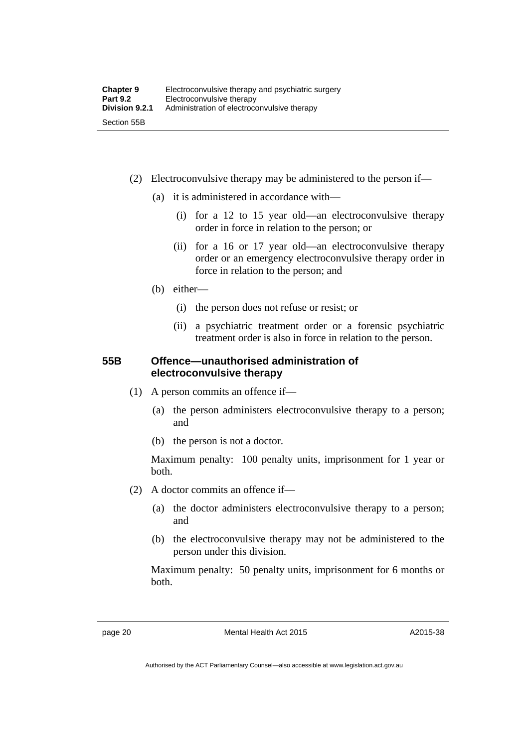- (2) Electroconvulsive therapy may be administered to the person if—
	- (a) it is administered in accordance with—
		- (i) for a 12 to 15 year old—an electroconvulsive therapy order in force in relation to the person; or
		- (ii) for a 16 or 17 year old—an electroconvulsive therapy order or an emergency electroconvulsive therapy order in force in relation to the person; and
	- (b) either—
		- (i) the person does not refuse or resist; or
		- (ii) a psychiatric treatment order or a forensic psychiatric treatment order is also in force in relation to the person.

#### <span id="page-29-0"></span>**55B Offence—unauthorised administration of electroconvulsive therapy**

- (1) A person commits an offence if—
	- (a) the person administers electroconvulsive therapy to a person; and
	- (b) the person is not a doctor.

Maximum penalty: 100 penalty units, imprisonment for 1 year or both.

- (2) A doctor commits an offence if—
	- (a) the doctor administers electroconvulsive therapy to a person; and
	- (b) the electroconvulsive therapy may not be administered to the person under this division.

Maximum penalty: 50 penalty units, imprisonment for 6 months or both.

page 20 Mental Health Act 2015

A2015-38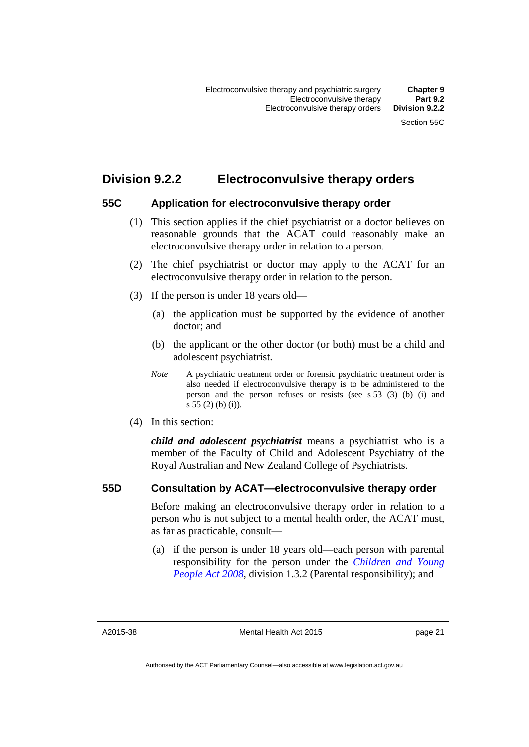### <span id="page-30-0"></span>**Division 9.2.2 Electroconvulsive therapy orders**

#### <span id="page-30-1"></span>**55C Application for electroconvulsive therapy order**

- (1) This section applies if the chief psychiatrist or a doctor believes on reasonable grounds that the ACAT could reasonably make an electroconvulsive therapy order in relation to a person.
- (2) The chief psychiatrist or doctor may apply to the ACAT for an electroconvulsive therapy order in relation to the person.
- (3) If the person is under 18 years old—
	- (a) the application must be supported by the evidence of another doctor; and
	- (b) the applicant or the other doctor (or both) must be a child and adolescent psychiatrist.
	- *Note* A psychiatric treatment order or forensic psychiatric treatment order is also needed if electroconvulsive therapy is to be administered to the person and the person refuses or resists (see s 53 (3) (b) (i) and s 55 (2) (b) (i)).
- (4) In this section:

*child and adolescent psychiatrist* means a psychiatrist who is a member of the Faculty of Child and Adolescent Psychiatry of the Royal Australian and New Zealand College of Psychiatrists.

#### <span id="page-30-2"></span>**55D Consultation by ACAT—electroconvulsive therapy order**

Before making an electroconvulsive therapy order in relation to a person who is not subject to a mental health order, the ACAT must, as far as practicable, consult—

 (a) if the person is under 18 years old—each person with parental responsibility for the person under the *[Children and Young](http://www.legislation.act.gov.au/a/2008-19)  [People Act 2008](http://www.legislation.act.gov.au/a/2008-19)*, division 1.3.2 (Parental responsibility); and

A2015-38

page 21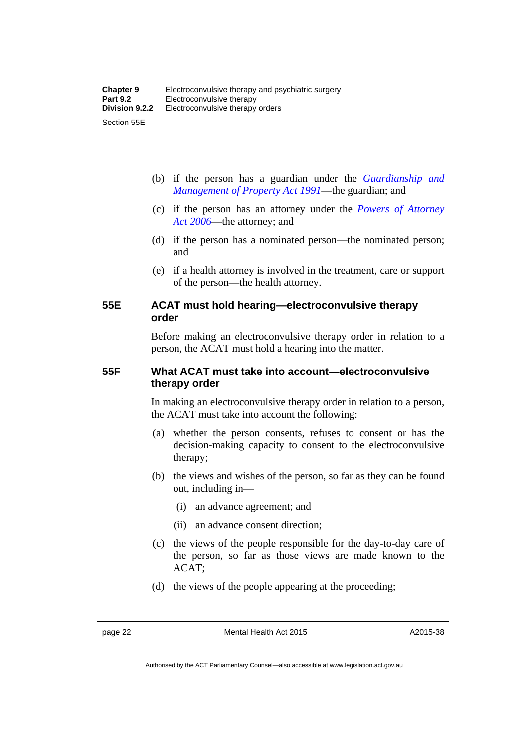- (b) if the person has a guardian under the *[Guardianship and](http://www.legislation.act.gov.au/a/1991-62)  [Management of Property Act 1991](http://www.legislation.act.gov.au/a/1991-62)*—the guardian; and
- (c) if the person has an attorney under the *[Powers of Attorney](http://www.legislation.act.gov.au/a/2006-50)  [Act 2006](http://www.legislation.act.gov.au/a/2006-50)*—the attorney; and
- (d) if the person has a nominated person—the nominated person; and
- (e) if a health attorney is involved in the treatment, care or support of the person—the health attorney.

#### <span id="page-31-0"></span>**55E ACAT must hold hearing—electroconvulsive therapy order**

Before making an electroconvulsive therapy order in relation to a person, the ACAT must hold a hearing into the matter.

#### <span id="page-31-1"></span>**55F What ACAT must take into account—electroconvulsive therapy order**

In making an electroconvulsive therapy order in relation to a person, the ACAT must take into account the following:

- (a) whether the person consents, refuses to consent or has the decision-making capacity to consent to the electroconvulsive therapy;
- (b) the views and wishes of the person, so far as they can be found out, including in—
	- (i) an advance agreement; and
	- (ii) an advance consent direction;
- (c) the views of the people responsible for the day-to-day care of the person, so far as those views are made known to the ACAT;
- (d) the views of the people appearing at the proceeding;

page 22 Mental Health Act 2015

A2015-38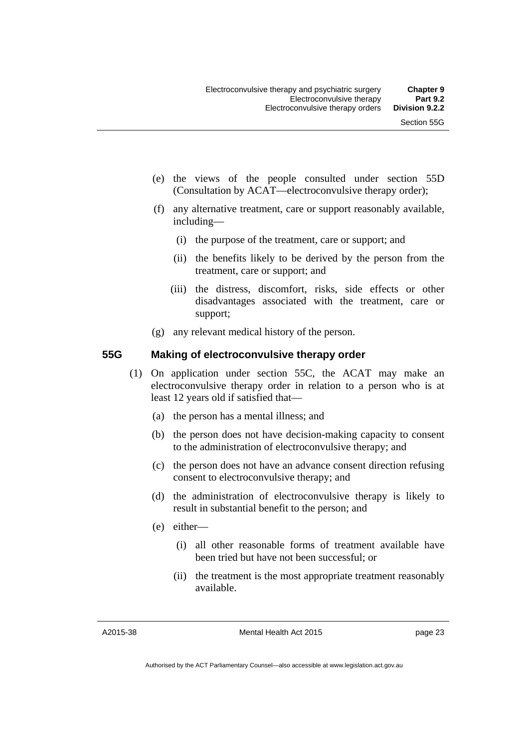- (e) the views of the people consulted under section 55D (Consultation by ACAT—electroconvulsive therapy order);
- (f) any alternative treatment, care or support reasonably available, including—
	- (i) the purpose of the treatment, care or support; and
	- (ii) the benefits likely to be derived by the person from the treatment, care or support; and
	- (iii) the distress, discomfort, risks, side effects or other disadvantages associated with the treatment, care or support;
- (g) any relevant medical history of the person.

#### <span id="page-32-0"></span>**55G Making of electroconvulsive therapy order**

- (1) On application under section 55C, the ACAT may make an electroconvulsive therapy order in relation to a person who is at least 12 years old if satisfied that—
	- (a) the person has a mental illness; and
	- (b) the person does not have decision-making capacity to consent to the administration of electroconvulsive therapy; and
	- (c) the person does not have an advance consent direction refusing consent to electroconvulsive therapy; and
	- (d) the administration of electroconvulsive therapy is likely to result in substantial benefit to the person; and
	- (e) either—
		- (i) all other reasonable forms of treatment available have been tried but have not been successful; or
		- (ii) the treatment is the most appropriate treatment reasonably available.

A2015-38

Mental Health Act 2015

page 23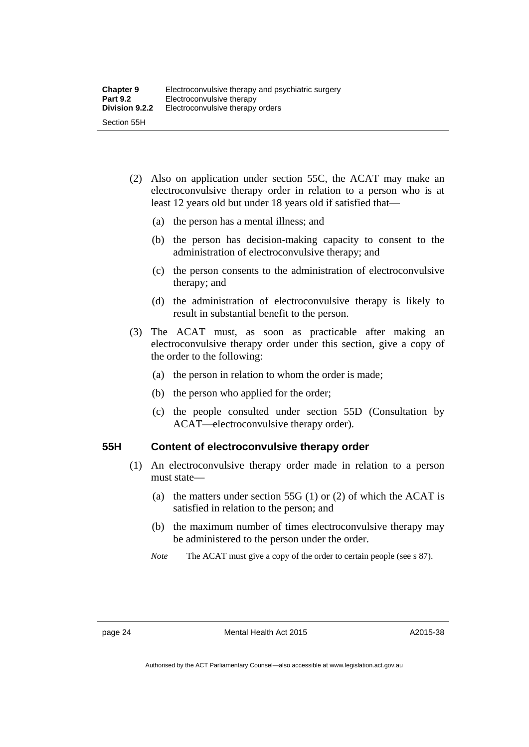- (2) Also on application under section 55C, the ACAT may make an electroconvulsive therapy order in relation to a person who is at least 12 years old but under 18 years old if satisfied that—
	- (a) the person has a mental illness; and
	- (b) the person has decision-making capacity to consent to the administration of electroconvulsive therapy; and
	- (c) the person consents to the administration of electroconvulsive therapy; and
	- (d) the administration of electroconvulsive therapy is likely to result in substantial benefit to the person.
- (3) The ACAT must, as soon as practicable after making an electroconvulsive therapy order under this section, give a copy of the order to the following:
	- (a) the person in relation to whom the order is made;
	- (b) the person who applied for the order;
	- (c) the people consulted under section 55D (Consultation by ACAT—electroconvulsive therapy order).

#### <span id="page-33-0"></span>**55H Content of electroconvulsive therapy order**

- (1) An electroconvulsive therapy order made in relation to a person must state—
	- (a) the matters under section 55G (1) or (2) of which the ACAT is satisfied in relation to the person; and
	- (b) the maximum number of times electroconvulsive therapy may be administered to the person under the order.
	- *Note* The ACAT must give a copy of the order to certain people (see s 87).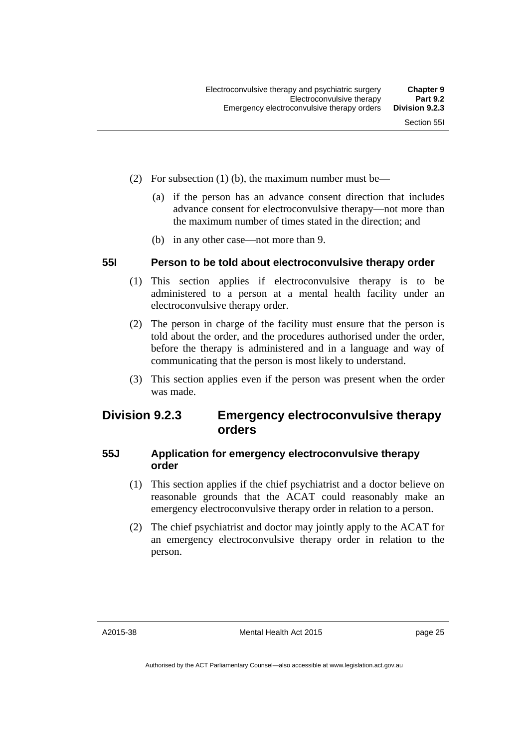- (2) For subsection (1) (b), the maximum number must be—
	- (a) if the person has an advance consent direction that includes advance consent for electroconvulsive therapy—not more than the maximum number of times stated in the direction; and
	- (b) in any other case—not more than 9.

#### <span id="page-34-0"></span>**55I Person to be told about electroconvulsive therapy order**

- (1) This section applies if electroconvulsive therapy is to be administered to a person at a mental health facility under an electroconvulsive therapy order.
- (2) The person in charge of the facility must ensure that the person is told about the order, and the procedures authorised under the order, before the therapy is administered and in a language and way of communicating that the person is most likely to understand.
- (3) This section applies even if the person was present when the order was made.

### <span id="page-34-1"></span>**Division 9.2.3 Emergency electroconvulsive therapy orders**

#### <span id="page-34-2"></span>**55J Application for emergency electroconvulsive therapy order**

- (1) This section applies if the chief psychiatrist and a doctor believe on reasonable grounds that the ACAT could reasonably make an emergency electroconvulsive therapy order in relation to a person.
- (2) The chief psychiatrist and doctor may jointly apply to the ACAT for an emergency electroconvulsive therapy order in relation to the person.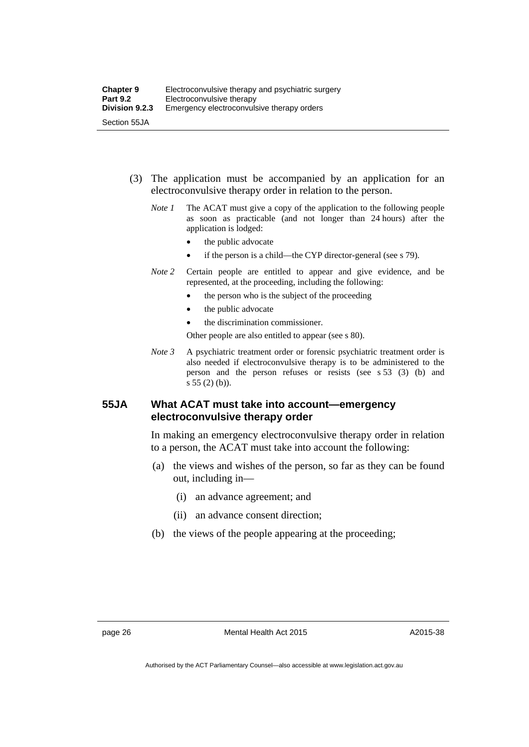- (3) The application must be accompanied by an application for an electroconvulsive therapy order in relation to the person.
	- *Note 1* The ACAT must give a copy of the application to the following people as soon as practicable (and not longer than 24 hours) after the application is lodged:
		- the public advocate
		- if the person is a child—the CYP director-general (see s 79).
	- *Note 2* Certain people are entitled to appear and give evidence, and be represented, at the proceeding, including the following:
		- the person who is the subject of the proceeding
		- the public advocate
		- the discrimination commissioner.

Other people are also entitled to appear (see s 80).

*Note 3* A psychiatric treatment order or forensic psychiatric treatment order is also needed if electroconvulsive therapy is to be administered to the person and the person refuses or resists (see s 53 (3) (b) and s 55 (2) (b)).

#### <span id="page-35-0"></span>**55JA What ACAT must take into account—emergency electroconvulsive therapy order**

In making an emergency electroconvulsive therapy order in relation to a person, the ACAT must take into account the following:

- (a) the views and wishes of the person, so far as they can be found out, including in—
	- (i) an advance agreement; and
	- (ii) an advance consent direction;
- (b) the views of the people appearing at the proceeding;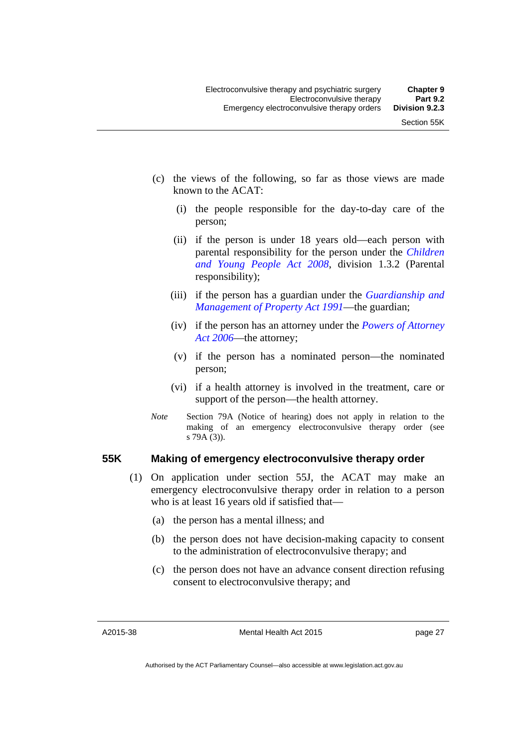- (c) the views of the following, so far as those views are made known to the ACAT:
	- (i) the people responsible for the day-to-day care of the person;
	- (ii) if the person is under 18 years old—each person with parental responsibility for the person under the *[Children](http://www.legislation.act.gov.au/a/2008-19)  [and Young People Act 2008](http://www.legislation.act.gov.au/a/2008-19)*, division 1.3.2 (Parental responsibility);
	- (iii) if the person has a guardian under the *[Guardianship and](http://www.legislation.act.gov.au/a/1991-62)  [Management of Property Act 1991](http://www.legislation.act.gov.au/a/1991-62)*—the guardian;
	- (iv) if the person has an attorney under the *[Powers of Attorney](http://www.legislation.act.gov.au/a/2006-50)  [Act 2006](http://www.legislation.act.gov.au/a/2006-50)*—the attorney;
	- (v) if the person has a nominated person—the nominated person;
	- (vi) if a health attorney is involved in the treatment, care or support of the person—the health attorney.
- *Note* Section 79A (Notice of hearing) does not apply in relation to the making of an emergency electroconvulsive therapy order (see s 79A (3)).

#### **55K Making of emergency electroconvulsive therapy order**

- (1) On application under section 55J, the ACAT may make an emergency electroconvulsive therapy order in relation to a person who is at least 16 years old if satisfied that—
	- (a) the person has a mental illness; and
	- (b) the person does not have decision-making capacity to consent to the administration of electroconvulsive therapy; and
	- (c) the person does not have an advance consent direction refusing consent to electroconvulsive therapy; and

A2015-38

Mental Health Act 2015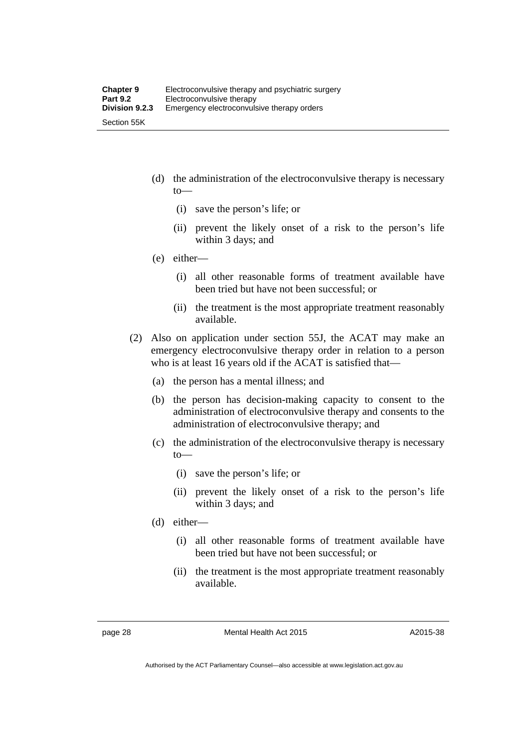- (d) the administration of the electroconvulsive therapy is necessary to—
	- (i) save the person's life; or
	- (ii) prevent the likely onset of a risk to the person's life within 3 days; and
- (e) either—
	- (i) all other reasonable forms of treatment available have been tried but have not been successful; or
	- (ii) the treatment is the most appropriate treatment reasonably available.
- (2) Also on application under section 55J, the ACAT may make an emergency electroconvulsive therapy order in relation to a person who is at least 16 years old if the ACAT is satisfied that—
	- (a) the person has a mental illness; and
	- (b) the person has decision-making capacity to consent to the administration of electroconvulsive therapy and consents to the administration of electroconvulsive therapy; and
	- (c) the administration of the electroconvulsive therapy is necessary to—
		- (i) save the person's life; or
		- (ii) prevent the likely onset of a risk to the person's life within 3 days; and
	- (d) either—
		- (i) all other reasonable forms of treatment available have been tried but have not been successful; or
		- (ii) the treatment is the most appropriate treatment reasonably available.

page 28 Mental Health Act 2015

A2015-38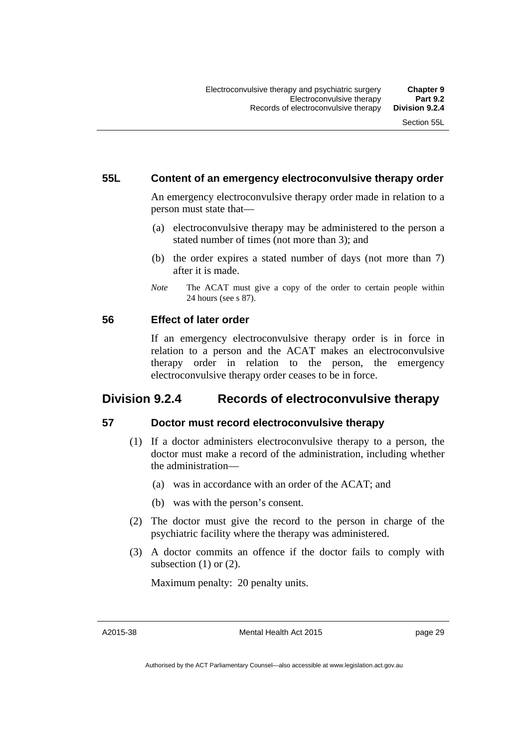# **55L Content of an emergency electroconvulsive therapy order**

An emergency electroconvulsive therapy order made in relation to a person must state that—

- (a) electroconvulsive therapy may be administered to the person a stated number of times (not more than 3); and
- (b) the order expires a stated number of days (not more than 7) after it is made.
- *Note* The ACAT must give a copy of the order to certain people within 24 hours (see s 87).

# **56 Effect of later order**

If an emergency electroconvulsive therapy order is in force in relation to a person and the ACAT makes an electroconvulsive therapy order in relation to the person, the emergency electroconvulsive therapy order ceases to be in force.

# **Division 9.2.4 Records of electroconvulsive therapy**

# **57 Doctor must record electroconvulsive therapy**

- (1) If a doctor administers electroconvulsive therapy to a person, the doctor must make a record of the administration, including whether the administration—
	- (a) was in accordance with an order of the ACAT; and
	- (b) was with the person's consent.
- (2) The doctor must give the record to the person in charge of the psychiatric facility where the therapy was administered.
- (3) A doctor commits an offence if the doctor fails to comply with subsection (1) or (2).

Maximum penalty: 20 penalty units.

A2015-38

Mental Health Act 2015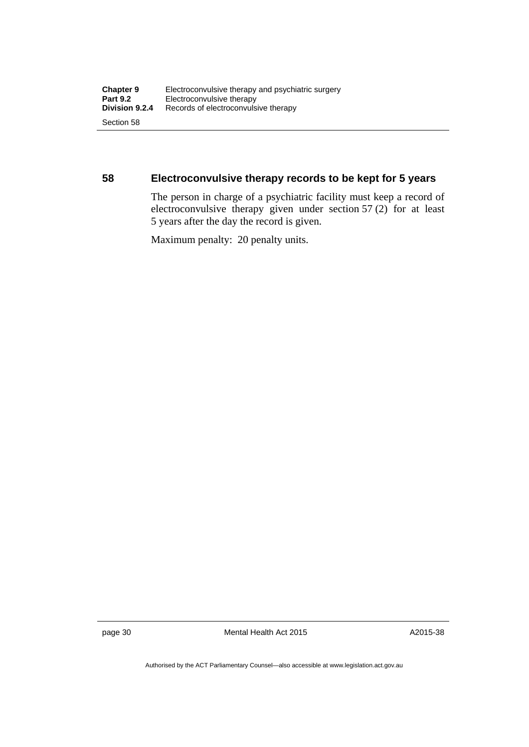# **58 Electroconvulsive therapy records to be kept for 5 years**

The person in charge of a psychiatric facility must keep a record of electroconvulsive therapy given under section 57 (2) for at least 5 years after the day the record is given.

Maximum penalty: 20 penalty units.

page 30 Mental Health Act 2015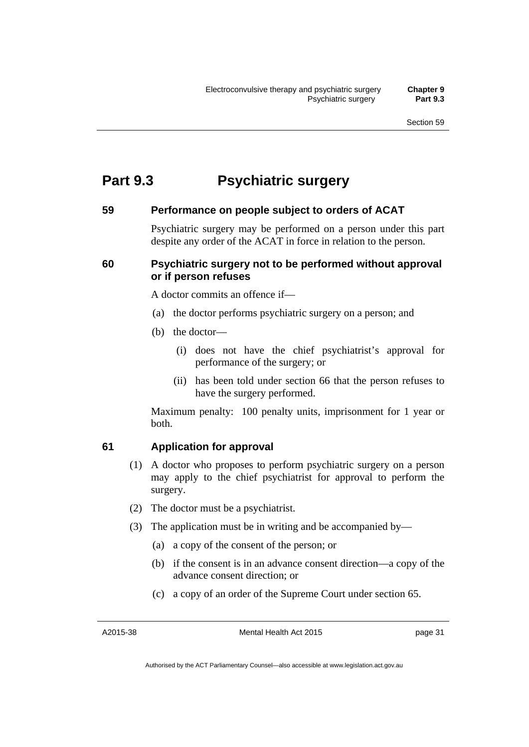# **Part 9.3 Psychiatric surgery**

### **59 Performance on people subject to orders of ACAT**

Psychiatric surgery may be performed on a person under this part despite any order of the ACAT in force in relation to the person.

# **60 Psychiatric surgery not to be performed without approval or if person refuses**

A doctor commits an offence if—

- (a) the doctor performs psychiatric surgery on a person; and
- (b) the doctor—
	- (i) does not have the chief psychiatrist's approval for performance of the surgery; or
	- (ii) has been told under section 66 that the person refuses to have the surgery performed.

Maximum penalty: 100 penalty units, imprisonment for 1 year or both.

# **61 Application for approval**

- (1) A doctor who proposes to perform psychiatric surgery on a person may apply to the chief psychiatrist for approval to perform the surgery.
- (2) The doctor must be a psychiatrist.
- (3) The application must be in writing and be accompanied by—
	- (a) a copy of the consent of the person; or
	- (b) if the consent is in an advance consent direction—a copy of the advance consent direction; or
	- (c) a copy of an order of the Supreme Court under section 65.

A2015-38

Mental Health Act 2015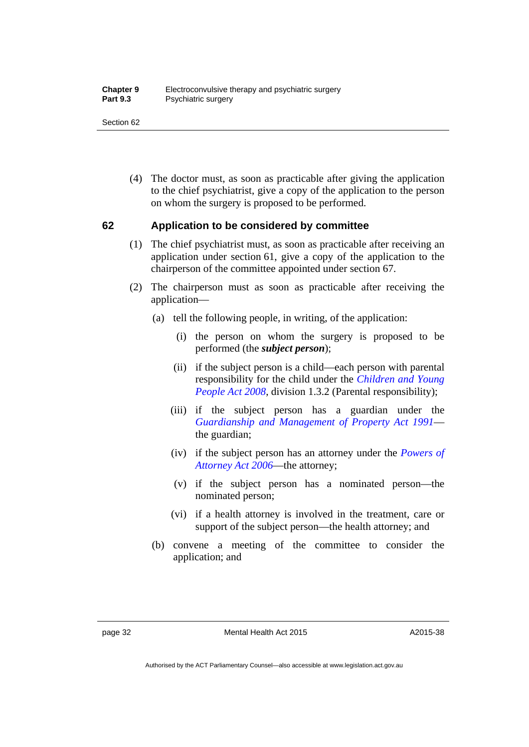Section 62

 (4) The doctor must, as soon as practicable after giving the application to the chief psychiatrist, give a copy of the application to the person on whom the surgery is proposed to be performed.

# **62 Application to be considered by committee**

- (1) The chief psychiatrist must, as soon as practicable after receiving an application under section 61, give a copy of the application to the chairperson of the committee appointed under section 67.
- (2) The chairperson must as soon as practicable after receiving the application—
	- (a) tell the following people, in writing, of the application:
		- (i) the person on whom the surgery is proposed to be performed (the *subject person*);
		- (ii) if the subject person is a child—each person with parental responsibility for the child under the *[Children and Young](http://www.legislation.act.gov.au/a/2008-19)  [People Act 2008](http://www.legislation.act.gov.au/a/2008-19)*, division 1.3.2 (Parental responsibility);
		- (iii) if the subject person has a guardian under the *[Guardianship and Management of Property Act 1991](http://www.legislation.act.gov.au/a/1991-62)* the guardian;
		- (iv) if the subject person has an attorney under the *[Powers of](http://www.legislation.act.gov.au/a/2006-50)  [Attorney Act 2006](http://www.legislation.act.gov.au/a/2006-50)*—the attorney;
		- (v) if the subject person has a nominated person—the nominated person;
		- (vi) if a health attorney is involved in the treatment, care or support of the subject person—the health attorney; and
	- (b) convene a meeting of the committee to consider the application; and

Authorised by the ACT Parliamentary Counsel—also accessible at www.legislation.act.gov.au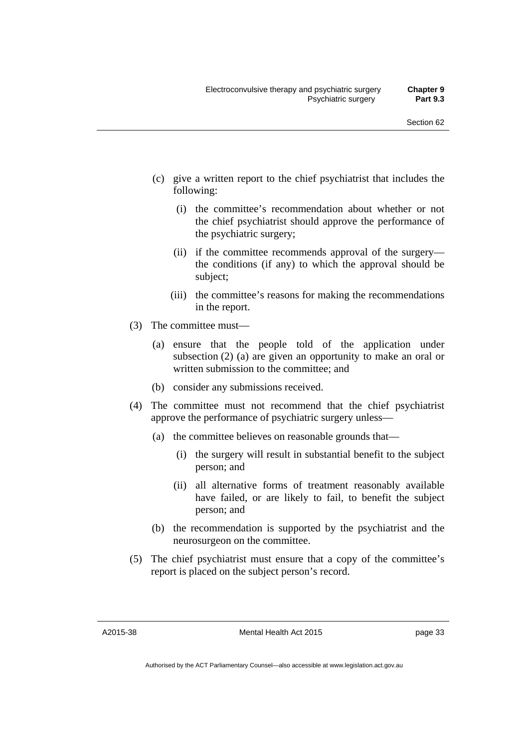- (c) give a written report to the chief psychiatrist that includes the following:
	- (i) the committee's recommendation about whether or not the chief psychiatrist should approve the performance of the psychiatric surgery;
	- (ii) if the committee recommends approval of the surgery the conditions (if any) to which the approval should be subject;
	- (iii) the committee's reasons for making the recommendations in the report.
- (3) The committee must—
	- (a) ensure that the people told of the application under subsection (2) (a) are given an opportunity to make an oral or written submission to the committee; and
	- (b) consider any submissions received.
- (4) The committee must not recommend that the chief psychiatrist approve the performance of psychiatric surgery unless—
	- (a) the committee believes on reasonable grounds that—
		- (i) the surgery will result in substantial benefit to the subject person; and
		- (ii) all alternative forms of treatment reasonably available have failed, or are likely to fail, to benefit the subject person; and
	- (b) the recommendation is supported by the psychiatrist and the neurosurgeon on the committee.
- (5) The chief psychiatrist must ensure that a copy of the committee's report is placed on the subject person's record.

A2015-38

Mental Health Act 2015

Authorised by the ACT Parliamentary Counsel—also accessible at www.legislation.act.gov.au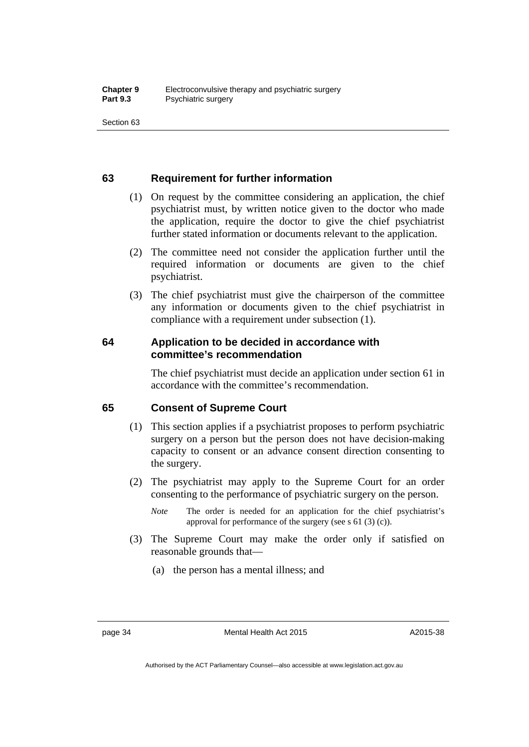Section 63

# **63 Requirement for further information**

- (1) On request by the committee considering an application, the chief psychiatrist must, by written notice given to the doctor who made the application, require the doctor to give the chief psychiatrist further stated information or documents relevant to the application.
- (2) The committee need not consider the application further until the required information or documents are given to the chief psychiatrist.
- (3) The chief psychiatrist must give the chairperson of the committee any information or documents given to the chief psychiatrist in compliance with a requirement under subsection (1).

# **64 Application to be decided in accordance with committee's recommendation**

The chief psychiatrist must decide an application under section 61 in accordance with the committee's recommendation.

# **65 Consent of Supreme Court**

- (1) This section applies if a psychiatrist proposes to perform psychiatric surgery on a person but the person does not have decision-making capacity to consent or an advance consent direction consenting to the surgery.
- (2) The psychiatrist may apply to the Supreme Court for an order consenting to the performance of psychiatric surgery on the person.
	- *Note* The order is needed for an application for the chief psychiatrist's approval for performance of the surgery (see s 61 (3) (c)).
- (3) The Supreme Court may make the order only if satisfied on reasonable grounds that—
	- (a) the person has a mental illness; and

page 34 Mental Health Act 2015

A2015-38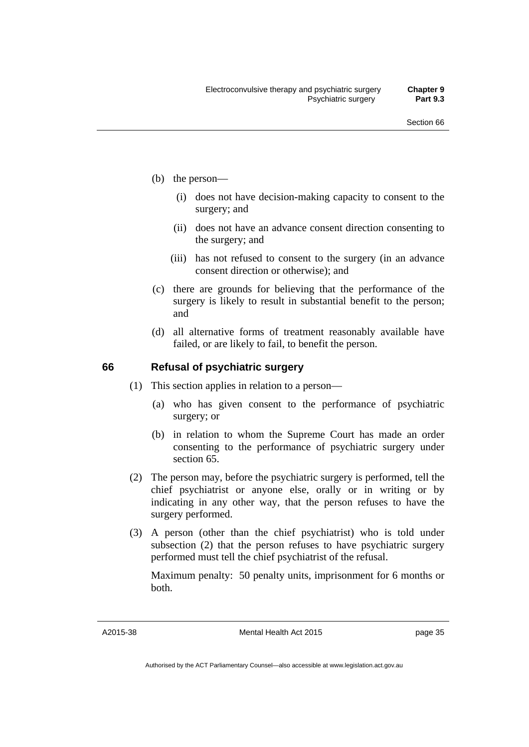- (b) the person—
	- (i) does not have decision-making capacity to consent to the surgery; and
	- (ii) does not have an advance consent direction consenting to the surgery; and
	- (iii) has not refused to consent to the surgery (in an advance consent direction or otherwise); and
- (c) there are grounds for believing that the performance of the surgery is likely to result in substantial benefit to the person; and
- (d) all alternative forms of treatment reasonably available have failed, or are likely to fail, to benefit the person.

### **66 Refusal of psychiatric surgery**

- (1) This section applies in relation to a person—
	- (a) who has given consent to the performance of psychiatric surgery; or
	- (b) in relation to whom the Supreme Court has made an order consenting to the performance of psychiatric surgery under section 65
- (2) The person may, before the psychiatric surgery is performed, tell the chief psychiatrist or anyone else, orally or in writing or by indicating in any other way, that the person refuses to have the surgery performed.
- (3) A person (other than the chief psychiatrist) who is told under subsection (2) that the person refuses to have psychiatric surgery performed must tell the chief psychiatrist of the refusal.

Maximum penalty: 50 penalty units, imprisonment for 6 months or both.

A2015-38

Mental Health Act 2015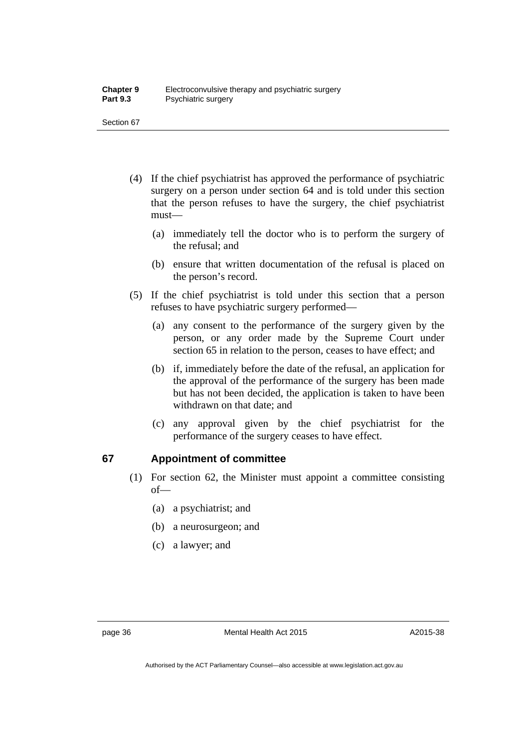Section 67

- (4) If the chief psychiatrist has approved the performance of psychiatric surgery on a person under section 64 and is told under this section that the person refuses to have the surgery, the chief psychiatrist must—
	- (a) immediately tell the doctor who is to perform the surgery of the refusal; and
	- (b) ensure that written documentation of the refusal is placed on the person's record.
- (5) If the chief psychiatrist is told under this section that a person refuses to have psychiatric surgery performed—
	- (a) any consent to the performance of the surgery given by the person, or any order made by the Supreme Court under section 65 in relation to the person, ceases to have effect; and
	- (b) if, immediately before the date of the refusal, an application for the approval of the performance of the surgery has been made but has not been decided, the application is taken to have been withdrawn on that date; and
	- (c) any approval given by the chief psychiatrist for the performance of the surgery ceases to have effect.

# **67 Appointment of committee**

- (1) For section 62, the Minister must appoint a committee consisting of—
	- (a) a psychiatrist; and
	- (b) a neurosurgeon; and
	- (c) a lawyer; and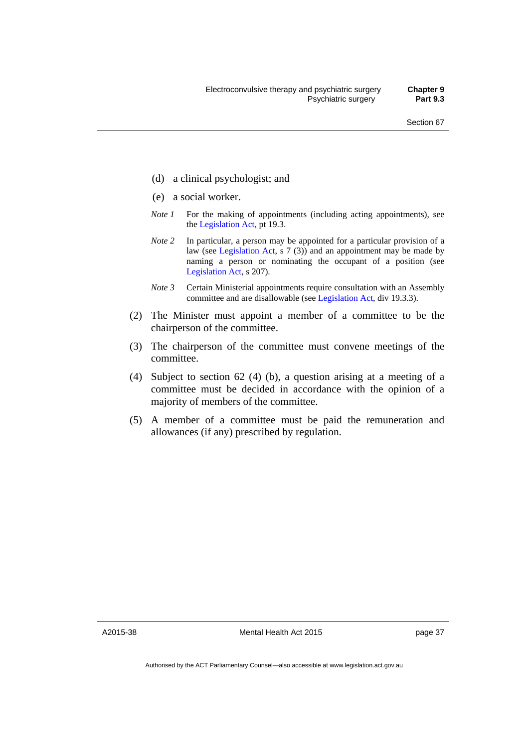- (d) a clinical psychologist; and
- (e) a social worker.
- *Note 1* For the making of appointments (including acting appointments), see the [Legislation Act,](http://www.legislation.act.gov.au/a/2001-14) pt 19.3.
- *Note* 2 In particular, a person may be appointed for a particular provision of a law (see [Legislation Act,](http://www.legislation.act.gov.au/a/2001-14) s 7 (3)) and an appointment may be made by naming a person or nominating the occupant of a position (see [Legislation Act,](http://www.legislation.act.gov.au/a/2001-14) s 207).
- *Note 3* Certain Ministerial appointments require consultation with an Assembly committee and are disallowable (see [Legislation Act,](http://www.legislation.act.gov.au/a/2001-14) div 19.3.3).
- (2) The Minister must appoint a member of a committee to be the chairperson of the committee.
- (3) The chairperson of the committee must convene meetings of the committee.
- (4) Subject to section 62 (4) (b), a question arising at a meeting of a committee must be decided in accordance with the opinion of a majority of members of the committee.
- (5) A member of a committee must be paid the remuneration and allowances (if any) prescribed by regulation.

A2015-38

Mental Health Act 2015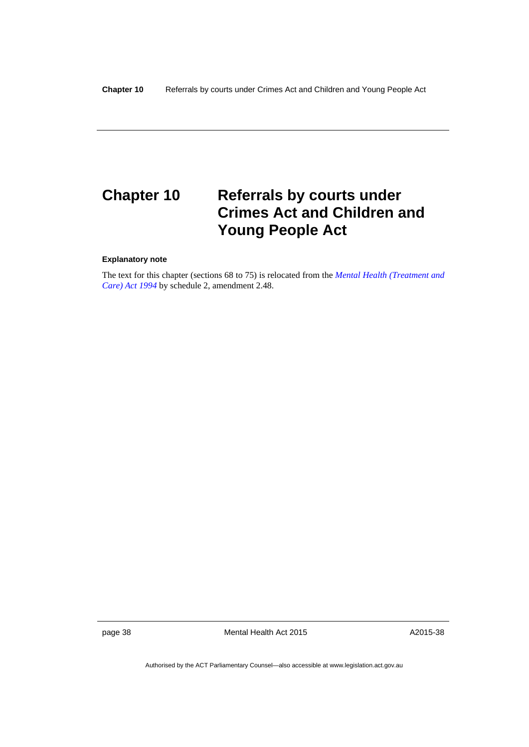# **Chapter 10 Referrals by courts under Crimes Act and Children and Young People Act**

#### **Explanatory note**

The text for this chapter (sections 68 to 75) is relocated from the *[Mental Health \(Treatment and](http://www.legislation.act.gov.au/a/1994-44)  [Care\) Act 1994](http://www.legislation.act.gov.au/a/1994-44)* by schedule 2, amendment 2.48.

page 38 Mental Health Act 2015

A2015-38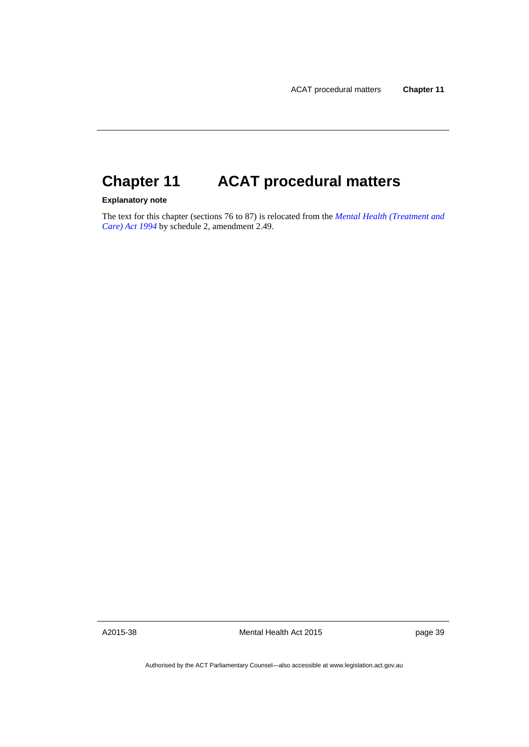# **Chapter 11 ACAT procedural matters**

### **Explanatory note**

The text for this chapter (sections 76 to 87) is relocated from the *[Mental Health \(Treatment and](http://www.legislation.act.gov.au/a/1994-44)  [Care\) Act 1994](http://www.legislation.act.gov.au/a/1994-44)* by schedule 2, amendment 2.49.

A2015-38

Mental Health Act 2015

page 39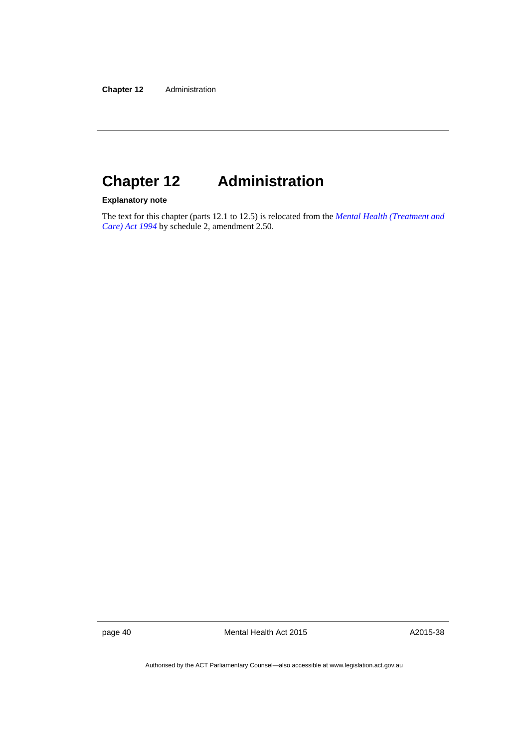# **Chapter 12 Administration**

# **Explanatory note**

The text for this chapter (parts 12.1 to 12.5) is relocated from the *[Mental Health \(Treatment and](http://www.legislation.act.gov.au/a/1994-44)  [Care\) Act 1994](http://www.legislation.act.gov.au/a/1994-44)* by schedule 2, amendment 2.50.

page 40 Mental Health Act 2015

A2015-38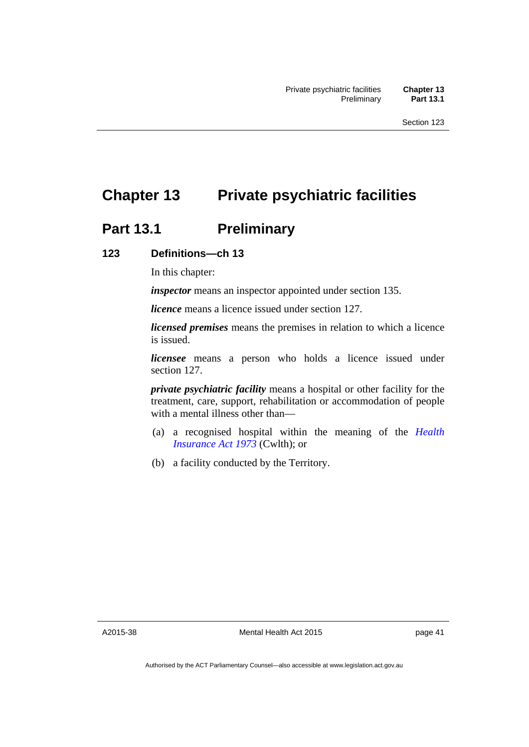# **Chapter 13 Private psychiatric facilities**

# **Part 13.1 Preliminary**

# **123 Definitions—ch 13**

In this chapter:

*inspector* means an inspector appointed under section 135.

*licence* means a licence issued under section 127.

*licensed premises* means the premises in relation to which a licence is issued.

*licensee* means a person who holds a licence issued under section 127.

*private psychiatric facility* means a hospital or other facility for the treatment, care, support, rehabilitation or accommodation of people with a mental illness other than—

- (a) a recognised hospital within the meaning of the *[Health](http://www.comlaw.gov.au/Series/C2004A00101)  [Insurance Act 1973](http://www.comlaw.gov.au/Series/C2004A00101)* (Cwlth); or
- (b) a facility conducted by the Territory.

A2015-38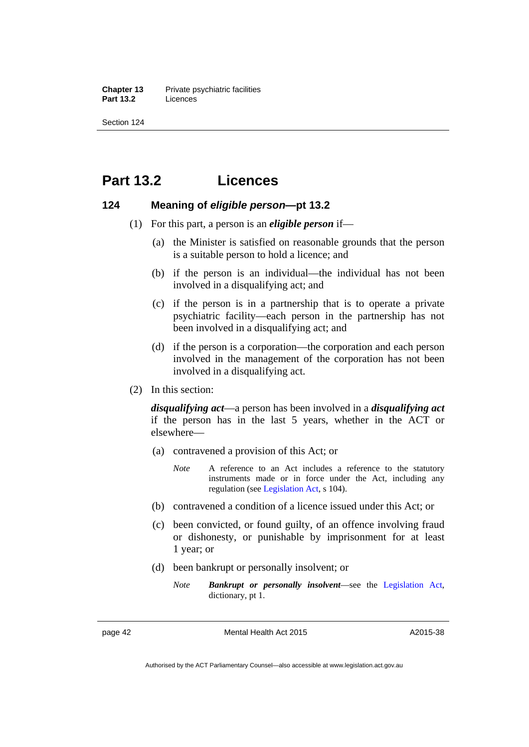**Chapter 13** Private psychiatric facilities **Part 13.2** Licences

Section 124

# **Part 13.2 Licences**

# **124 Meaning of** *eligible person***—pt 13.2**

- (1) For this part, a person is an *eligible person* if—
	- (a) the Minister is satisfied on reasonable grounds that the person is a suitable person to hold a licence; and
	- (b) if the person is an individual—the individual has not been involved in a disqualifying act; and
	- (c) if the person is in a partnership that is to operate a private psychiatric facility—each person in the partnership has not been involved in a disqualifying act; and
	- (d) if the person is a corporation—the corporation and each person involved in the management of the corporation has not been involved in a disqualifying act.
- (2) In this section:

*disqualifying act*—a person has been involved in a *disqualifying act* if the person has in the last 5 years, whether in the ACT or elsewhere—

- (a) contravened a provision of this Act; or
	- *Note* A reference to an Act includes a reference to the statutory instruments made or in force under the Act, including any regulation (see [Legislation Act,](http://www.legislation.act.gov.au/a/2001-14) s 104).
- (b) contravened a condition of a licence issued under this Act; or
- (c) been convicted, or found guilty, of an offence involving fraud or dishonesty, or punishable by imprisonment for at least 1 year; or
- (d) been bankrupt or personally insolvent; or
	- *Note Bankrupt or personally insolvent*—see the [Legislation Act,](http://www.legislation.act.gov.au/a/2001-14) dictionary, pt 1.

page 42 Mental Health Act 2015

A2015-38

Authorised by the ACT Parliamentary Counsel—also accessible at www.legislation.act.gov.au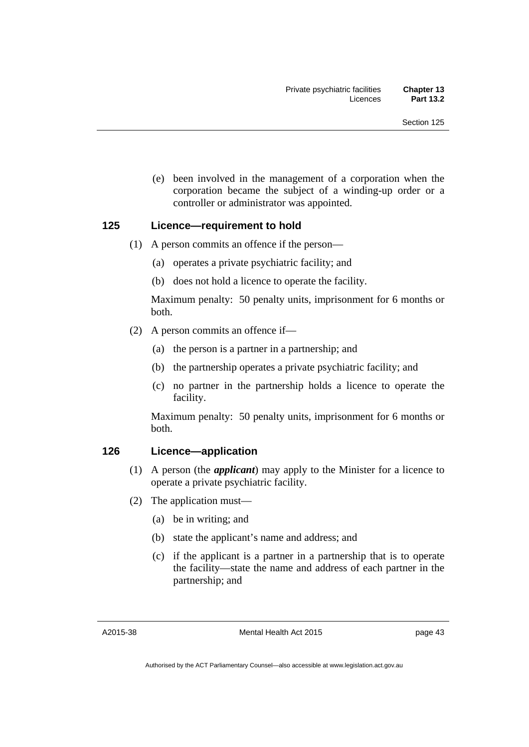(e) been involved in the management of a corporation when the corporation became the subject of a winding-up order or a controller or administrator was appointed.

# **125 Licence—requirement to hold**

- (1) A person commits an offence if the person—
	- (a) operates a private psychiatric facility; and
	- (b) does not hold a licence to operate the facility.

Maximum penalty: 50 penalty units, imprisonment for 6 months or both.

- (2) A person commits an offence if—
	- (a) the person is a partner in a partnership; and
	- (b) the partnership operates a private psychiatric facility; and
	- (c) no partner in the partnership holds a licence to operate the facility.

Maximum penalty: 50 penalty units, imprisonment for 6 months or both.

### **126 Licence—application**

- (1) A person (the *applicant*) may apply to the Minister for a licence to operate a private psychiatric facility.
- (2) The application must—
	- (a) be in writing; and
	- (b) state the applicant's name and address; and
	- (c) if the applicant is a partner in a partnership that is to operate the facility—state the name and address of each partner in the partnership; and

A2015-38

Mental Health Act 2015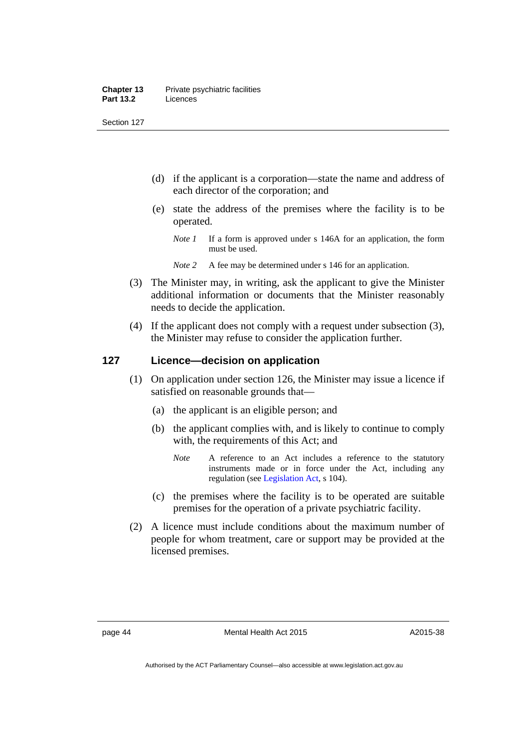#### **Chapter 13** Private psychiatric facilities **Part 13.2** Licences

Section 127

- (d) if the applicant is a corporation—state the name and address of each director of the corporation; and
- (e) state the address of the premises where the facility is to be operated.
	- *Note 1* If a form is approved under s 146A for an application, the form must be used.
	- *Note* 2 A fee may be determined under s 146 for an application.
- (3) The Minister may, in writing, ask the applicant to give the Minister additional information or documents that the Minister reasonably needs to decide the application.
- (4) If the applicant does not comply with a request under subsection (3), the Minister may refuse to consider the application further.

# **127 Licence—decision on application**

- (1) On application under section 126, the Minister may issue a licence if satisfied on reasonable grounds that—
	- (a) the applicant is an eligible person; and
	- (b) the applicant complies with, and is likely to continue to comply with, the requirements of this Act; and
		- *Note* A reference to an Act includes a reference to the statutory instruments made or in force under the Act, including any regulation (see [Legislation Act,](http://www.legislation.act.gov.au/a/2001-14) s 104).
	- (c) the premises where the facility is to be operated are suitable premises for the operation of a private psychiatric facility.
- (2) A licence must include conditions about the maximum number of people for whom treatment, care or support may be provided at the licensed premises.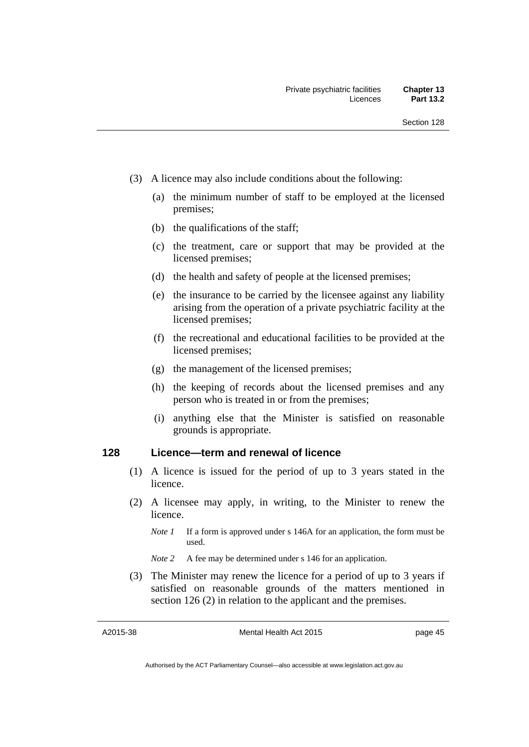- (3) A licence may also include conditions about the following:
	- (a) the minimum number of staff to be employed at the licensed premises;
	- (b) the qualifications of the staff;
	- (c) the treatment, care or support that may be provided at the licensed premises;
	- (d) the health and safety of people at the licensed premises;
	- (e) the insurance to be carried by the licensee against any liability arising from the operation of a private psychiatric facility at the licensed premises;
	- (f) the recreational and educational facilities to be provided at the licensed premises;
	- (g) the management of the licensed premises;
	- (h) the keeping of records about the licensed premises and any person who is treated in or from the premises;
	- (i) anything else that the Minister is satisfied on reasonable grounds is appropriate.

# **128 Licence—term and renewal of licence**

- (1) A licence is issued for the period of up to 3 years stated in the licence.
- (2) A licensee may apply, in writing, to the Minister to renew the licence.
	- *Note 1* If a form is approved under s 146A for an application, the form must be used.

*Note 2* A fee may be determined under s 146 for an application.

 (3) The Minister may renew the licence for a period of up to 3 years if satisfied on reasonable grounds of the matters mentioned in section 126 (2) in relation to the applicant and the premises.

A2015-38

Mental Health Act 2015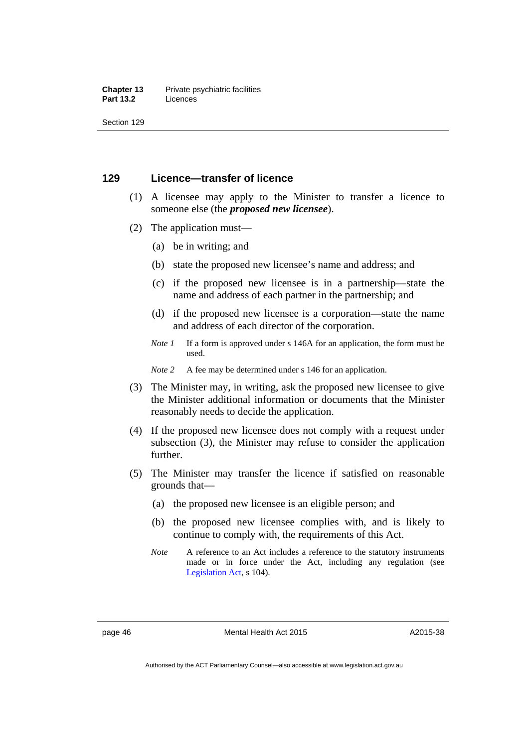#### **Chapter 13** Private psychiatric facilities **Part 13.2** Licences

Section 129

### **129 Licence—transfer of licence**

- (1) A licensee may apply to the Minister to transfer a licence to someone else (the *proposed new licensee*).
- (2) The application must—
	- (a) be in writing; and
	- (b) state the proposed new licensee's name and address; and
	- (c) if the proposed new licensee is in a partnership—state the name and address of each partner in the partnership; and
	- (d) if the proposed new licensee is a corporation—state the name and address of each director of the corporation.
	- *Note 1* If a form is approved under s 146A for an application, the form must be used.

*Note* 2 A fee may be determined under s 146 for an application.

- (3) The Minister may, in writing, ask the proposed new licensee to give the Minister additional information or documents that the Minister reasonably needs to decide the application.
- (4) If the proposed new licensee does not comply with a request under subsection (3), the Minister may refuse to consider the application further.
- (5) The Minister may transfer the licence if satisfied on reasonable grounds that—
	- (a) the proposed new licensee is an eligible person; and
	- (b) the proposed new licensee complies with, and is likely to continue to comply with, the requirements of this Act.
	- *Note* A reference to an Act includes a reference to the statutory instruments made or in force under the Act, including any regulation (see [Legislation Act,](http://www.legislation.act.gov.au/a/2001-14) s 104).

page 46 Mental Health Act 2015

A2015-38

Authorised by the ACT Parliamentary Counsel—also accessible at www.legislation.act.gov.au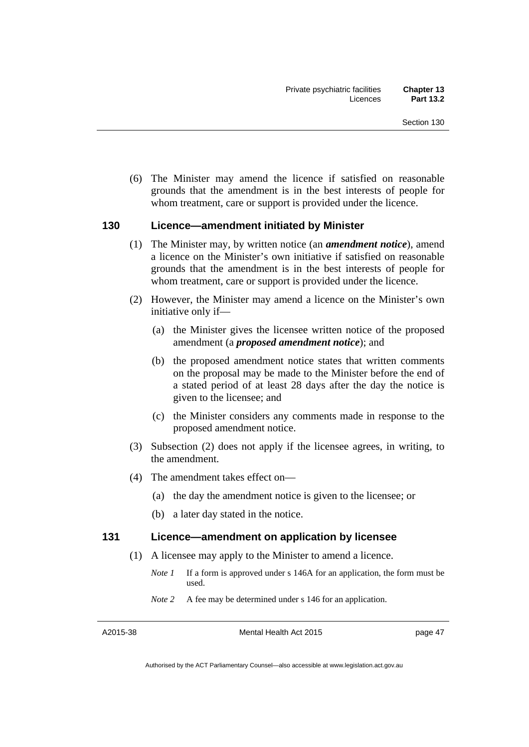(6) The Minister may amend the licence if satisfied on reasonable grounds that the amendment is in the best interests of people for whom treatment, care or support is provided under the licence.

### **130 Licence—amendment initiated by Minister**

- (1) The Minister may, by written notice (an *amendment notice*), amend a licence on the Minister's own initiative if satisfied on reasonable grounds that the amendment is in the best interests of people for whom treatment, care or support is provided under the licence.
- (2) However, the Minister may amend a licence on the Minister's own initiative only if—
	- (a) the Minister gives the licensee written notice of the proposed amendment (a *proposed amendment notice*); and
	- (b) the proposed amendment notice states that written comments on the proposal may be made to the Minister before the end of a stated period of at least 28 days after the day the notice is given to the licensee; and
	- (c) the Minister considers any comments made in response to the proposed amendment notice.
- (3) Subsection (2) does not apply if the licensee agrees, in writing, to the amendment.
- (4) The amendment takes effect on—
	- (a) the day the amendment notice is given to the licensee; or
	- (b) a later day stated in the notice.

#### **131 Licence—amendment on application by licensee**

- (1) A licensee may apply to the Minister to amend a licence.
	- *Note 1* If a form is approved under s 146A for an application, the form must be used.
	- *Note* 2 A fee may be determined under s 146 for an application.

A2015-38

Mental Health Act 2015

page 47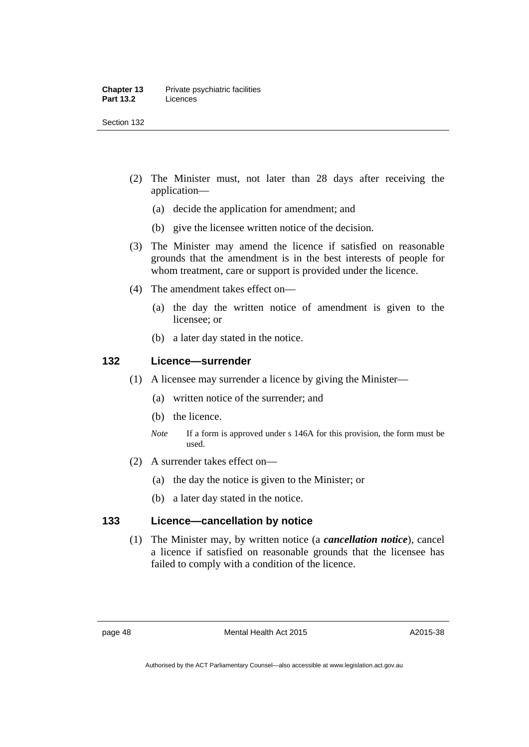#### **Chapter 13** Private psychiatric facilities **Part 13.2** Licences

Section 132

- (2) The Minister must, not later than 28 days after receiving the application—
	- (a) decide the application for amendment; and
	- (b) give the licensee written notice of the decision.
- (3) The Minister may amend the licence if satisfied on reasonable grounds that the amendment is in the best interests of people for whom treatment, care or support is provided under the licence.
- (4) The amendment takes effect on—
	- (a) the day the written notice of amendment is given to the licensee; or
	- (b) a later day stated in the notice.

# **132 Licence—surrender**

- (1) A licensee may surrender a licence by giving the Minister—
	- (a) written notice of the surrender; and
	- (b) the licence.
	- *Note* If a form is approved under s 146A for this provision, the form must be used.
- (2) A surrender takes effect on—
	- (a) the day the notice is given to the Minister; or
	- (b) a later day stated in the notice.

# **133 Licence—cancellation by notice**

(1) The Minister may, by written notice (a *cancellation notice*), cancel a licence if satisfied on reasonable grounds that the licensee has failed to comply with a condition of the licence.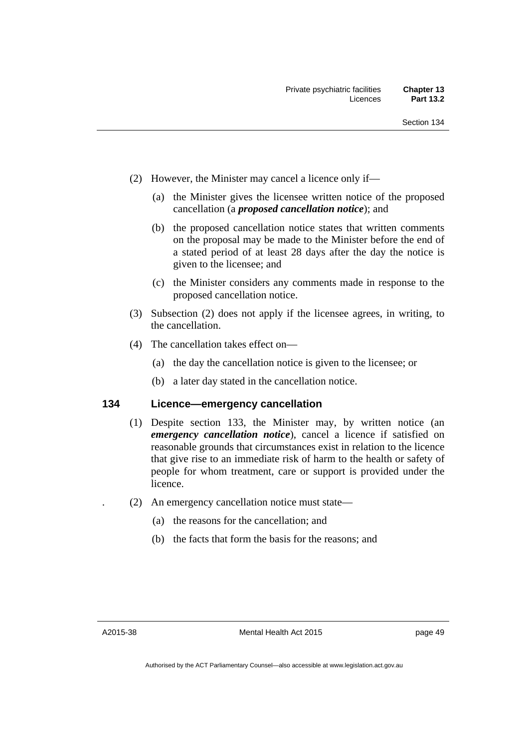- (2) However, the Minister may cancel a licence only if—
	- (a) the Minister gives the licensee written notice of the proposed cancellation (a *proposed cancellation notice*); and
	- (b) the proposed cancellation notice states that written comments on the proposal may be made to the Minister before the end of a stated period of at least 28 days after the day the notice is given to the licensee; and
	- (c) the Minister considers any comments made in response to the proposed cancellation notice.
- (3) Subsection (2) does not apply if the licensee agrees, in writing, to the cancellation.
- (4) The cancellation takes effect on—
	- (a) the day the cancellation notice is given to the licensee; or
	- (b) a later day stated in the cancellation notice.

### **134 Licence—emergency cancellation**

- (1) Despite section 133, the Minister may, by written notice (an *emergency cancellation notice*), cancel a licence if satisfied on reasonable grounds that circumstances exist in relation to the licence that give rise to an immediate risk of harm to the health or safety of people for whom treatment, care or support is provided under the licence.
- . (2) An emergency cancellation notice must state—
	- (a) the reasons for the cancellation; and
	- (b) the facts that form the basis for the reasons; and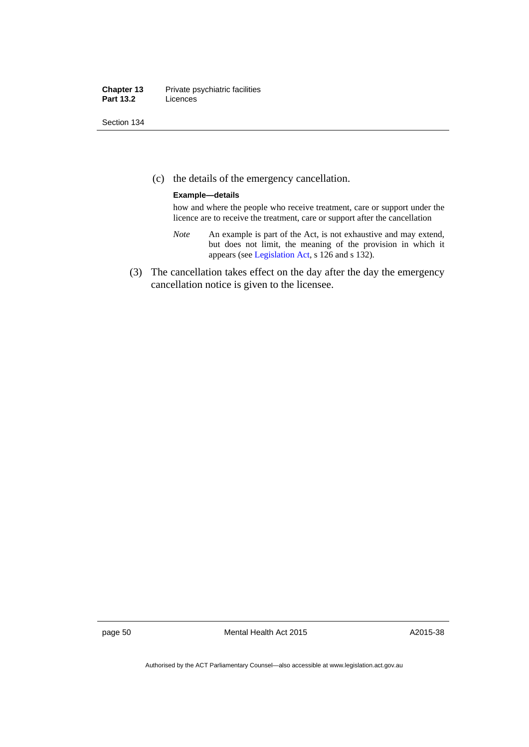#### **Chapter 13** Private psychiatric facilities **Part 13.2** Licences

Section 134

(c) the details of the emergency cancellation.

#### **Example—details**

how and where the people who receive treatment, care or support under the licence are to receive the treatment, care or support after the cancellation

- *Note* An example is part of the Act, is not exhaustive and may extend, but does not limit, the meaning of the provision in which it appears (see [Legislation Act,](http://www.legislation.act.gov.au/a/2001-14) s 126 and s 132).
- (3) The cancellation takes effect on the day after the day the emergency cancellation notice is given to the licensee.

page 50 Mental Health Act 2015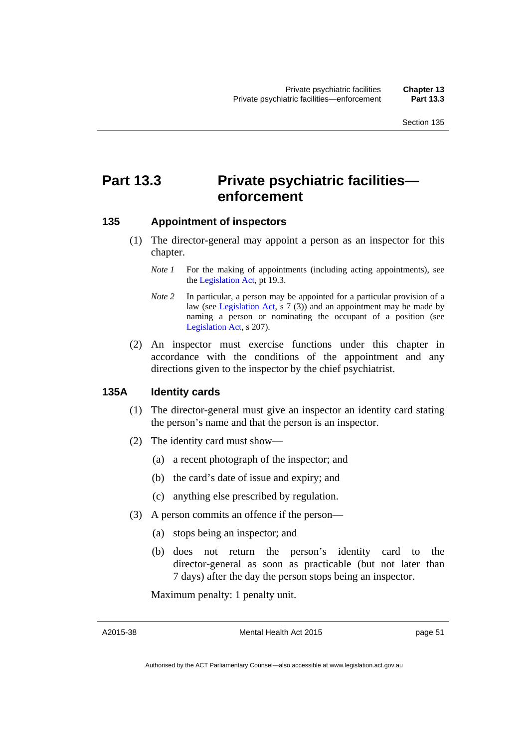# **Part 13.3 Private psychiatric facilities enforcement**

### **135 Appointment of inspectors**

- (1) The director-general may appoint a person as an inspector for this chapter.
	- *Note 1* For the making of appointments (including acting appointments), see the [Legislation Act,](http://www.legislation.act.gov.au/a/2001-14) pt 19.3.
	- *Note 2* In particular, a person may be appointed for a particular provision of a law (see [Legislation Act,](http://www.legislation.act.gov.au/a/2001-14) s 7 (3)) and an appointment may be made by naming a person or nominating the occupant of a position (see [Legislation Act,](http://www.legislation.act.gov.au/a/2001-14) s 207).
- (2) An inspector must exercise functions under this chapter in accordance with the conditions of the appointment and any directions given to the inspector by the chief psychiatrist.

#### **135A Identity cards**

- (1) The director-general must give an inspector an identity card stating the person's name and that the person is an inspector.
- (2) The identity card must show—
	- (a) a recent photograph of the inspector; and
	- (b) the card's date of issue and expiry; and
	- (c) anything else prescribed by regulation.
- (3) A person commits an offence if the person—
	- (a) stops being an inspector; and
	- (b) does not return the person's identity card to the director-general as soon as practicable (but not later than 7 days) after the day the person stops being an inspector.

Maximum penalty: 1 penalty unit.

A2015-38

Mental Health Act 2015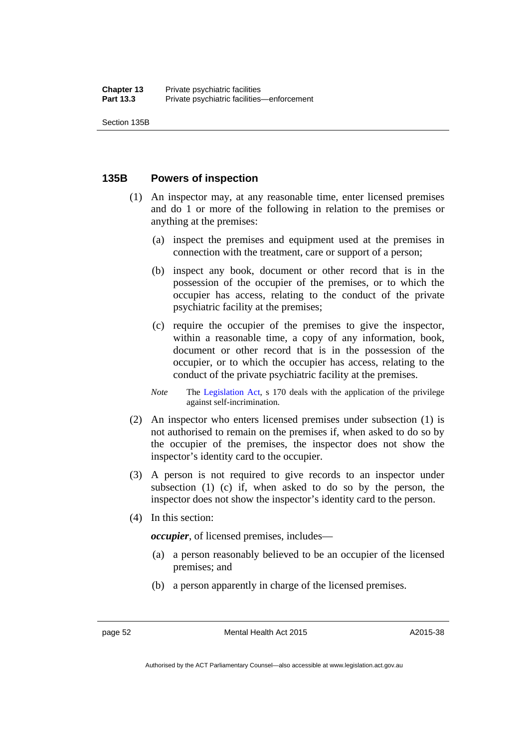# **135B Powers of inspection**

- (1) An inspector may, at any reasonable time, enter licensed premises and do 1 or more of the following in relation to the premises or anything at the premises:
	- (a) inspect the premises and equipment used at the premises in connection with the treatment, care or support of a person;
	- (b) inspect any book, document or other record that is in the possession of the occupier of the premises, or to which the occupier has access, relating to the conduct of the private psychiatric facility at the premises;
	- (c) require the occupier of the premises to give the inspector, within a reasonable time, a copy of any information, book, document or other record that is in the possession of the occupier, or to which the occupier has access, relating to the conduct of the private psychiatric facility at the premises.
	- *Note* The [Legislation Act,](http://www.legislation.act.gov.au/a/2001-14) s 170 deals with the application of the privilege against self-incrimination.
- (2) An inspector who enters licensed premises under subsection (1) is not authorised to remain on the premises if, when asked to do so by the occupier of the premises, the inspector does not show the inspector's identity card to the occupier.
- (3) A person is not required to give records to an inspector under subsection (1) (c) if, when asked to do so by the person, the inspector does not show the inspector's identity card to the person.
- (4) In this section:

*occupier*, of licensed premises, includes—

- (a) a person reasonably believed to be an occupier of the licensed premises; and
- (b) a person apparently in charge of the licensed premises.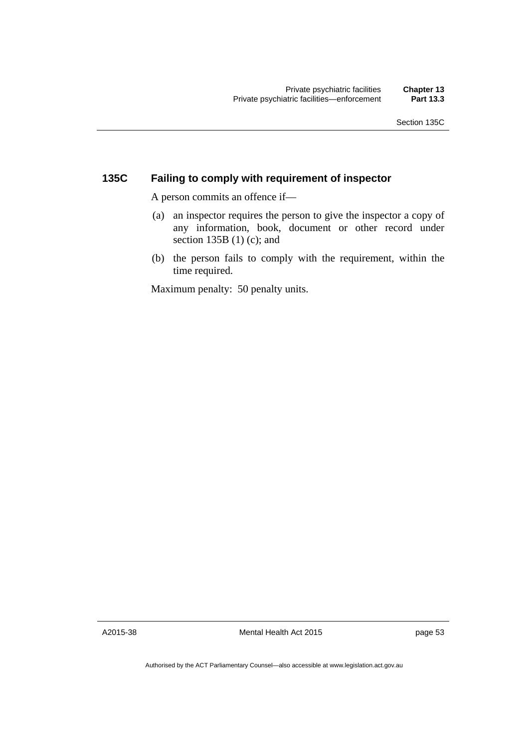# **135C Failing to comply with requirement of inspector**

A person commits an offence if—

- (a) an inspector requires the person to give the inspector a copy of any information, book, document or other record under section 135B  $(1)$  (c); and
- (b) the person fails to comply with the requirement, within the time required.

Maximum penalty: 50 penalty units.

A2015-38

Mental Health Act 2015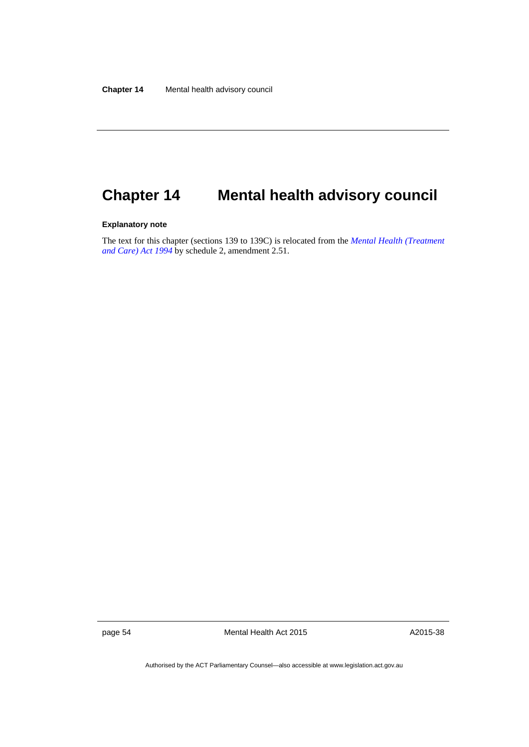# **Chapter 14 Mental health advisory council**

#### **Explanatory note**

The text for this chapter (sections 139 to 139C) is relocated from the *[Mental Health \(Treatment](http://www.legislation.act.gov.au/a/1994-44)  [and Care\) Act 1994](http://www.legislation.act.gov.au/a/1994-44)* by schedule 2, amendment 2.51.

page 54 Mental Health Act 2015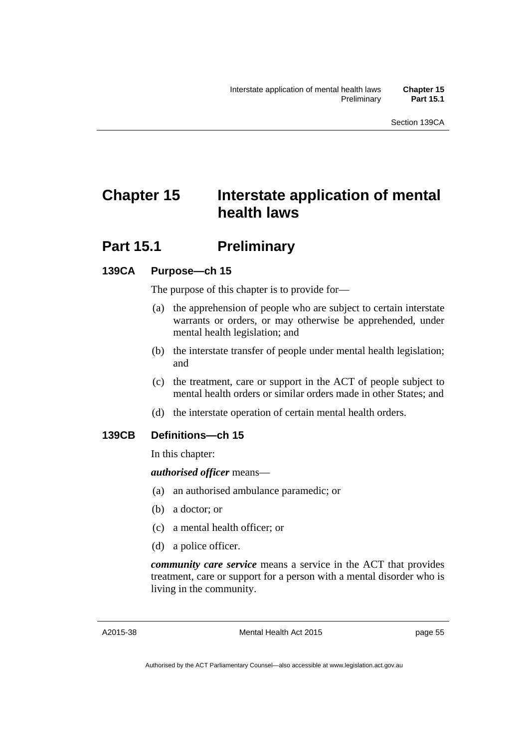# **Chapter 15 Interstate application of mental health laws**

# **Part 15.1** Preliminary

# **139CA Purpose—ch 15**

The purpose of this chapter is to provide for—

- (a) the apprehension of people who are subject to certain interstate warrants or orders, or may otherwise be apprehended, under mental health legislation; and
- (b) the interstate transfer of people under mental health legislation; and
- (c) the treatment, care or support in the ACT of people subject to mental health orders or similar orders made in other States; and
- (d) the interstate operation of certain mental health orders.

# **139CB Definitions—ch 15**

In this chapter:

# *authorised officer* means—

- (a) an authorised ambulance paramedic; or
- (b) a doctor; or
- (c) a mental health officer; or
- (d) a police officer.

*community care service* means a service in the ACT that provides treatment, care or support for a person with a mental disorder who is living in the community.

Mental Health Act 2015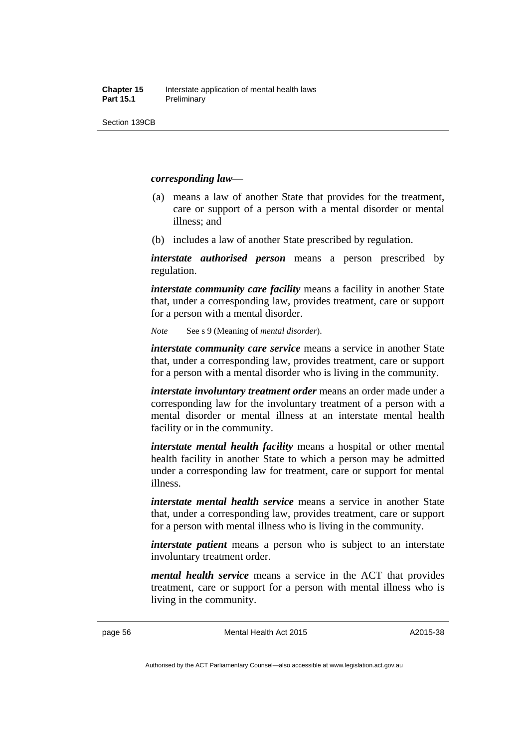#### *corresponding law*—

- (a) means a law of another State that provides for the treatment, care or support of a person with a mental disorder or mental illness; and
- (b) includes a law of another State prescribed by regulation.

*interstate authorised person* means a person prescribed by regulation.

*interstate community care facility* means a facility in another State that, under a corresponding law, provides treatment, care or support for a person with a mental disorder.

*Note* See s 9 (Meaning of *mental disorder*).

*interstate community care service* means a service in another State that, under a corresponding law, provides treatment, care or support for a person with a mental disorder who is living in the community.

*interstate involuntary treatment order* means an order made under a corresponding law for the involuntary treatment of a person with a mental disorder or mental illness at an interstate mental health facility or in the community.

*interstate mental health facility* means a hospital or other mental health facility in another State to which a person may be admitted under a corresponding law for treatment, care or support for mental illness.

*interstate mental health service* means a service in another State that, under a corresponding law, provides treatment, care or support for a person with mental illness who is living in the community.

*interstate patient* means a person who is subject to an interstate involuntary treatment order.

*mental health service* means a service in the ACT that provides treatment, care or support for a person with mental illness who is living in the community.

page 56 Mental Health Act 2015

A2015-38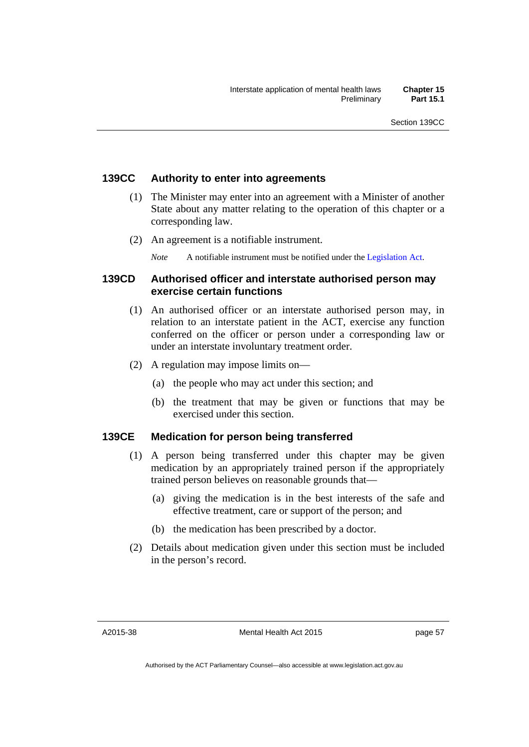# **139CC Authority to enter into agreements**

- (1) The Minister may enter into an agreement with a Minister of another State about any matter relating to the operation of this chapter or a corresponding law.
- (2) An agreement is a notifiable instrument.
	- *Note* A notifiable instrument must be notified under the [Legislation Act](http://www.legislation.act.gov.au/a/2001-14).

# **139CD Authorised officer and interstate authorised person may exercise certain functions**

- (1) An authorised officer or an interstate authorised person may, in relation to an interstate patient in the ACT, exercise any function conferred on the officer or person under a corresponding law or under an interstate involuntary treatment order.
- (2) A regulation may impose limits on—
	- (a) the people who may act under this section; and
	- (b) the treatment that may be given or functions that may be exercised under this section.

# **139CE Medication for person being transferred**

- (1) A person being transferred under this chapter may be given medication by an appropriately trained person if the appropriately trained person believes on reasonable grounds that—
	- (a) giving the medication is in the best interests of the safe and effective treatment, care or support of the person; and
	- (b) the medication has been prescribed by a doctor.
- (2) Details about medication given under this section must be included in the person's record.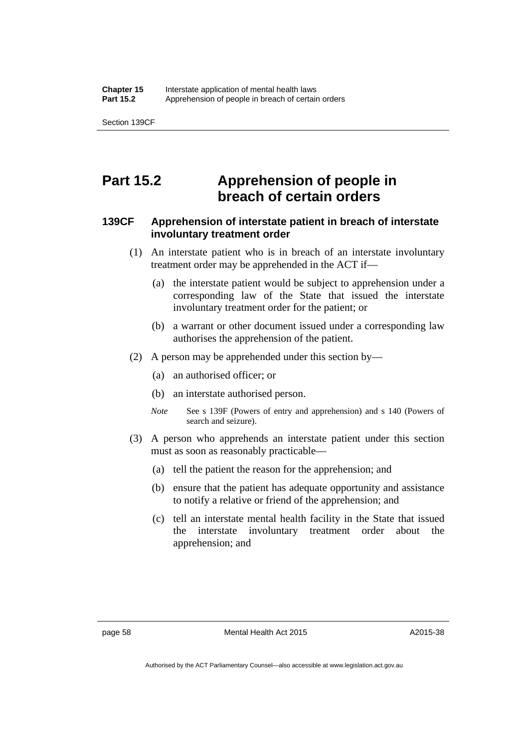Section 139CF

# **Part 15.2 Apprehension of people in breach of certain orders**

# **139CF Apprehension of interstate patient in breach of interstate involuntary treatment order**

- (1) An interstate patient who is in breach of an interstate involuntary treatment order may be apprehended in the ACT if—
	- (a) the interstate patient would be subject to apprehension under a corresponding law of the State that issued the interstate involuntary treatment order for the patient; or
	- (b) a warrant or other document issued under a corresponding law authorises the apprehension of the patient.
- (2) A person may be apprehended under this section by—
	- (a) an authorised officer; or
	- (b) an interstate authorised person.
	- *Note* See s 139F (Powers of entry and apprehension) and s 140 (Powers of search and seizure).
- (3) A person who apprehends an interstate patient under this section must as soon as reasonably practicable—
	- (a) tell the patient the reason for the apprehension; and
	- (b) ensure that the patient has adequate opportunity and assistance to notify a relative or friend of the apprehension; and
	- (c) tell an interstate mental health facility in the State that issued the interstate involuntary treatment order about the apprehension; and

Authorised by the ACT Parliamentary Counsel—also accessible at www.legislation.act.gov.au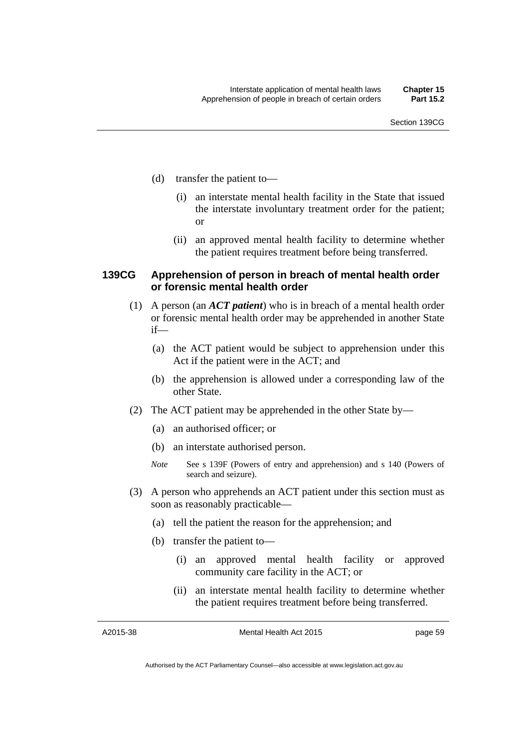- (d) transfer the patient to—
	- (i) an interstate mental health facility in the State that issued the interstate involuntary treatment order for the patient; or
	- (ii) an approved mental health facility to determine whether the patient requires treatment before being transferred.

### **139CG Apprehension of person in breach of mental health order or forensic mental health order**

- (1) A person (an *ACT patient*) who is in breach of a mental health order or forensic mental health order may be apprehended in another State if—
	- (a) the ACT patient would be subject to apprehension under this Act if the patient were in the ACT; and
	- (b) the apprehension is allowed under a corresponding law of the other State.
- (2) The ACT patient may be apprehended in the other State by—
	- (a) an authorised officer; or
	- (b) an interstate authorised person.
	- *Note* See s 139F (Powers of entry and apprehension) and s 140 (Powers of search and seizure).
- (3) A person who apprehends an ACT patient under this section must as soon as reasonably practicable—
	- (a) tell the patient the reason for the apprehension; and
	- (b) transfer the patient to—
		- (i) an approved mental health facility or approved community care facility in the ACT; or
		- (ii) an interstate mental health facility to determine whether the patient requires treatment before being transferred.

A2015-38

Mental Health Act 2015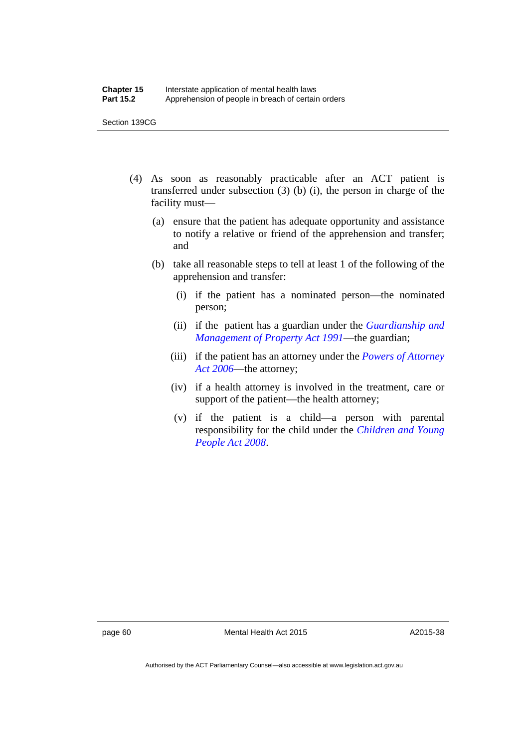- (4) As soon as reasonably practicable after an ACT patient is transferred under subsection  $(3)$  (b)  $(i)$ , the person in charge of the facility must—
	- (a) ensure that the patient has adequate opportunity and assistance to notify a relative or friend of the apprehension and transfer; and
	- (b) take all reasonable steps to tell at least 1 of the following of the apprehension and transfer:
		- (i) if the patient has a nominated person—the nominated person;
		- (ii) if the patient has a guardian under the *[Guardianship and](http://www.legislation.act.gov.au/a/1991-62)  [Management of Property Act 1991](http://www.legislation.act.gov.au/a/1991-62)*—the guardian;
		- (iii) if the patient has an attorney under the *[Powers of Attorney](http://www.legislation.act.gov.au/a/2006-50)  [Act 2006](http://www.legislation.act.gov.au/a/2006-50)*—the attorney;
		- (iv) if a health attorney is involved in the treatment, care or support of the patient—the health attorney;
		- (v) if the patient is a child—a person with parental responsibility for the child under the *[Children and Young](http://www.legislation.act.gov.au/a/2008-19)  [People Act 2008](http://www.legislation.act.gov.au/a/2008-19)*.

page 60 Mental Health Act 2015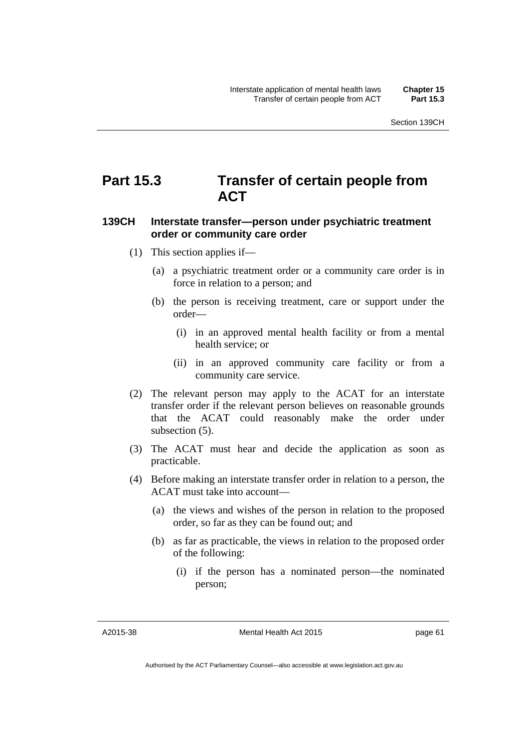# **Part 15.3 Transfer of certain people from ACT**

# **139CH Interstate transfer—person under psychiatric treatment order or community care order**

- (1) This section applies if—
	- (a) a psychiatric treatment order or a community care order is in force in relation to a person; and
	- (b) the person is receiving treatment, care or support under the order—
		- (i) in an approved mental health facility or from a mental health service; or
		- (ii) in an approved community care facility or from a community care service.
- (2) The relevant person may apply to the ACAT for an interstate transfer order if the relevant person believes on reasonable grounds that the ACAT could reasonably make the order under subsection (5).
- (3) The ACAT must hear and decide the application as soon as practicable.
- (4) Before making an interstate transfer order in relation to a person, the ACAT must take into account—
	- (a) the views and wishes of the person in relation to the proposed order, so far as they can be found out; and
	- (b) as far as practicable, the views in relation to the proposed order of the following:
		- (i) if the person has a nominated person—the nominated person;

A2015-38

Mental Health Act 2015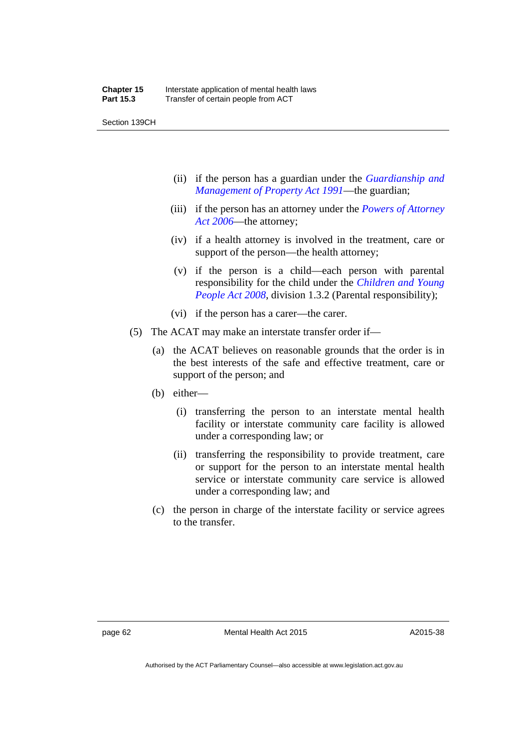Section 139CH

- (ii) if the person has a guardian under the *[Guardianship and](http://www.legislation.act.gov.au/a/1991-62)  [Management of Property Act 1991](http://www.legislation.act.gov.au/a/1991-62)*—the guardian;
- (iii) if the person has an attorney under the *[Powers of Attorney](http://www.legislation.act.gov.au/a/2006-50)  [Act 2006](http://www.legislation.act.gov.au/a/2006-50)*—the attorney;
- (iv) if a health attorney is involved in the treatment, care or support of the person—the health attorney;
- (v) if the person is a child—each person with parental responsibility for the child under the *[Children and Young](http://www.legislation.act.gov.au/a/2008-19)  [People Act 2008](http://www.legislation.act.gov.au/a/2008-19)*, division 1.3.2 (Parental responsibility);
- (vi) if the person has a carer—the carer.
- (5) The ACAT may make an interstate transfer order if—
	- (a) the ACAT believes on reasonable grounds that the order is in the best interests of the safe and effective treatment, care or support of the person; and
	- (b) either—
		- (i) transferring the person to an interstate mental health facility or interstate community care facility is allowed under a corresponding law; or
		- (ii) transferring the responsibility to provide treatment, care or support for the person to an interstate mental health service or interstate community care service is allowed under a corresponding law; and
	- (c) the person in charge of the interstate facility or service agrees to the transfer.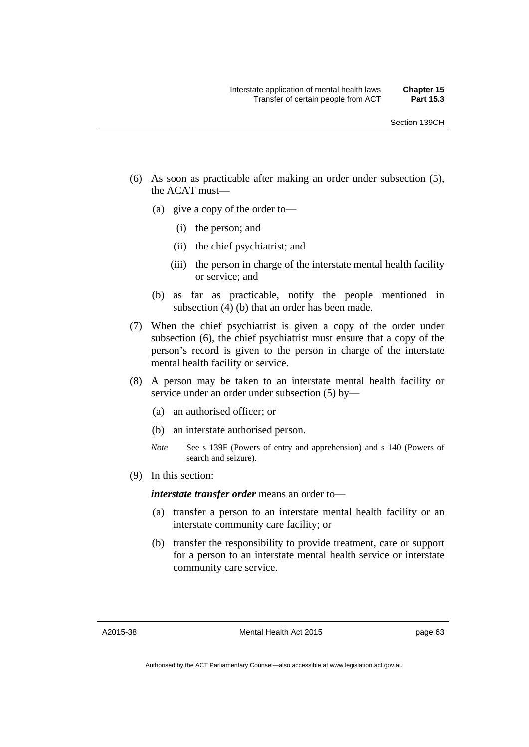- (6) As soon as practicable after making an order under subsection (5), the ACAT must—
	- (a) give a copy of the order to—
		- (i) the person; and
		- (ii) the chief psychiatrist; and
		- (iii) the person in charge of the interstate mental health facility or service; and
	- (b) as far as practicable, notify the people mentioned in subsection (4) (b) that an order has been made.
- (7) When the chief psychiatrist is given a copy of the order under subsection (6), the chief psychiatrist must ensure that a copy of the person's record is given to the person in charge of the interstate mental health facility or service.
- (8) A person may be taken to an interstate mental health facility or service under an order under subsection (5) by—
	- (a) an authorised officer; or
	- (b) an interstate authorised person.
	- *Note* See s 139F (Powers of entry and apprehension) and s 140 (Powers of search and seizure).
- (9) In this section:

*interstate transfer order* means an order to—

- (a) transfer a person to an interstate mental health facility or an interstate community care facility; or
- (b) transfer the responsibility to provide treatment, care or support for a person to an interstate mental health service or interstate community care service.

A2015-38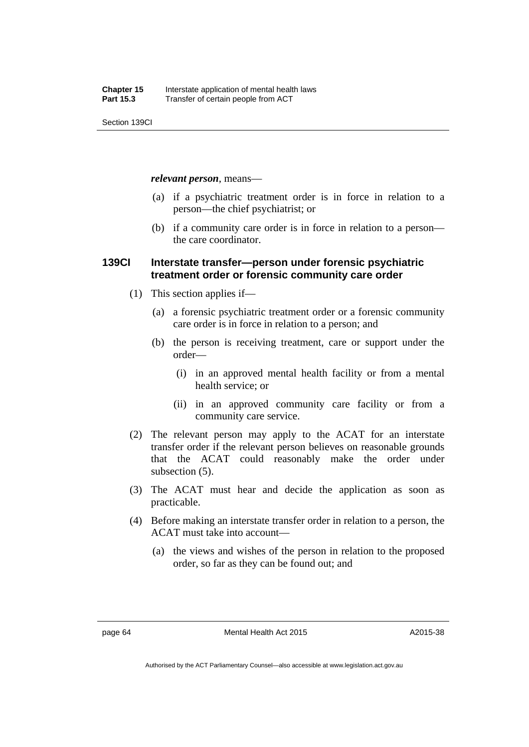Section 139CI

*relevant person*, means—

- (a) if a psychiatric treatment order is in force in relation to a person—the chief psychiatrist; or
- (b) if a community care order is in force in relation to a person the care coordinator.

## **139CI Interstate transfer—person under forensic psychiatric treatment order or forensic community care order**

- (1) This section applies if—
	- (a) a forensic psychiatric treatment order or a forensic community care order is in force in relation to a person; and
	- (b) the person is receiving treatment, care or support under the order—
		- (i) in an approved mental health facility or from a mental health service; or
		- (ii) in an approved community care facility or from a community care service.
- (2) The relevant person may apply to the ACAT for an interstate transfer order if the relevant person believes on reasonable grounds that the ACAT could reasonably make the order under subsection  $(5)$ .
- (3) The ACAT must hear and decide the application as soon as practicable.
- (4) Before making an interstate transfer order in relation to a person, the ACAT must take into account—
	- (a) the views and wishes of the person in relation to the proposed order, so far as they can be found out; and

Authorised by the ACT Parliamentary Counsel—also accessible at www.legislation.act.gov.au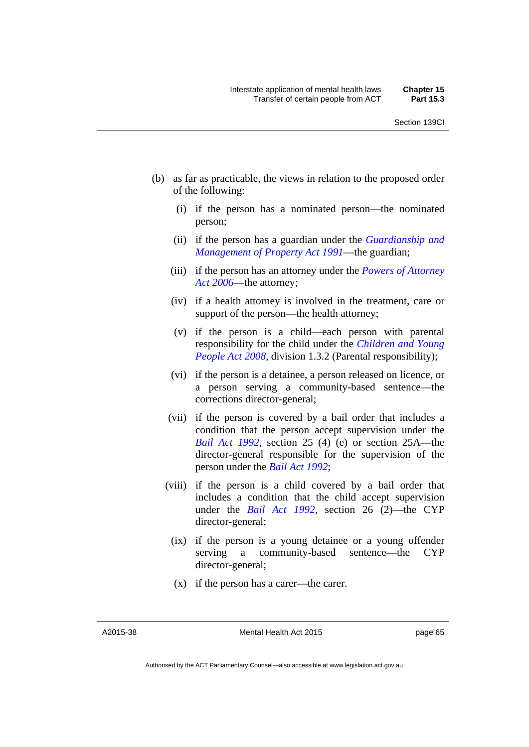- (b) as far as practicable, the views in relation to the proposed order of the following:
	- (i) if the person has a nominated person—the nominated person;
	- (ii) if the person has a guardian under the *[Guardianship and](http://www.legislation.act.gov.au/a/1991-62)  [Management of Property Act 1991](http://www.legislation.act.gov.au/a/1991-62)*—the guardian;
	- (iii) if the person has an attorney under the *[Powers of Attorney](http://www.legislation.act.gov.au/a/2006-50)  [Act 2006](http://www.legislation.act.gov.au/a/2006-50)*—the attorney;
	- (iv) if a health attorney is involved in the treatment, care or support of the person—the health attorney;
	- (v) if the person is a child—each person with parental responsibility for the child under the *[Children and Young](http://www.legislation.act.gov.au/a/2008-19)  [People Act 2008](http://www.legislation.act.gov.au/a/2008-19)*, division 1.3.2 (Parental responsibility);
	- (vi) if the person is a detainee, a person released on licence, or a person serving a community-based sentence—the corrections director-general;
	- (vii) if the person is covered by a bail order that includes a condition that the person accept supervision under the *[Bail Act 1992](http://www.legislation.act.gov.au/a/1992-8)*, section 25 (4) (e) or section 25A—the director-general responsible for the supervision of the person under the *[Bail Act 1992](http://www.legislation.act.gov.au/a/1992-8)*;
	- (viii) if the person is a child covered by a bail order that includes a condition that the child accept supervision under the *[Bail Act 1992](http://www.legislation.act.gov.au/a/1992-8)*, section 26 (2)—the CYP director-general;
		- (ix) if the person is a young detainee or a young offender serving a community-based sentence—the CYP director-general;
		- (x) if the person has a carer—the carer.

A2015-38

Mental Health Act 2015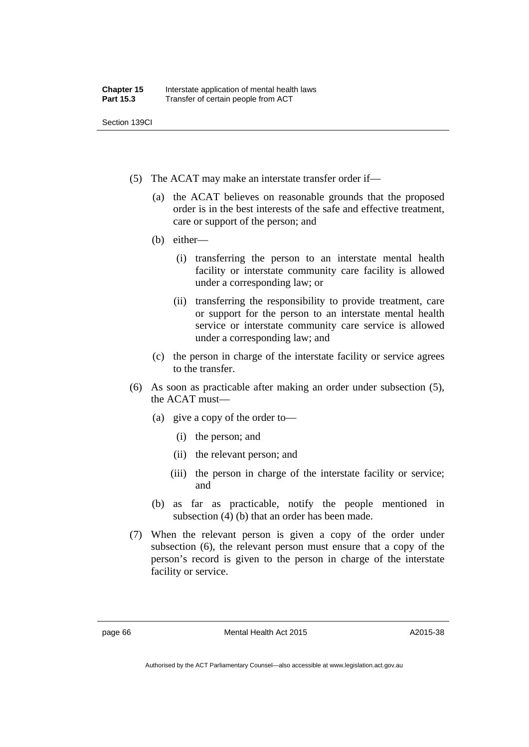Section 139CI

- (5) The ACAT may make an interstate transfer order if—
	- (a) the ACAT believes on reasonable grounds that the proposed order is in the best interests of the safe and effective treatment, care or support of the person; and
	- (b) either—
		- (i) transferring the person to an interstate mental health facility or interstate community care facility is allowed under a corresponding law; or
		- (ii) transferring the responsibility to provide treatment, care or support for the person to an interstate mental health service or interstate community care service is allowed under a corresponding law; and
	- (c) the person in charge of the interstate facility or service agrees to the transfer.
- (6) As soon as practicable after making an order under subsection (5), the ACAT must—
	- (a) give a copy of the order to—
		- (i) the person; and
		- (ii) the relevant person; and
		- (iii) the person in charge of the interstate facility or service; and
	- (b) as far as practicable, notify the people mentioned in subsection (4) (b) that an order has been made.
- (7) When the relevant person is given a copy of the order under subsection (6), the relevant person must ensure that a copy of the person's record is given to the person in charge of the interstate facility or service.

page 66 Mental Health Act 2015

Authorised by the ACT Parliamentary Counsel—also accessible at www.legislation.act.gov.au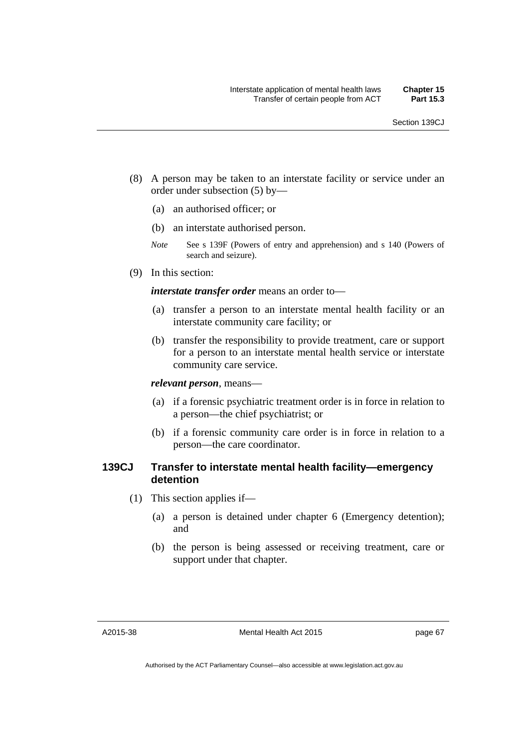- (8) A person may be taken to an interstate facility or service under an order under subsection (5) by—
	- (a) an authorised officer; or
	- (b) an interstate authorised person.
	- *Note* See s 139F (Powers of entry and apprehension) and s 140 (Powers of search and seizure).
- (9) In this section:

*interstate transfer order* means an order to—

- (a) transfer a person to an interstate mental health facility or an interstate community care facility; or
- (b) transfer the responsibility to provide treatment, care or support for a person to an interstate mental health service or interstate community care service.

*relevant person*, means—

- (a) if a forensic psychiatric treatment order is in force in relation to a person—the chief psychiatrist; or
- (b) if a forensic community care order is in force in relation to a person—the care coordinator.

# **139CJ Transfer to interstate mental health facility—emergency detention**

- (1) This section applies if—
	- (a) a person is detained under chapter 6 (Emergency detention); and
	- (b) the person is being assessed or receiving treatment, care or support under that chapter.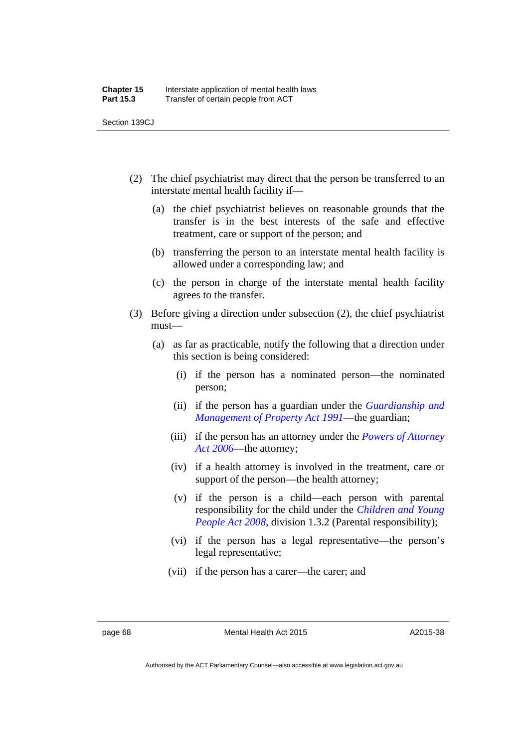Section 139CJ

- (2) The chief psychiatrist may direct that the person be transferred to an interstate mental health facility if—
	- (a) the chief psychiatrist believes on reasonable grounds that the transfer is in the best interests of the safe and effective treatment, care or support of the person; and
	- (b) transferring the person to an interstate mental health facility is allowed under a corresponding law; and
	- (c) the person in charge of the interstate mental health facility agrees to the transfer.
- (3) Before giving a direction under subsection (2), the chief psychiatrist must—
	- (a) as far as practicable, notify the following that a direction under this section is being considered:
		- (i) if the person has a nominated person—the nominated person;
		- (ii) if the person has a guardian under the *[Guardianship and](http://www.legislation.act.gov.au/a/1991-62)  [Management of Property Act 1991](http://www.legislation.act.gov.au/a/1991-62)*—the guardian;
		- (iii) if the person has an attorney under the *[Powers of Attorney](http://www.legislation.act.gov.au/a/2006-50)  [Act 2006](http://www.legislation.act.gov.au/a/2006-50)*—the attorney;
		- (iv) if a health attorney is involved in the treatment, care or support of the person—the health attorney;
		- (v) if the person is a child—each person with parental responsibility for the child under the *[Children and Young](http://www.legislation.act.gov.au/a/2008-19)  [People Act 2008](http://www.legislation.act.gov.au/a/2008-19)*, division 1.3.2 (Parental responsibility);
		- (vi) if the person has a legal representative—the person's legal representative;
		- (vii) if the person has a carer—the carer; and

page 68 Mental Health Act 2015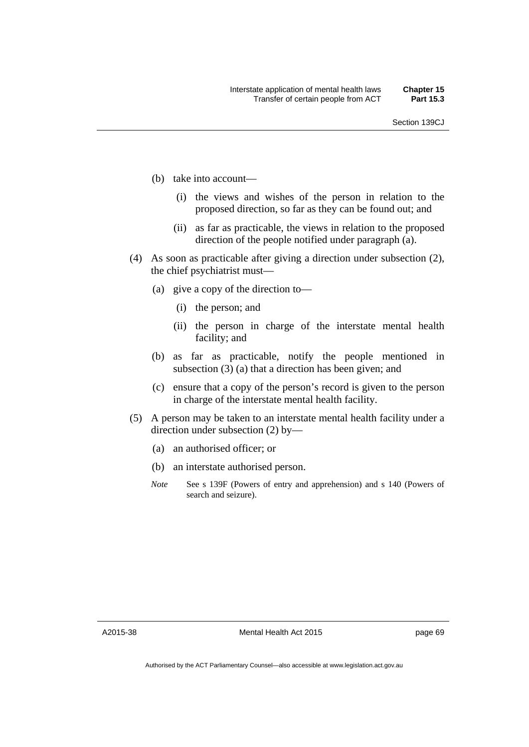- (b) take into account—
	- (i) the views and wishes of the person in relation to the proposed direction, so far as they can be found out; and
	- (ii) as far as practicable, the views in relation to the proposed direction of the people notified under paragraph (a).
- (4) As soon as practicable after giving a direction under subsection (2), the chief psychiatrist must—
	- (a) give a copy of the direction to—
		- (i) the person; and
		- (ii) the person in charge of the interstate mental health facility; and
	- (b) as far as practicable, notify the people mentioned in subsection (3) (a) that a direction has been given; and
	- (c) ensure that a copy of the person's record is given to the person in charge of the interstate mental health facility.
- (5) A person may be taken to an interstate mental health facility under a direction under subsection (2) by—
	- (a) an authorised officer; or
	- (b) an interstate authorised person.
	- *Note* See s 139F (Powers of entry and apprehension) and s 140 (Powers of search and seizure).

A2015-38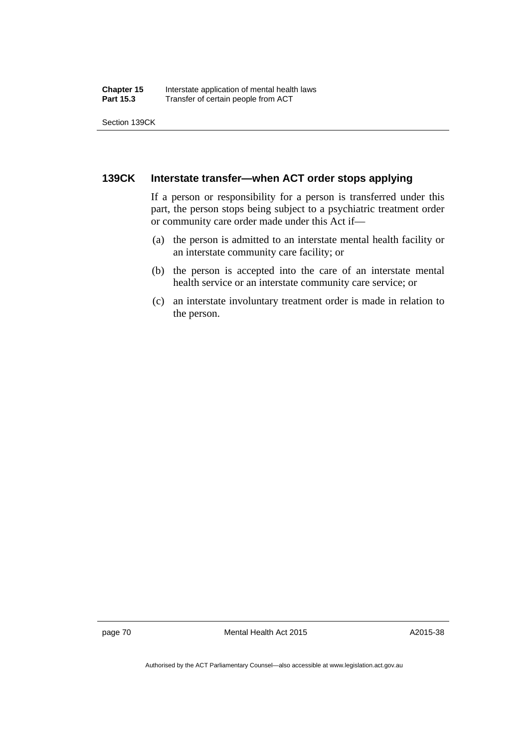Section 139CK

## **139CK Interstate transfer—when ACT order stops applying**

If a person or responsibility for a person is transferred under this part, the person stops being subject to a psychiatric treatment order or community care order made under this Act if—

- (a) the person is admitted to an interstate mental health facility or an interstate community care facility; or
- (b) the person is accepted into the care of an interstate mental health service or an interstate community care service; or
- (c) an interstate involuntary treatment order is made in relation to the person.

page 70 Mental Health Act 2015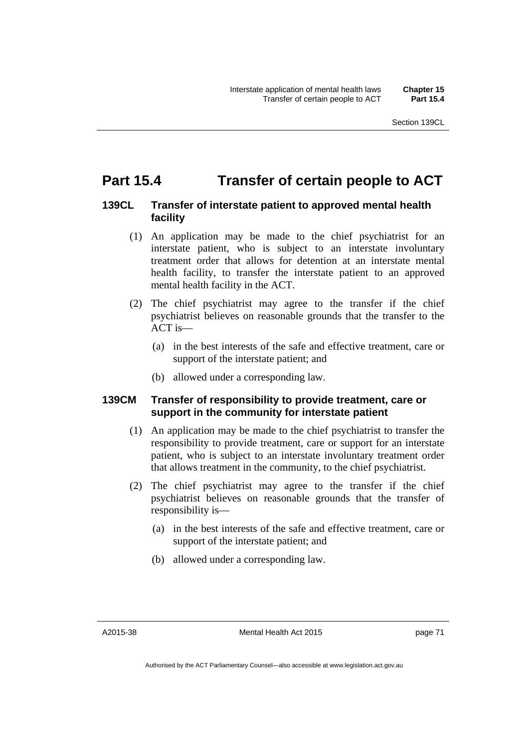# **Part 15.4 Transfer of certain people to ACT**

# **139CL Transfer of interstate patient to approved mental health facility**

- (1) An application may be made to the chief psychiatrist for an interstate patient, who is subject to an interstate involuntary treatment order that allows for detention at an interstate mental health facility, to transfer the interstate patient to an approved mental health facility in the ACT.
- (2) The chief psychiatrist may agree to the transfer if the chief psychiatrist believes on reasonable grounds that the transfer to the ACT is—
	- (a) in the best interests of the safe and effective treatment, care or support of the interstate patient; and
	- (b) allowed under a corresponding law.

# **139CM Transfer of responsibility to provide treatment, care or support in the community for interstate patient**

- (1) An application may be made to the chief psychiatrist to transfer the responsibility to provide treatment, care or support for an interstate patient, who is subject to an interstate involuntary treatment order that allows treatment in the community, to the chief psychiatrist.
- (2) The chief psychiatrist may agree to the transfer if the chief psychiatrist believes on reasonable grounds that the transfer of responsibility is—
	- (a) in the best interests of the safe and effective treatment, care or support of the interstate patient; and
	- (b) allowed under a corresponding law.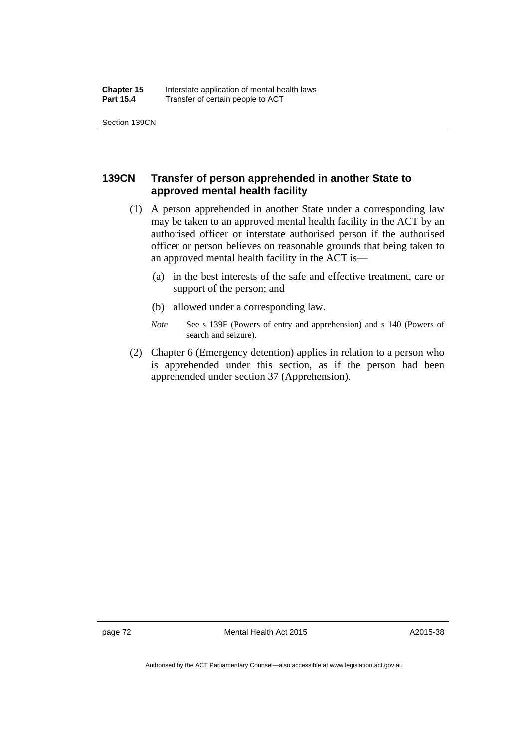# **139CN Transfer of person apprehended in another State to approved mental health facility**

- (1) A person apprehended in another State under a corresponding law may be taken to an approved mental health facility in the ACT by an authorised officer or interstate authorised person if the authorised officer or person believes on reasonable grounds that being taken to an approved mental health facility in the ACT is—
	- (a) in the best interests of the safe and effective treatment, care or support of the person; and
	- (b) allowed under a corresponding law.
	- *Note* See s 139F (Powers of entry and apprehension) and s 140 (Powers of search and seizure).
- (2) Chapter 6 (Emergency detention) applies in relation to a person who is apprehended under this section, as if the person had been apprehended under section 37 (Apprehension).

page 72 Mental Health Act 2015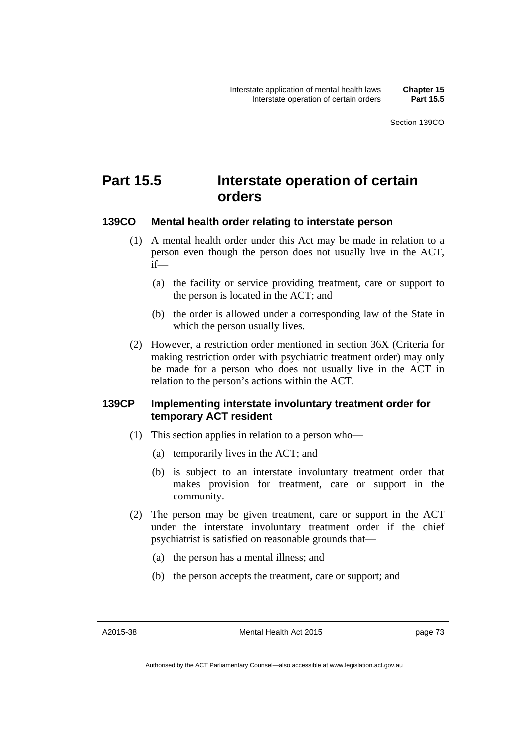# **Part 15.5 Interstate operation of certain orders**

## **139CO Mental health order relating to interstate person**

- (1) A mental health order under this Act may be made in relation to a person even though the person does not usually live in the ACT, if—
	- (a) the facility or service providing treatment, care or support to the person is located in the ACT; and
	- (b) the order is allowed under a corresponding law of the State in which the person usually lives.
- (2) However, a restriction order mentioned in section 36X (Criteria for making restriction order with psychiatric treatment order) may only be made for a person who does not usually live in the ACT in relation to the person's actions within the ACT.

## **139CP Implementing interstate involuntary treatment order for temporary ACT resident**

- (1) This section applies in relation to a person who—
	- (a) temporarily lives in the ACT; and
	- (b) is subject to an interstate involuntary treatment order that makes provision for treatment, care or support in the community.
- (2) The person may be given treatment, care or support in the ACT under the interstate involuntary treatment order if the chief psychiatrist is satisfied on reasonable grounds that—
	- (a) the person has a mental illness; and
	- (b) the person accepts the treatment, care or support; and

A2015-38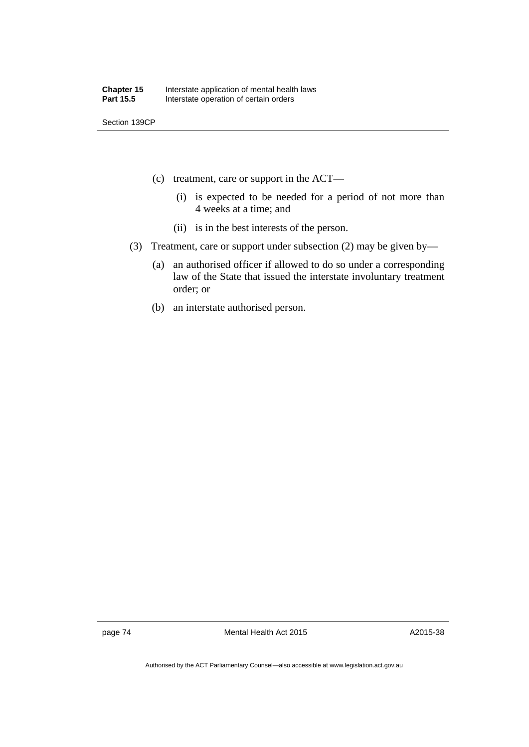Section 139CP

- (c) treatment, care or support in the ACT—
	- (i) is expected to be needed for a period of not more than 4 weeks at a time; and
	- (ii) is in the best interests of the person.
- (3) Treatment, care or support under subsection (2) may be given by—
	- (a) an authorised officer if allowed to do so under a corresponding law of the State that issued the interstate involuntary treatment order; or
	- (b) an interstate authorised person.

page 74 Mental Health Act 2015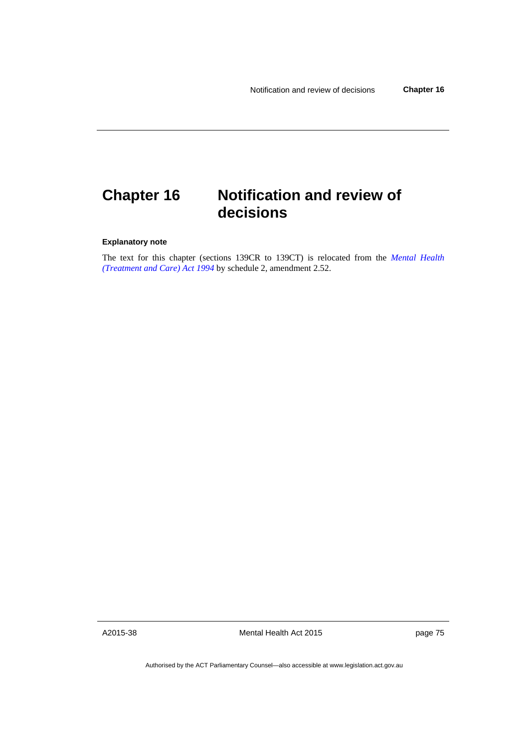# **Chapter 16 Notification and review of decisions**

#### **Explanatory note**

The text for this chapter (sections 139CR to 139CT) is relocated from the *[Mental Health](http://www.legislation.act.gov.au/a/1994-44)  [\(Treatment and Care\) Act 1994](http://www.legislation.act.gov.au/a/1994-44)* by schedule 2, amendment 2.52.

A2015-38

Mental Health Act 2015

page 75

Authorised by the ACT Parliamentary Counsel—also accessible at www.legislation.act.gov.au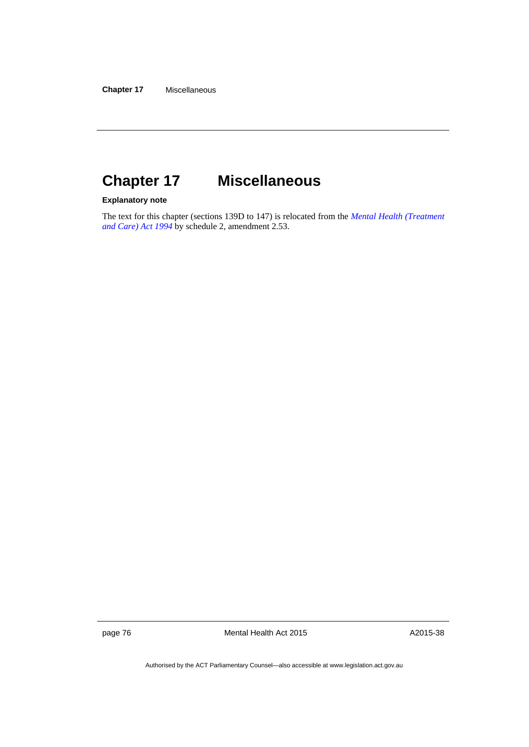# **Chapter 17 Miscellaneous**

**Explanatory note** 

The text for this chapter (sections 139D to 147) is relocated from the *[Mental Health \(Treatment](http://www.legislation.act.gov.au/a/1994-44)  [and Care\) Act 1994](http://www.legislation.act.gov.au/a/1994-44)* by schedule 2, amendment 2.53.

page 76 Mental Health Act 2015

A2015-38

Authorised by the ACT Parliamentary Counsel—also accessible at www.legislation.act.gov.au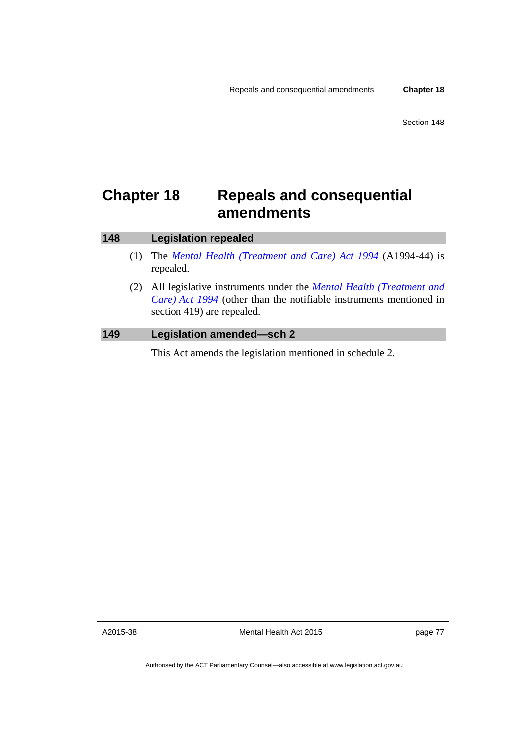# **Chapter 18 Repeals and consequential amendments**

| 148 | <b>Legislation repealed</b>                                                                                                                                                           |
|-----|---------------------------------------------------------------------------------------------------------------------------------------------------------------------------------------|
|     | The <i>Mental Health (Treatment and Care) Act 1994 (A1994-44)</i> is<br>repealed.                                                                                                     |
|     | All legislative instruments under the <i>Mental Health</i> ( <i>Treatment and</i><br>Care) Act 1994 (other than the notifiable instruments mentioned in<br>section 419) are repealed. |
| 149 | <b>Legislation amended-sch 2</b>                                                                                                                                                      |

This Act amends the legislation mentioned in schedule 2.

A2015-38

Mental Health Act 2015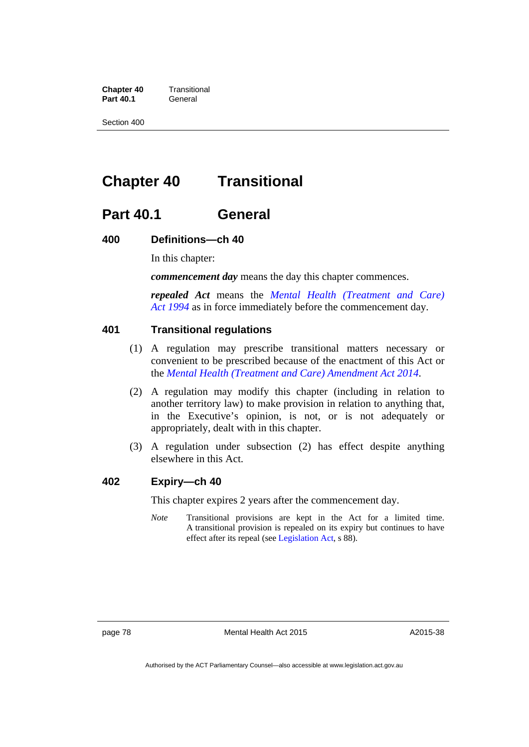**Chapter 40** Transitional Part 40.1 **General** 

Section 400

# **Chapter 40 Transitional**

# **Part 40.1 General**

#### **400 Definitions—ch 40**

In this chapter:

*commencement day* means the day this chapter commences.

*repealed Act* means the *[Mental Health \(Treatment and Care\)](http://www.legislation.act.gov.au/a/1994-44)  [Act 1994](http://www.legislation.act.gov.au/a/1994-44)* as in force immediately before the commencement day.

## **401 Transitional regulations**

- (1) A regulation may prescribe transitional matters necessary or convenient to be prescribed because of the enactment of this Act or the *[Mental Health \(Treatment and Care\) Amendment Act 2014](http://www.legislation.act.gov.au/a/2014-51/default.asp)*.
- (2) A regulation may modify this chapter (including in relation to another territory law) to make provision in relation to anything that, in the Executive's opinion, is not, or is not adequately or appropriately, dealt with in this chapter.
- (3) A regulation under subsection (2) has effect despite anything elsewhere in this Act.

### **402 Expiry—ch 40**

This chapter expires 2 years after the commencement day.

*Note* Transitional provisions are kept in the Act for a limited time. A transitional provision is repealed on its expiry but continues to have effect after its repeal (see [Legislation Act,](http://www.legislation.act.gov.au/a/2001-14) s 88).

page 78 Mental Health Act 2015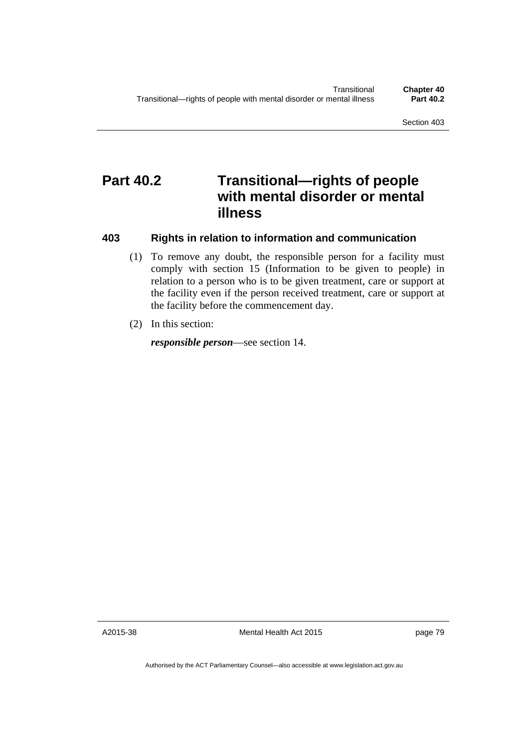# **Part 40.2 Transitional—rights of people with mental disorder or mental illness**

#### **403 Rights in relation to information and communication**

- (1) To remove any doubt, the responsible person for a facility must comply with section 15 (Information to be given to people) in relation to a person who is to be given treatment, care or support at the facility even if the person received treatment, care or support at the facility before the commencement day.
- (2) In this section:

*responsible person*—see section 14.

A2015-38

Mental Health Act 2015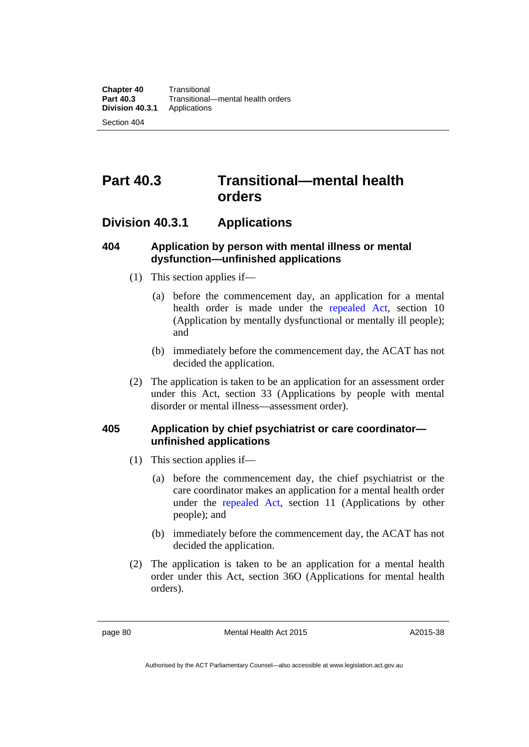# **Part 40.3 Transitional—mental health orders**

# **Division 40.3.1 Applications**

# **404 Application by person with mental illness or mental dysfunction—unfinished applications**

- (1) This section applies if—
	- (a) before the commencement day, an application for a mental health order is made under the [repealed Act](http://www.legislation.act.gov.au/a/1994-44), section 10 (Application by mentally dysfunctional or mentally ill people); and
	- (b) immediately before the commencement day, the ACAT has not decided the application.
- (2) The application is taken to be an application for an assessment order under this Act, section 33 (Applications by people with mental disorder or mental illness—assessment order).

# **405 Application by chief psychiatrist or care coordinator unfinished applications**

- (1) This section applies if—
	- (a) before the commencement day, the chief psychiatrist or the care coordinator makes an application for a mental health order under the [repealed Act](http://www.legislation.act.gov.au/a/1994-44), section 11 (Applications by other people); and
	- (b) immediately before the commencement day, the ACAT has not decided the application.
- (2) The application is taken to be an application for a mental health order under this Act, section 36O (Applications for mental health orders).

page 80 Mental Health Act 2015

Authorised by the ACT Parliamentary Counsel—also accessible at www.legislation.act.gov.au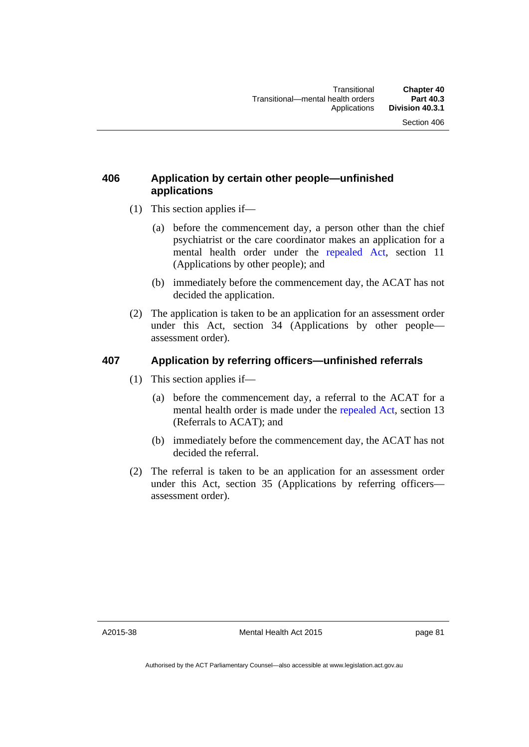# **406 Application by certain other people—unfinished applications**

- (1) This section applies if—
	- (a) before the commencement day, a person other than the chief psychiatrist or the care coordinator makes an application for a mental health order under the [repealed Act](http://www.legislation.act.gov.au/a/1994-44), section 11 (Applications by other people); and
	- (b) immediately before the commencement day, the ACAT has not decided the application.
- (2) The application is taken to be an application for an assessment order under this Act, section 34 (Applications by other people assessment order).

# **407 Application by referring officers—unfinished referrals**

- (1) This section applies if—
	- (a) before the commencement day, a referral to the ACAT for a mental health order is made under the [repealed Act](http://www.legislation.act.gov.au/a/1994-44), section 13 (Referrals to ACAT); and
	- (b) immediately before the commencement day, the ACAT has not decided the referral.
- (2) The referral is taken to be an application for an assessment order under this Act, section 35 (Applications by referring officers assessment order).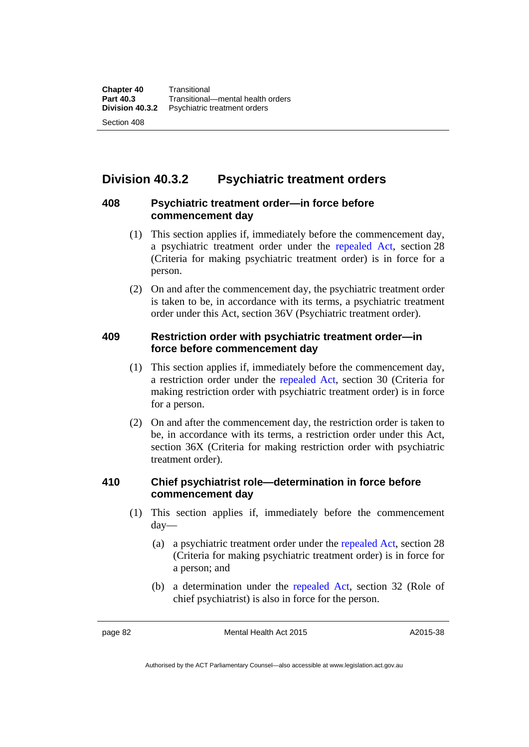# **Division 40.3.2 Psychiatric treatment orders**

# **408 Psychiatric treatment order—in force before commencement day**

- (1) This section applies if, immediately before the commencement day, a psychiatric treatment order under the [repealed Act](http://www.legislation.act.gov.au/a/1994-44), section 28 (Criteria for making psychiatric treatment order) is in force for a person.
- (2) On and after the commencement day, the psychiatric treatment order is taken to be, in accordance with its terms, a psychiatric treatment order under this Act, section 36V (Psychiatric treatment order).

# **409 Restriction order with psychiatric treatment order—in force before commencement day**

- (1) This section applies if, immediately before the commencement day, a restriction order under the [repealed Act,](http://www.legislation.act.gov.au/a/1994-44) section 30 (Criteria for making restriction order with psychiatric treatment order) is in force for a person.
- (2) On and after the commencement day, the restriction order is taken to be, in accordance with its terms, a restriction order under this Act, section 36X (Criteria for making restriction order with psychiatric treatment order).

# **410 Chief psychiatrist role—determination in force before commencement day**

- (1) This section applies if, immediately before the commencement day—
	- (a) a psychiatric treatment order under the [repealed Act](http://www.legislation.act.gov.au/a/1994-44), section 28 (Criteria for making psychiatric treatment order) is in force for a person; and
	- (b) a determination under the [repealed Act](http://www.legislation.act.gov.au/a/1994-44), section 32 (Role of chief psychiatrist) is also in force for the person.

page 82 Mental Health Act 2015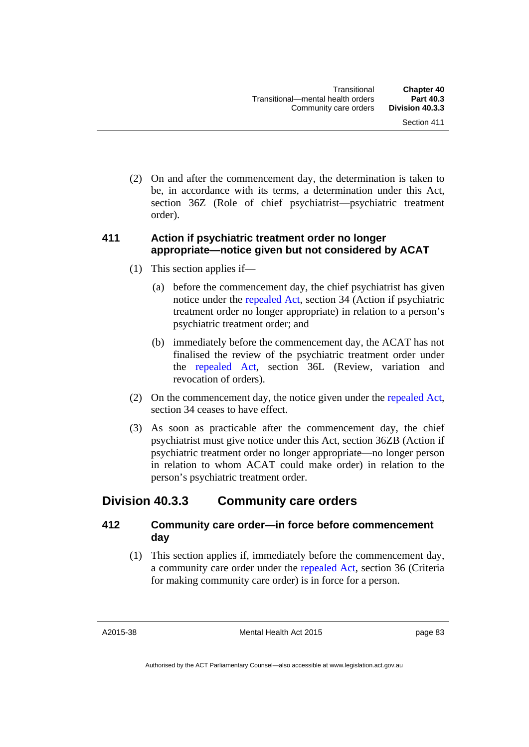(2) On and after the commencement day, the determination is taken to be, in accordance with its terms, a determination under this Act, section 36Z (Role of chief psychiatrist—psychiatric treatment order).

# **411 Action if psychiatric treatment order no longer appropriate—notice given but not considered by ACAT**

- (1) This section applies if—
	- (a) before the commencement day, the chief psychiatrist has given notice under the [repealed Act,](http://www.legislation.act.gov.au/a/1994-44) section 34 (Action if psychiatric treatment order no longer appropriate) in relation to a person's psychiatric treatment order; and
	- (b) immediately before the commencement day, the ACAT has not finalised the review of the psychiatric treatment order under the [repealed Act](http://www.legislation.act.gov.au/a/1994-44), section 36L (Review, variation and revocation of orders).
- (2) On the commencement day, the notice given under the [repealed Act,](http://www.legislation.act.gov.au/a/1994-44) section 34 ceases to have effect.
- (3) As soon as practicable after the commencement day, the chief psychiatrist must give notice under this Act, section 36ZB (Action if psychiatric treatment order no longer appropriate—no longer person in relation to whom ACAT could make order) in relation to the person's psychiatric treatment order.

# **Division 40.3.3 Community care orders**

# **412 Community care order—in force before commencement day**

 (1) This section applies if, immediately before the commencement day, a community care order under the [repealed Act](http://www.legislation.act.gov.au/a/1994-44), section 36 (Criteria for making community care order) is in force for a person.

A2015-38

Mental Health Act 2015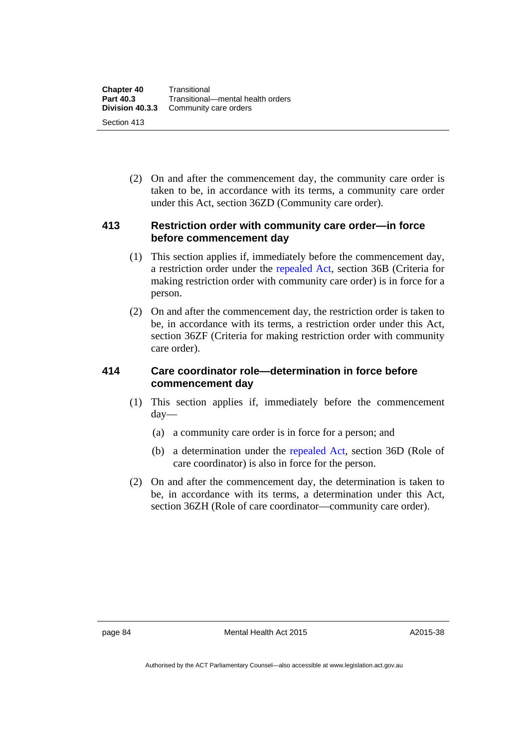| <b>Chapter 40</b> | Transitional                      |
|-------------------|-----------------------------------|
| <b>Part 40.3</b>  | Transitional-mental health orders |
| Division 40.3.3   | Community care orders             |
| Section 413       |                                   |

 (2) On and after the commencement day, the community care order is taken to be, in accordance with its terms, a community care order under this Act, section 36ZD (Community care order).

# **413 Restriction order with community care order—in force before commencement day**

- (1) This section applies if, immediately before the commencement day, a restriction order under the [repealed Act,](http://www.legislation.act.gov.au/a/1994-44) section 36B (Criteria for making restriction order with community care order) is in force for a person.
- (2) On and after the commencement day, the restriction order is taken to be, in accordance with its terms, a restriction order under this Act, section 36ZF (Criteria for making restriction order with community care order).

# **414 Care coordinator role—determination in force before commencement day**

- (1) This section applies if, immediately before the commencement day—
	- (a) a community care order is in force for a person; and
	- (b) a determination under the [repealed Act,](http://www.legislation.act.gov.au/a/1994-44) section 36D (Role of care coordinator) is also in force for the person.
- (2) On and after the commencement day, the determination is taken to be, in accordance with its terms, a determination under this Act, section 36ZH (Role of care coordinator—community care order).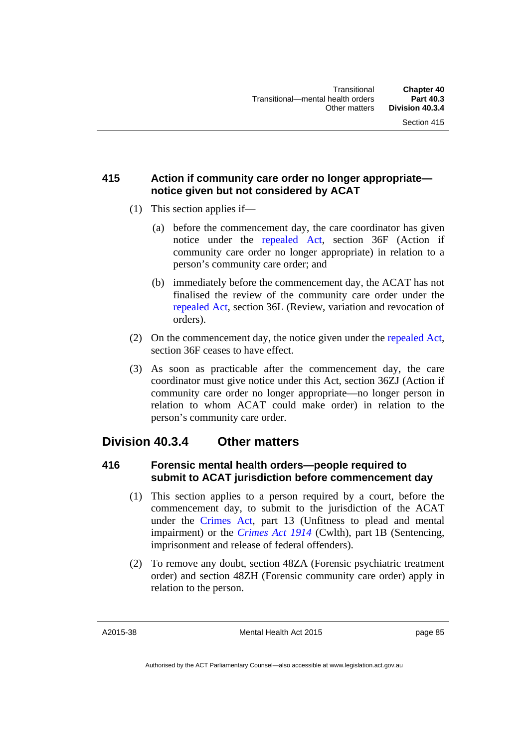# **415 Action if community care order no longer appropriate notice given but not considered by ACAT**

- (1) This section applies if—
	- (a) before the commencement day, the care coordinator has given notice under the [repealed Act,](http://www.legislation.act.gov.au/a/1994-44) section 36F (Action if community care order no longer appropriate) in relation to a person's community care order; and
	- (b) immediately before the commencement day, the ACAT has not finalised the review of the community care order under the [repealed Act](http://www.legislation.act.gov.au/a/1994-44), section 36L (Review, variation and revocation of orders).
- (2) On the commencement day, the notice given under the [repealed Act,](http://www.legislation.act.gov.au/a/1994-44) section 36F ceases to have effect.
- (3) As soon as practicable after the commencement day, the care coordinator must give notice under this Act, section 36ZJ (Action if community care order no longer appropriate—no longer person in relation to whom ACAT could make order) in relation to the person's community care order.

# **Division 40.3.4 Other matters**

# **416 Forensic mental health orders—people required to submit to ACAT jurisdiction before commencement day**

- (1) This section applies to a person required by a court, before the commencement day, to submit to the jurisdiction of the ACAT under the [Crimes Act](http://www.legislation.act.gov.au/a/1900-40), part 13 (Unfitness to plead and mental impairment) or the *[Crimes Act 1914](http://www.comlaw.gov.au/Series/C1914A00012)* (Cwlth), part 1B (Sentencing, imprisonment and release of federal offenders).
- (2) To remove any doubt, section 48ZA (Forensic psychiatric treatment order) and section 48ZH (Forensic community care order) apply in relation to the person.

A2015-38

Mental Health Act 2015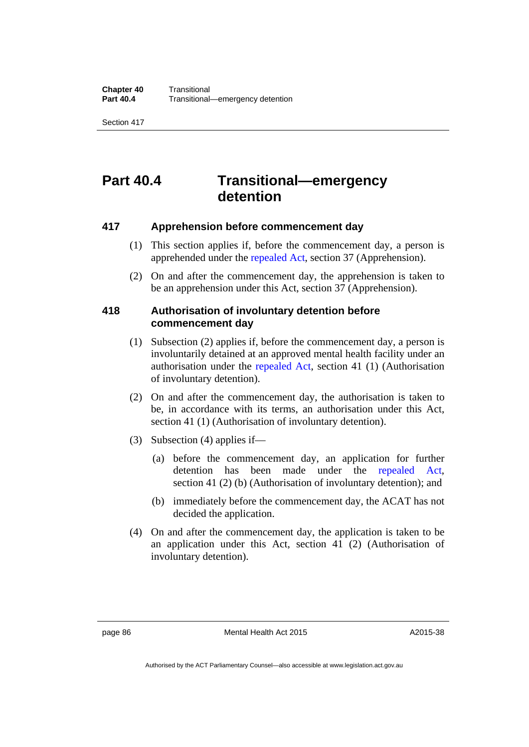Section 417

# **Part 40.4 Transitional—emergency detention**

# **417 Apprehension before commencement day**

- (1) This section applies if, before the commencement day, a person is apprehended under the [repealed Act](http://www.legislation.act.gov.au/a/1994-44), section 37 (Apprehension).
- (2) On and after the commencement day, the apprehension is taken to be an apprehension under this Act, section 37 (Apprehension).

## **418 Authorisation of involuntary detention before commencement day**

- (1) Subsection (2) applies if, before the commencement day, a person is involuntarily detained at an approved mental health facility under an authorisation under the [repealed Act](http://www.legislation.act.gov.au/a/1994-44), section 41 (1) (Authorisation of involuntary detention).
- (2) On and after the commencement day, the authorisation is taken to be, in accordance with its terms, an authorisation under this Act, section 41 (1) (Authorisation of involuntary detention).
- (3) Subsection (4) applies if—
	- (a) before the commencement day, an application for further detention has been made under the [repealed Act](http://www.legislation.act.gov.au/a/1994-44), section 41 (2) (b) (Authorisation of involuntary detention); and
	- (b) immediately before the commencement day, the ACAT has not decided the application.
- (4) On and after the commencement day, the application is taken to be an application under this Act, section 41 (2) (Authorisation of involuntary detention).

page 86 Mental Health Act 2015

Authorised by the ACT Parliamentary Counsel—also accessible at www.legislation.act.gov.au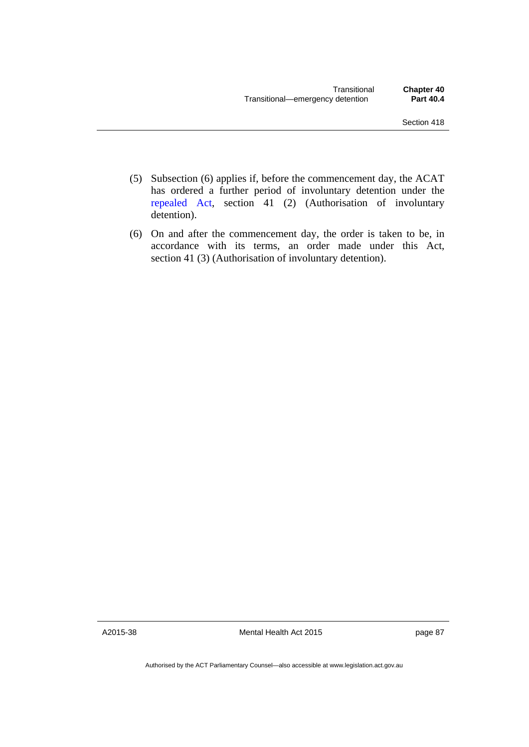- (5) Subsection (6) applies if, before the commencement day, the ACAT has ordered a further period of involuntary detention under the [repealed Act,](http://www.legislation.act.gov.au/a/1994-44) section 41 (2) (Authorisation of involuntary detention).
- (6) On and after the commencement day, the order is taken to be, in accordance with its terms, an order made under this Act, section 41 (3) (Authorisation of involuntary detention).

A2015-38

Mental Health Act 2015

page 87

Authorised by the ACT Parliamentary Counsel—also accessible at www.legislation.act.gov.au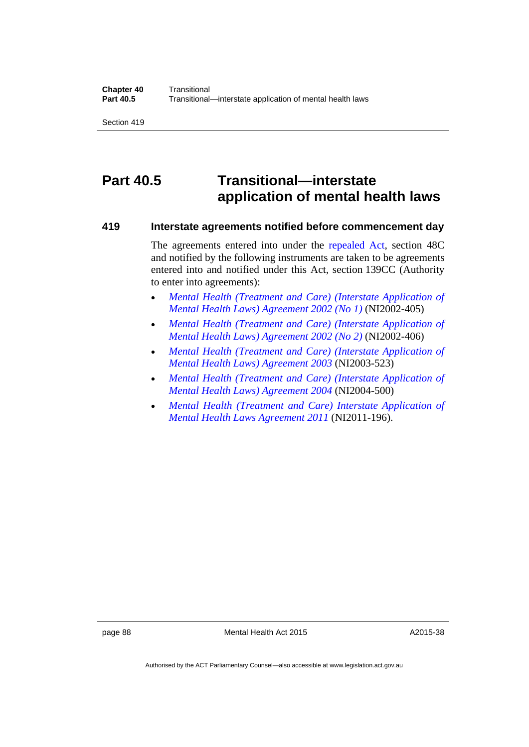Section 419

# **Part 40.5 Transitional—interstate application of mental health laws**

#### **419 Interstate agreements notified before commencement day**

The agreements entered into under the [repealed Act](http://www.legislation.act.gov.au/a/1994-44), section 48C and notified by the following instruments are taken to be agreements entered into and notified under this Act, section 139CC (Authority to enter into agreements):

- *[Mental Health \(Treatment and Care\) \(Interstate Application of](http://www.legislation.act.gov.au/ni/2002-405/default.asp)  [Mental Health Laws\) Agreement 2002 \(No 1\)](http://www.legislation.act.gov.au/ni/2002-405/default.asp)* (NI2002-405)
- *[Mental Health \(Treatment and Care\) \(Interstate Application of](http://www.legislation.act.gov.au/ni/2002-406/default.asp)  [Mental Health Laws\) Agreement 2002 \(No 2\)](http://www.legislation.act.gov.au/ni/2002-406/default.asp)* (NI2002-406)
- *[Mental Health \(Treatment and Care\) \(Interstate Application of](http://www.legislation.act.gov.au/ni/2003-523/default.asp)  [Mental Health Laws\) Agreement 2003](http://www.legislation.act.gov.au/ni/2003-523/default.asp)* (NI2003-523)
- *[Mental Health \(Treatment and Care\) \(Interstate Application of](http://www.legislation.act.gov.au/ni/2004-500/default.asp)  [Mental Health Laws\) Agreement 2004](http://www.legislation.act.gov.au/ni/2004-500/default.asp)* (NI2004-500)
- *[Mental Health \(Treatment and Care\) Interstate Application of](http://www.legislation.act.gov.au/ni/2011-196/default.asp)  [Mental Health Laws Agreement 2011](http://www.legislation.act.gov.au/ni/2011-196/default.asp)* (NI2011-196).

page 88 Mental Health Act 2015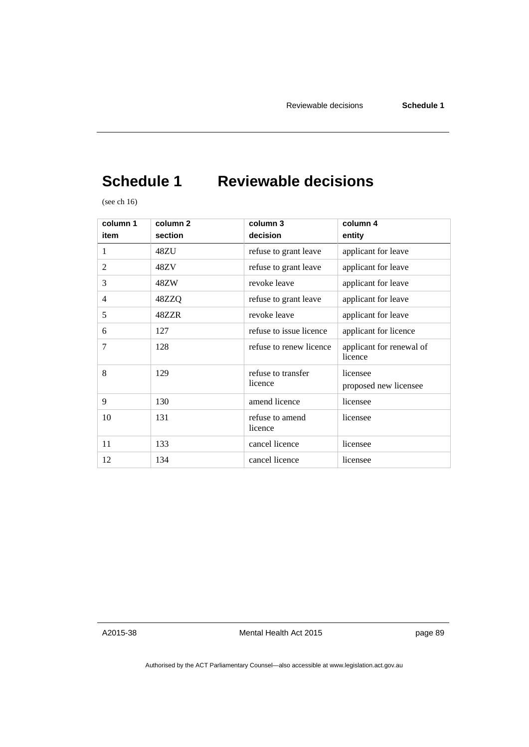# **Schedule 1 Reviewable decisions**

(see ch 16)

| column 1<br>item | column <sub>2</sub><br>section | column 3<br>decision          | column 4<br>entity                  |
|------------------|--------------------------------|-------------------------------|-------------------------------------|
| 1                | 48ZU                           | refuse to grant leave         | applicant for leave                 |
| 2                | 48ZV                           | refuse to grant leave         | applicant for leave                 |
| 3                | 48ZW                           | revoke leave                  | applicant for leave                 |
| 4                | 48ZZQ                          | refuse to grant leave         | applicant for leave                 |
| 5                | 48ZZR                          | revoke leave                  | applicant for leave                 |
| 6                | 127                            | refuse to issue licence       | applicant for licence               |
| 7                | 128                            | refuse to renew licence       | applicant for renewal of<br>licence |
| 8                | 129                            | refuse to transfer<br>licence | licensee<br>proposed new licensee   |
| 9                | 130                            | amend licence                 | licensee                            |
| 10               | 131                            | refuse to amend<br>licence    | licensee                            |
| 11               | 133                            | cancel licence                | licensee                            |
| 12               | 134                            | cancel licence                | licensee                            |

A2015-38

Mental Health Act 2015

page 89

Authorised by the ACT Parliamentary Counsel—also accessible at www.legislation.act.gov.au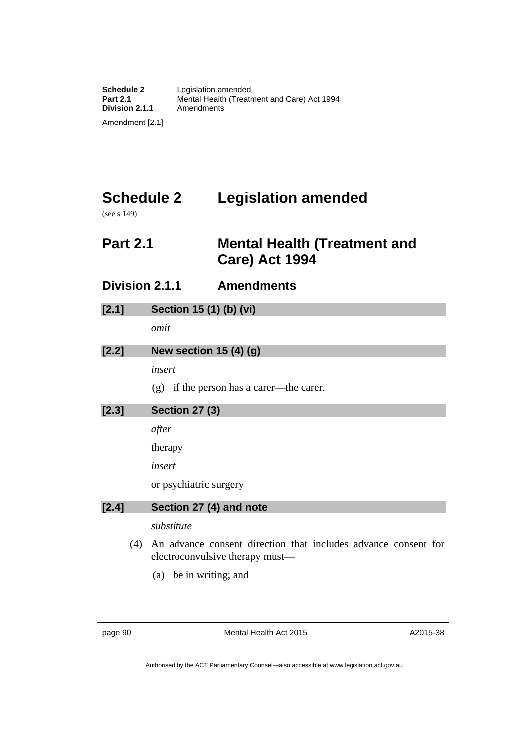# **Schedule 2 Legislation amended**

(see s 149)

# **Part 2.1 Mental Health (Treatment and Care) Act 1994**

**Division 2.1.1 Amendments** 

| [2.1] | Section 15 (1) (b) (vi) |
|-------|-------------------------|
|       |                         |

*omit* 

# **[2.2] New section 15 (4) (g)**

*insert* 

(g) if the person has a carer—the carer.

| $[2.3]$ | <b>Section 27 (3)</b>   |
|---------|-------------------------|
|         | after                   |
|         | therapy                 |
|         | insert                  |
|         | or psychiatric surgery  |
| [2.4]   | Section 27 (4) and note |
|         | substitute              |

- (4) An advance consent direction that includes advance consent for electroconvulsive therapy must—
	- (a) be in writing; and

page 90 Mental Health Act 2015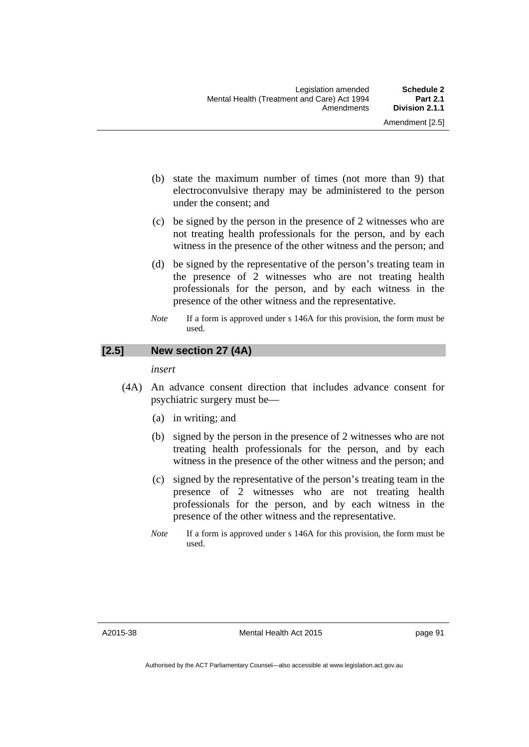Amendment [2.5]

- (b) state the maximum number of times (not more than 9) that electroconvulsive therapy may be administered to the person under the consent; and
- (c) be signed by the person in the presence of 2 witnesses who are not treating health professionals for the person, and by each witness in the presence of the other witness and the person; and
- (d) be signed by the representative of the person's treating team in the presence of 2 witnesses who are not treating health professionals for the person, and by each witness in the presence of the other witness and the representative.
- *Note* If a form is approved under s 146A for this provision, the form must be used.

# **[2.5] New section 27 (4A)**

#### *insert*

- (4A) An advance consent direction that includes advance consent for psychiatric surgery must be—
	- (a) in writing; and
	- (b) signed by the person in the presence of 2 witnesses who are not treating health professionals for the person, and by each witness in the presence of the other witness and the person; and
	- (c) signed by the representative of the person's treating team in the presence of 2 witnesses who are not treating health professionals for the person, and by each witness in the presence of the other witness and the representative.
	- *Note* If a form is approved under s 146A for this provision, the form must be used.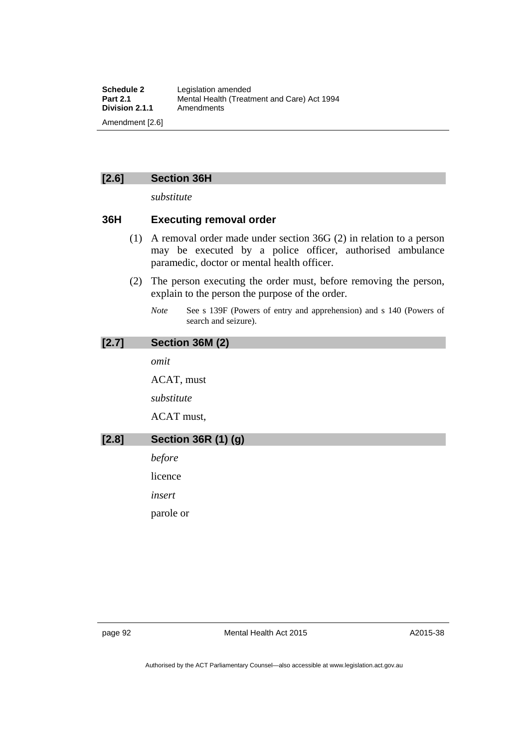# **[2.6] Section 36H**

*substitute* 

# **36H Executing removal order**

- (1) A removal order made under section 36G (2) in relation to a person may be executed by a police officer, authorised ambulance paramedic, doctor or mental health officer.
- (2) The person executing the order must, before removing the person, explain to the person the purpose of the order.
	- *Note* See s 139F (Powers of entry and apprehension) and s 140 (Powers of search and seizure).

# **[2.7] Section 36M (2)**

*omit* 

ACAT, must

*substitute* 

ACAT must,

# **[2.8] Section 36R (1) (g)**

*before* 

licence

*insert* 

parole or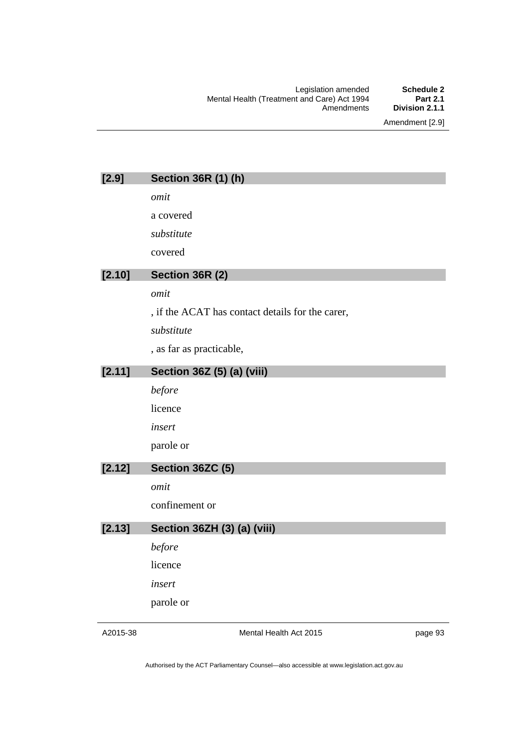Amendment [2.9]

| $[2.9]$ | <b>Section 36R (1) (h)</b>                       |
|---------|--------------------------------------------------|
|         | omit                                             |
|         | a covered                                        |
|         | substitute                                       |
|         | covered                                          |
| [2.10]  | Section 36R (2)                                  |
|         | omit                                             |
|         | , if the ACAT has contact details for the carer, |
|         | substitute                                       |
|         | , as far as practicable,                         |
| [2.11]  | Section 36Z (5) (a) (viii)                       |
|         | before                                           |
|         | licence                                          |
|         | insert                                           |
|         | parole or                                        |
| [2.12]  | Section 36ZC (5)                                 |
|         | omit                                             |
|         | confinement or                                   |
| [2.13]  | Section 36ZH (3) (a) (viii)                      |
|         | before                                           |
|         | licence                                          |
|         | insert                                           |
|         | parole or                                        |
|         |                                                  |

A2015-38

Mental Health Act 2015

page 93

Authorised by the ACT Parliamentary Counsel—also accessible at www.legislation.act.gov.au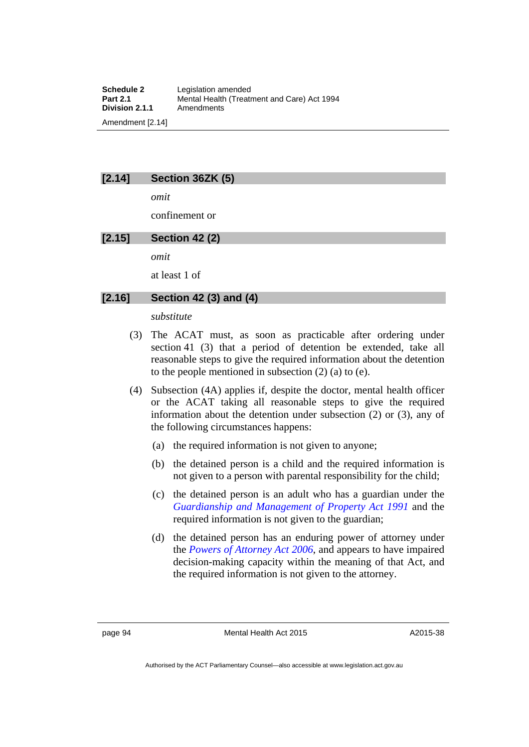# **[2.14] Section 36ZK (5)**

*omit* 

confinement or

# **[2.15] Section 42 (2)**

*omit* 

at least 1 of

## **[2.16] Section 42 (3) and (4)**

*substitute* 

- (3) The ACAT must, as soon as practicable after ordering under section 41 (3) that a period of detention be extended, take all reasonable steps to give the required information about the detention to the people mentioned in subsection (2) (a) to (e).
- (4) Subsection (4A) applies if, despite the doctor, mental health officer or the ACAT taking all reasonable steps to give the required information about the detention under subsection (2) or (3), any of the following circumstances happens:
	- (a) the required information is not given to anyone;
	- (b) the detained person is a child and the required information is not given to a person with parental responsibility for the child;
	- (c) the detained person is an adult who has a guardian under the *[Guardianship and Management of Property Act 1991](http://www.legislation.act.gov.au/a/1991-62)* and the required information is not given to the guardian;
	- (d) the detained person has an enduring power of attorney under the *[Powers of Attorney Act 2006](http://www.legislation.act.gov.au/a/2006-50)*, and appears to have impaired decision-making capacity within the meaning of that Act, and the required information is not given to the attorney.

Authorised by the ACT Parliamentary Counsel—also accessible at www.legislation.act.gov.au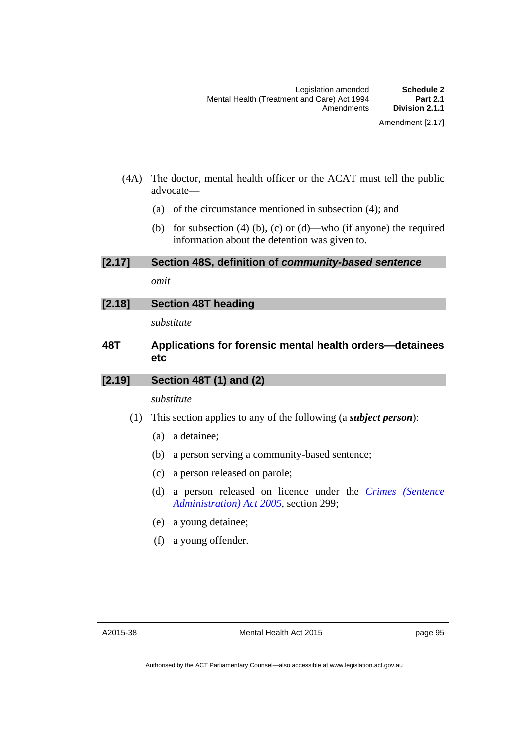- (4A) The doctor, mental health officer or the ACAT must tell the public advocate—
	- (a) of the circumstance mentioned in subsection (4); and
	- (b) for subsection (4) (b), (c) or (d)—who (if anyone) the required information about the detention was given to.

**[2.17] Section 48S, definition of** *community-based sentence* 

*omit* 

**[2.18] Section 48T heading** 

*substitute* 

# **48T Applications for forensic mental health orders—detainees etc**

#### **[2.19] Section 48T (1) and (2)**

### *substitute*

- (1) This section applies to any of the following (a *subject person*):
	- (a) a detainee;
	- (b) a person serving a community-based sentence;
	- (c) a person released on parole;
	- (d) a person released on licence under the *[Crimes \(Sentence](http://www.legislation.act.gov.au/a/2005-59)  [Administration\) Act 2005](http://www.legislation.act.gov.au/a/2005-59)*, section 299;
	- (e) a young detainee;
	- (f) a young offender.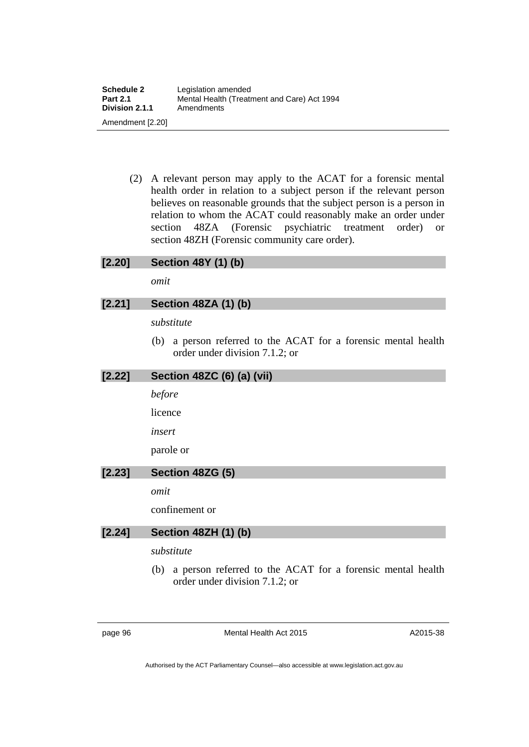(2) A relevant person may apply to the ACAT for a forensic mental health order in relation to a subject person if the relevant person believes on reasonable grounds that the subject person is a person in relation to whom the ACAT could reasonably make an order under section 48ZA (Forensic psychiatric treatment order) or section 48ZH (Forensic community care order).

# **[2.20] Section 48Y (1) (b)**

*omit* 

## **[2.21] Section 48ZA (1) (b)**

*substitute* 

 (b) a person referred to the ACAT for a forensic mental health order under division 7.1.2; or

#### **[2.22] Section 48ZC (6) (a) (vii)**

*before* 

licence

*insert* 

parole or

# **[2.23] Section 48ZG (5)**

*omit* 

confinement or

# **[2.24] Section 48ZH (1) (b)**

*substitute* 

 (b) a person referred to the ACAT for a forensic mental health order under division 7.1.2; or

page 96 Mental Health Act 2015

A2015-38

Authorised by the ACT Parliamentary Counsel—also accessible at www.legislation.act.gov.au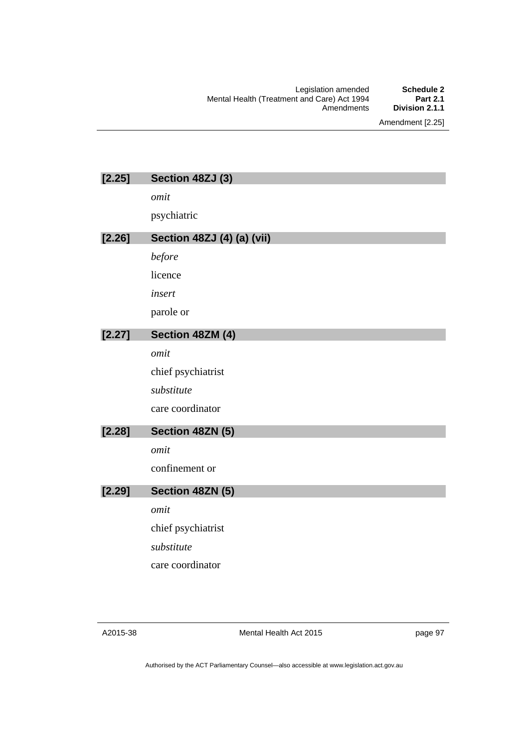Legislation amended **Schedule 2** Mental Health (Treatment and Care) Act 1994 **Part 2.1** Amendments **Division 2.1.1**

Amendment [2.25]

| [2.25] | Section 48ZJ (3)           |
|--------|----------------------------|
|        | omit                       |
|        | psychiatric                |
| [2.26] | Section 48ZJ (4) (a) (vii) |
|        | before                     |
|        | licence                    |
|        | insert                     |
|        | parole or                  |
| [2.27] | Section 48ZM (4)           |
|        | omit                       |
|        | chief psychiatrist         |
|        | substitute                 |
|        | care coordinator           |
| [2.28] | Section 48ZN (5)           |
|        | omit                       |
|        | confinement or             |
| [2.29] | Section 48ZN (5)           |
|        | omit                       |
|        | chief psychiatrist         |
|        | substitute                 |
|        | care coordinator           |
|        |                            |

A2015-38

Mental Health Act 2015

page 97

Authorised by the ACT Parliamentary Counsel—also accessible at www.legislation.act.gov.au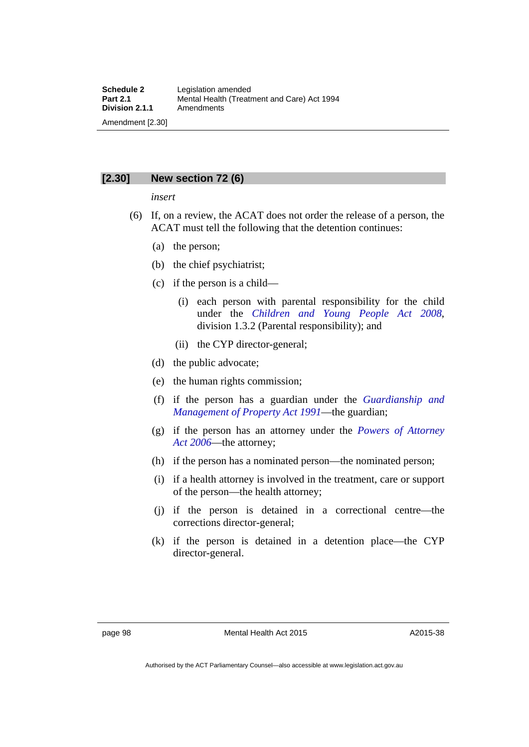## **[2.30] New section 72 (6)**

#### *insert*

- (6) If, on a review, the ACAT does not order the release of a person, the ACAT must tell the following that the detention continues:
	- (a) the person;
	- (b) the chief psychiatrist;
	- (c) if the person is a child—
		- (i) each person with parental responsibility for the child under the *[Children and Young People Act 2008](http://www.legislation.act.gov.au/a/2008-19)*, division 1.3.2 (Parental responsibility); and
		- (ii) the CYP director-general;
	- (d) the public advocate;
	- (e) the human rights commission;
	- (f) if the person has a guardian under the *[Guardianship and](http://www.legislation.act.gov.au/a/1991-62)  [Management of Property Act 1991](http://www.legislation.act.gov.au/a/1991-62)*—the guardian;
	- (g) if the person has an attorney under the *[Powers of Attorney](http://www.legislation.act.gov.au/a/2006-50)  [Act 2006](http://www.legislation.act.gov.au/a/2006-50)*—the attorney;
	- (h) if the person has a nominated person—the nominated person;
	- (i) if a health attorney is involved in the treatment, care or support of the person—the health attorney;
	- (j) if the person is detained in a correctional centre—the corrections director-general;
	- (k) if the person is detained in a detention place—the CYP director-general.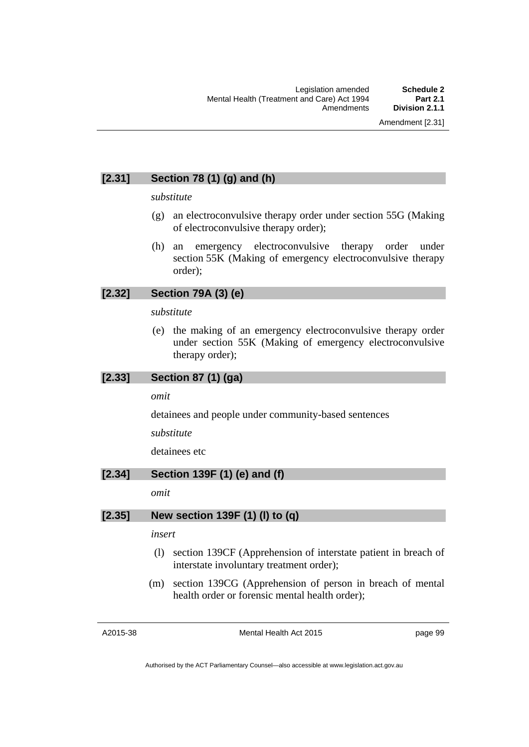### **[2.31] Section 78 (1) (g) and (h)**

#### *substitute*

- (g) an electroconvulsive therapy order under section 55G (Making of electroconvulsive therapy order);
- (h) an emergency electroconvulsive therapy order under section 55K (Making of emergency electroconvulsive therapy order);

### **[2.32] Section 79A (3) (e)**

#### *substitute*

 (e) the making of an emergency electroconvulsive therapy order under section 55K (Making of emergency electroconvulsive therapy order);

#### **[2.33] Section 87 (1) (ga)**

#### *omit*

detainees and people under community-based sentences

#### *substitute*

detainees etc

#### **[2.34] Section 139F (1) (e) and (f)**

*omit* 

#### **[2.35] New section 139F (1) (l) to (q)**

#### *insert*

- (l) section 139CF (Apprehension of interstate patient in breach of interstate involuntary treatment order);
- (m) section 139CG (Apprehension of person in breach of mental health order or forensic mental health order);

A2015-38

Mental Health Act 2015

page 99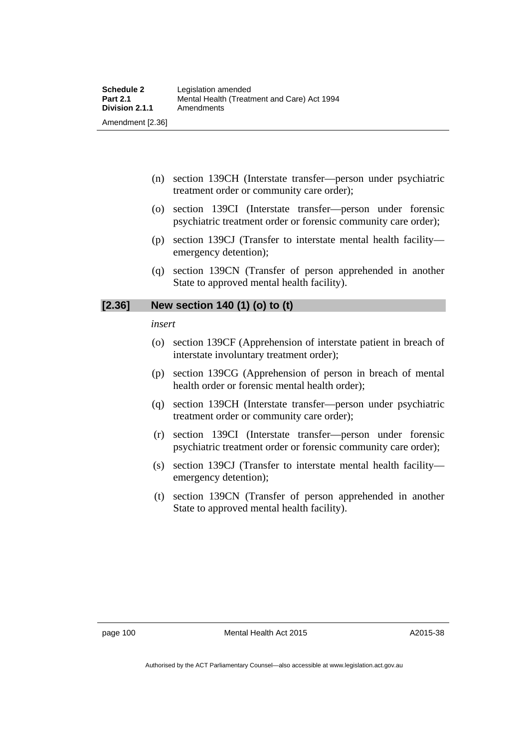- (n) section 139CH (Interstate transfer—person under psychiatric treatment order or community care order);
- (o) section 139CI (Interstate transfer—person under forensic psychiatric treatment order or forensic community care order);
- (p) section 139CJ (Transfer to interstate mental health facility emergency detention);
- (q) section 139CN (Transfer of person apprehended in another State to approved mental health facility).

#### **[2.36] New section 140 (1) (o) to (t)**

*insert* 

- (o) section 139CF (Apprehension of interstate patient in breach of interstate involuntary treatment order);
- (p) section 139CG (Apprehension of person in breach of mental health order or forensic mental health order);
- (q) section 139CH (Interstate transfer—person under psychiatric treatment order or community care order);
- (r) section 139CI (Interstate transfer—person under forensic psychiatric treatment order or forensic community care order);
- (s) section 139CJ (Transfer to interstate mental health facility emergency detention);
- (t) section 139CN (Transfer of person apprehended in another State to approved mental health facility).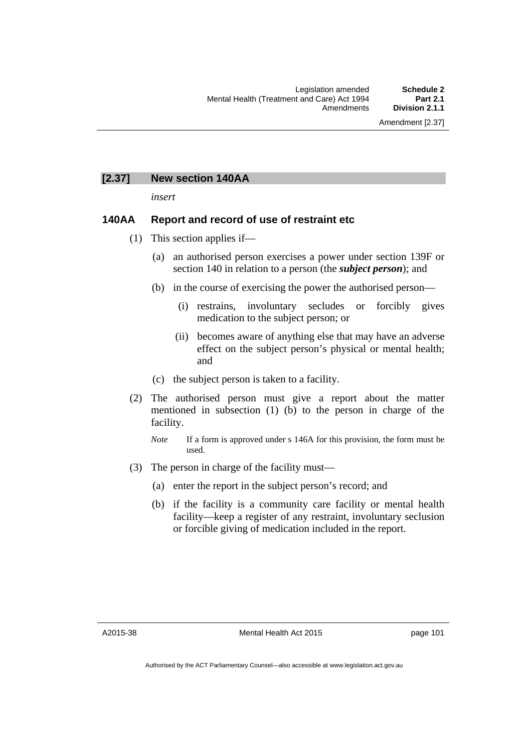#### **[2.37] New section 140AA**

*insert* 

#### **140AA Report and record of use of restraint etc**

- (1) This section applies if—
	- (a) an authorised person exercises a power under section 139F or section 140 in relation to a person (the *subject person*); and
	- (b) in the course of exercising the power the authorised person—
		- (i) restrains, involuntary secludes or forcibly gives medication to the subject person; or
		- (ii) becomes aware of anything else that may have an adverse effect on the subject person's physical or mental health; and
	- (c) the subject person is taken to a facility.
- (2) The authorised person must give a report about the matter mentioned in subsection (1) (b) to the person in charge of the facility.

- (3) The person in charge of the facility must—
	- (a) enter the report in the subject person's record; and
	- (b) if the facility is a community care facility or mental health facility—keep a register of any restraint, involuntary seclusion or forcible giving of medication included in the report.

page 101

*Note* If a form is approved under s 146A for this provision, the form must be used.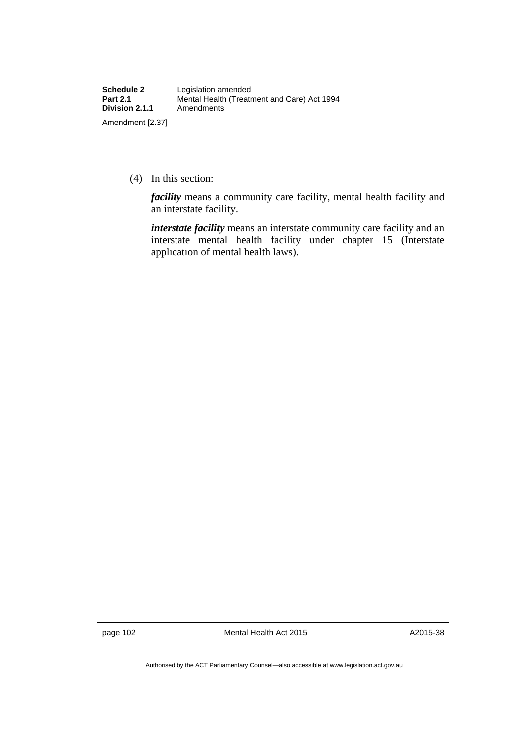(4) In this section:

*facility* means a community care facility, mental health facility and an interstate facility.

*interstate facility* means an interstate community care facility and an interstate mental health facility under chapter 15 (Interstate application of mental health laws).

page 102 Mental Health Act 2015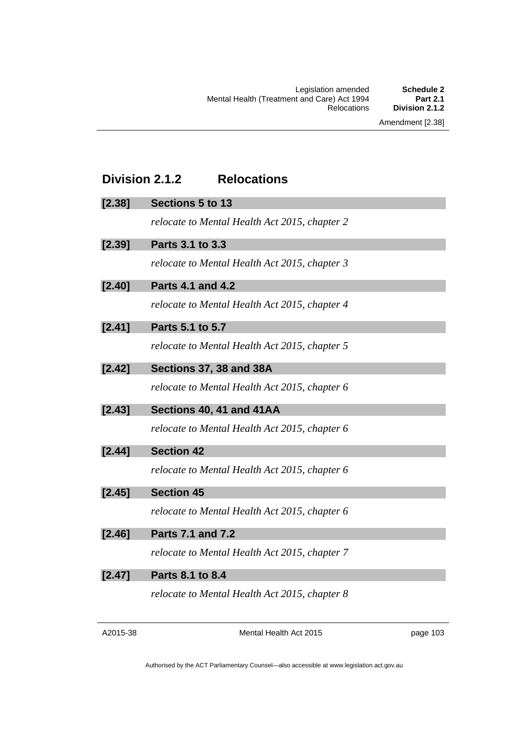# **Division 2.1.2 Relocations**

### **[2.38] Sections 5 to 13**

*relocate to Mental Health Act 2015, chapter 2* 

| Parts 3.1 to 3.3<br>[2.39] |  |
|----------------------------|--|
|----------------------------|--|

*relocate to Mental Health Act 2015, chapter 3* 

**[2.40] Parts 4.1 and 4.2** 

*relocate to Mental Health Act 2015, chapter 4* 

**[2.41] Parts 5.1 to 5.7** 

*relocate to Mental Health Act 2015, chapter 5* 

**[2.42] Sections 37, 38 and 38A** 

*relocate to Mental Health Act 2015, chapter 6* 

**[2.43] Sections 40, 41 and 41AA** 

*relocate to Mental Health Act 2015, chapter 6*

**[2.44] Section 42** 

*relocate to Mental Health Act 2015, chapter 6*

**[2.45] Section 45** 

*relocate to Mental Health Act 2015, chapter 6*

**[2.46] Parts 7.1 and 7.2** 

*relocate to Mental Health Act 2015, chapter 7* 

**[2.47] Parts 8.1 to 8.4** 

*relocate to Mental Health Act 2015, chapter 8* 

| A2015-38 |
|----------|
|----------|

Mental Health Act 2015

page 103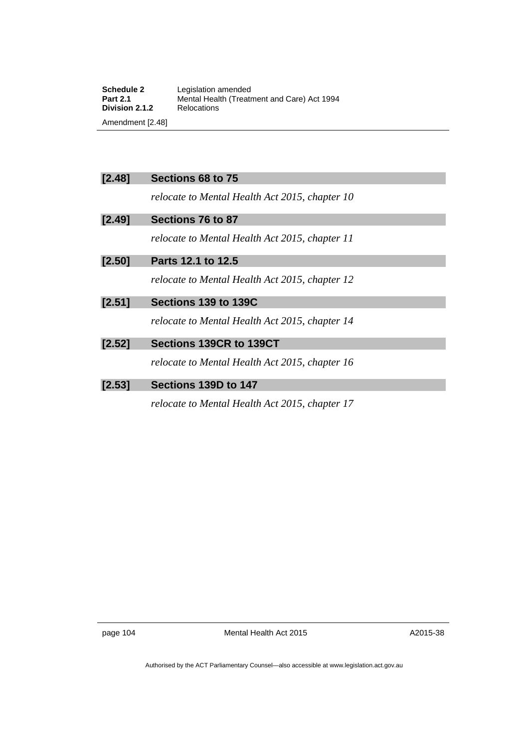| Schedule 2            | Legislation amended                         |
|-----------------------|---------------------------------------------|
| <b>Part 2.1</b>       | Mental Health (Treatment and Care) Act 1994 |
| <b>Division 2.1.2</b> | Relocations                                 |
| Amendment [2.48]      |                                             |

| [2.48] | Sections 68 to 75                              |
|--------|------------------------------------------------|
|        | relocate to Mental Health Act 2015, chapter 10 |
| [2.49] | Sections 76 to 87                              |
|        | relocate to Mental Health Act 2015, chapter 11 |
| [2.50] | Parts 12.1 to 12.5                             |
|        | relocate to Mental Health Act 2015, chapter 12 |
| [2.51] | Sections 139 to 139C                           |
|        | relocate to Mental Health Act 2015, chapter 14 |
| [2.52] | Sections 139CR to 139CT                        |
|        | relocate to Mental Health Act 2015, chapter 16 |
| [2.53] | Sections 139D to 147                           |
|        |                                                |

*relocate to Mental Health Act 2015*, *chapter 17* 

page 104 Mental Health Act 2015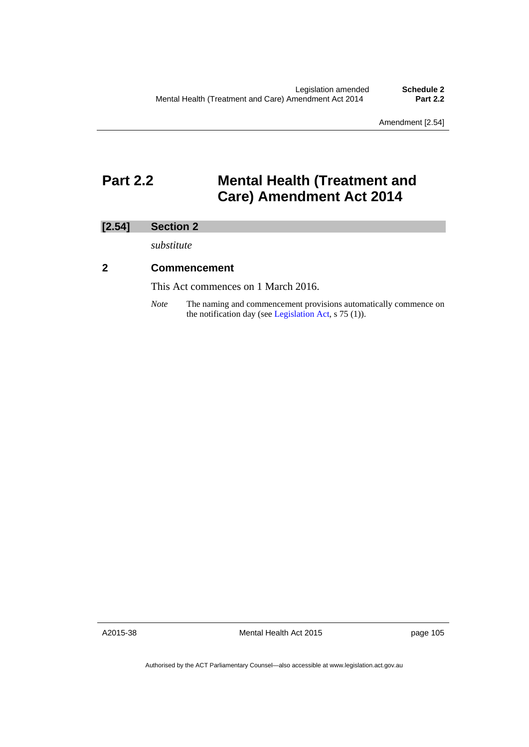Amendment [2.54]

# **Part 2.2 Mental Health (Treatment and Care) Amendment Act 2014**

### **[2.54] Section 2**

*substitute* 

### **2 Commencement**

This Act commences on 1 March 2016.

*Note* The naming and commencement provisions automatically commence on the notification day (see [Legislation Act,](http://www.legislation.act.gov.au/a/2001-14) s 75 (1)).

A2015-38

Mental Health Act 2015

page 105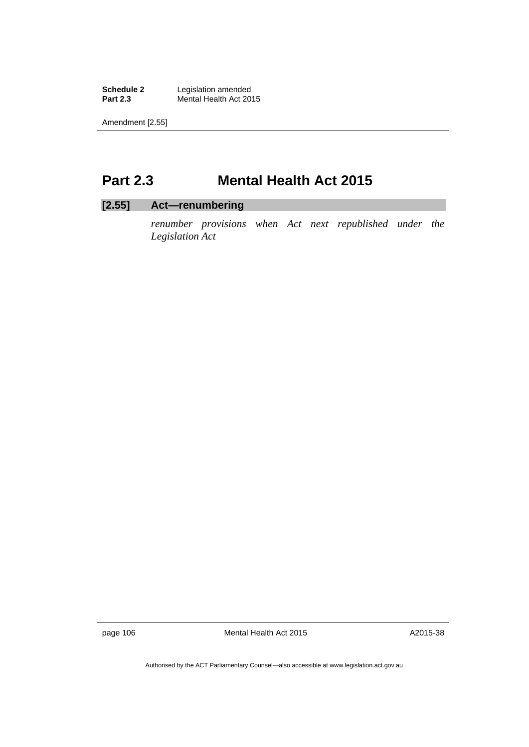**Schedule 2** Legislation amended<br>**Part 2.3** Mental Health Act 201 **Mental Health Act 2015** 

Amendment [2.55]

# **Part 2.3 Mental Health Act 2015**

### **[2.55] Act—renumbering**

*renumber provisions when Act next republished under the Legislation Act* 

page 106 Mental Health Act 2015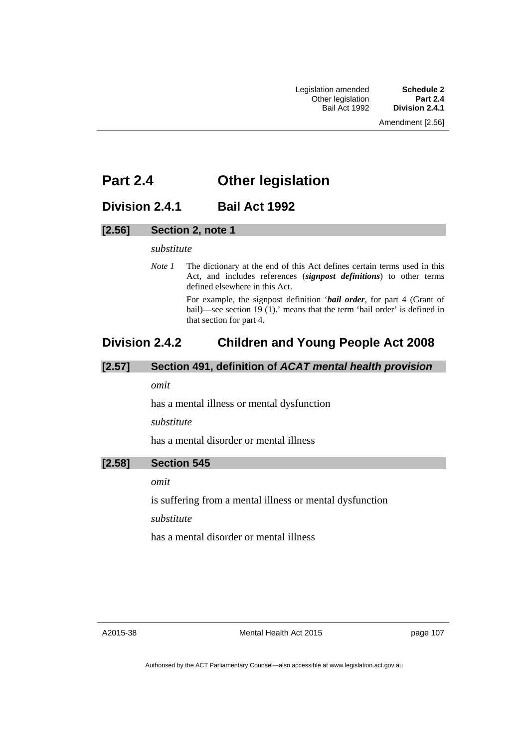# **Part 2.4 Other legislation**

### **Division 2.4.1 Bail Act 1992**

### **[2.56] Section 2, note 1**

#### *substitute*

*Note 1* The dictionary at the end of this Act defines certain terms used in this Act, and includes references (*signpost definitions*) to other terms defined elsewhere in this Act.

> For example, the signpost definition '*bail order*, for part 4 (Grant of bail)—see section 19 (1).' means that the term 'bail order' is defined in that section for part 4.

# **Division 2.4.2 Children and Young People Act 2008**

#### **[2.57] Section 491, definition of** *ACAT mental health provision*

#### *omit*

has a mental illness or mental dysfunction

*substitute* 

has a mental disorder or mental illness

#### **[2.58] Section 545**

*omit* 

is suffering from a mental illness or mental dysfunction

*substitute* 

has a mental disorder or mental illness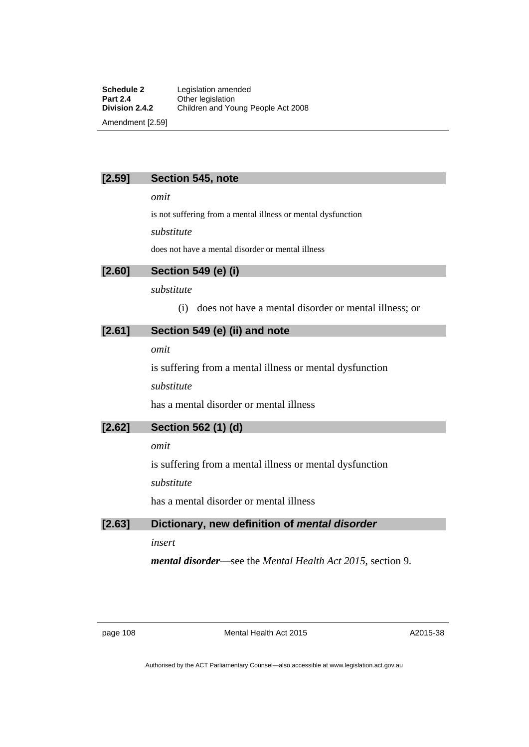#### **[2.59] Section 545, note**

*omit* 

is not suffering from a mental illness or mental dysfunction

*substitute* 

does not have a mental disorder or mental illness

#### **[2.60] Section 549 (e) (i)**

#### *substitute*

(i) does not have a mental disorder or mental illness; or

#### **[2.61] Section 549 (e) (ii) and note**

*omit* 

is suffering from a mental illness or mental dysfunction

*substitute* 

has a mental disorder or mental illness

#### **[2.62] Section 562 (1) (d)**

*omit* 

is suffering from a mental illness or mental dysfunction

*substitute* 

has a mental disorder or mental illness

### **[2.63] Dictionary, new definition of** *mental disorder*

*insert* 

*mental disorder*—see the *Mental Health Act 2015*, section 9.

page 108 Mental Health Act 2015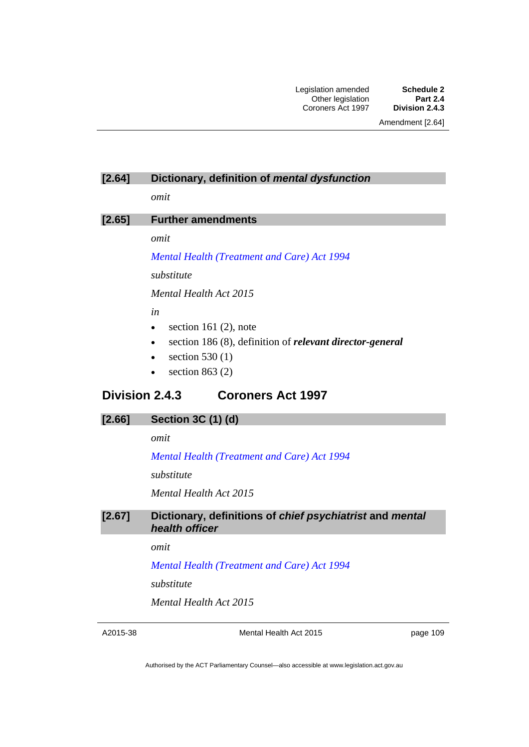#### **[2.64] Dictionary, definition of** *mental dysfunction*

*omit* 

### **[2.65] Further amendments**

*omit* 

#### *[Mental Health \(Treatment and Care\) Act 1994](http://www.legislation.act.gov.au/a/1994-44)*

*substitute*

*Mental Health Act 2015* 

*in* 

- $\bullet$  section 161 (2), note
- section 186 (8), definition of *relevant director-general*
- $\bullet$  section 530 (1)
- $\bullet$  section 863 (2)

### **Division 2.4.3 Coroners Act 1997**

#### **[2.66] Section 3C (1) (d)**

*omit* 

*[Mental Health \(Treatment and Care\) Act 1994](http://www.legislation.act.gov.au/a/1994-44)*

*substitute*

*Mental Health Act 2015* 

#### **[2.67] Dictionary, definitions of** *chief psychiatrist* **and** *mental health officer*

*omit* 

*[Mental Health \(Treatment and Care\) Act 1994](http://www.legislation.act.gov.au/a/1994-44)*

*substitute*

*Mental Health Act 2015* 

A2015-38

Mental Health Act 2015

page 109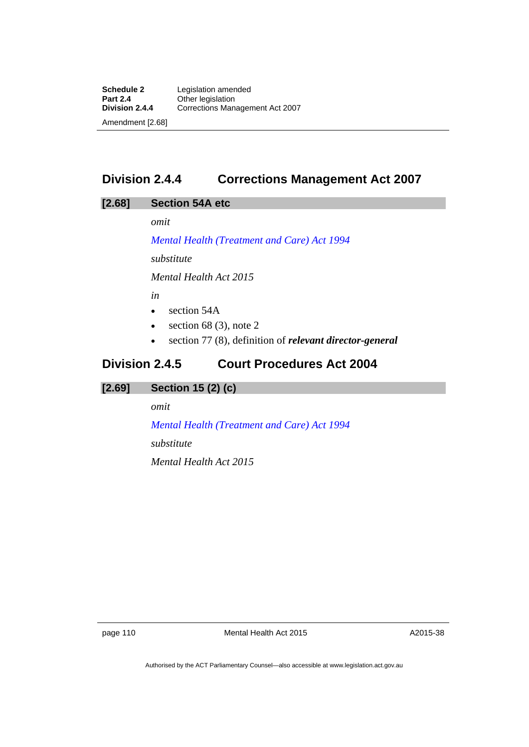# **Division 2.4.4 Corrections Management Act 2007**

#### **[2.68] Section 54A etc**

*omit* 

*[Mental Health \(Treatment and Care\) Act 1994](http://www.legislation.act.gov.au/a/1994-44)*

*substitute*

*Mental Health Act 2015* 

*in* 

- section 54A
- $\bullet$  section 68 (3), note 2
- section 77 (8), definition of *relevant director-general*

# **Division 2.4.5 Court Procedures Act 2004**

# **[2.69] Section 15 (2) (c)**

*omit* 

*[Mental Health \(Treatment and Care\) Act 1994](http://www.legislation.act.gov.au/a/1994-44) substitute Mental Health Act 2015* 

page 110 Mental Health Act 2015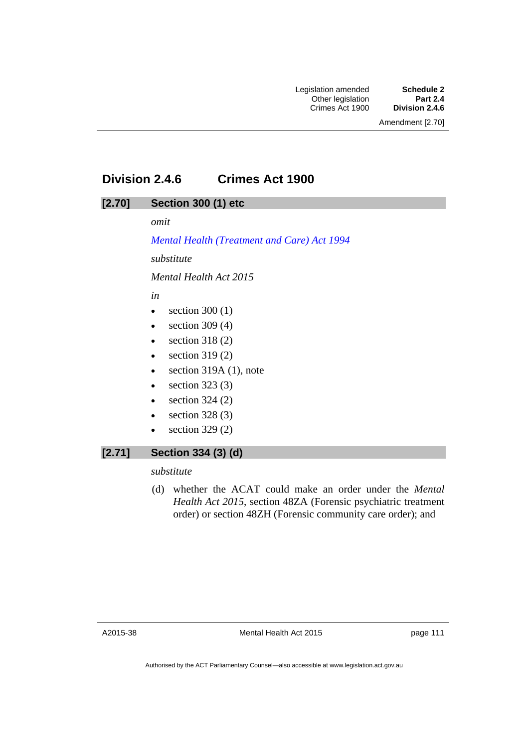# **Division 2.4.6 Crimes Act 1900**

### **[2.70] Section 300 (1) etc**

*omit* 

*[Mental Health \(Treatment and Care\) Act 1994](http://www.legislation.act.gov.au/a/1994-44) substitute*

*Mental Health Act 2015* 

*in* 

- $\bullet$  section 300 (1)
- $\bullet$  section 309 (4)
- $\bullet$  section 318 (2)
- $\bullet$  section 319(2)
- $\bullet$  section 319A (1), note
- $\bullet$  section 323 (3)
- $\bullet$  section 324 (2)
- $\bullet$  section 328 (3)
- $\bullet$  section 329 (2)

### **[2.71] Section 334 (3) (d)**

*substitute* 

 (d) whether the ACAT could make an order under the *Mental Health Act 2015*, section 48ZA (Forensic psychiatric treatment order) or section 48ZH (Forensic community care order); and

page 111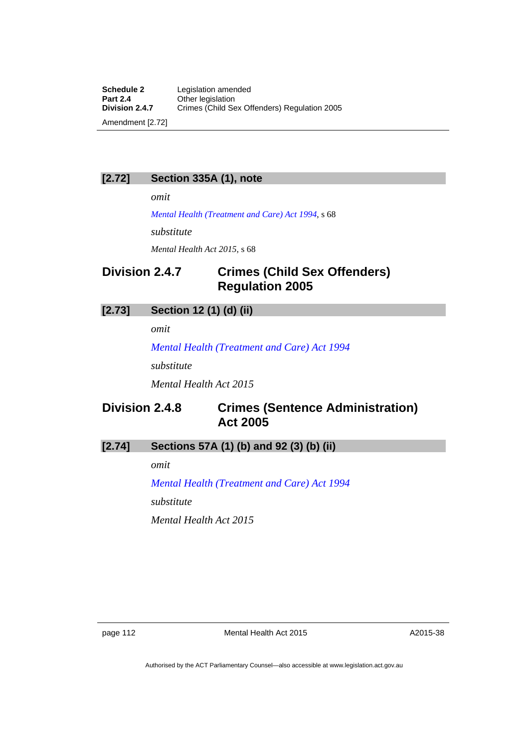#### **[2.72] Section 335A (1), note**

*omit* 

*[Mental Health \(Treatment and Care\) Act 1994](http://www.legislation.act.gov.au/a/1994-44)*, s 68

*substitute* 

*Mental Health Act 2015*, s 68

# **Division 2.4.7 Crimes (Child Sex Offenders) Regulation 2005**

### **[2.73] Section 12 (1) (d) (ii)**

*omit* 

*[Mental Health \(Treatment and Care\) Act 1994](http://www.legislation.act.gov.au/a/1994-44)*

*substitute*

*Mental Health Act 2015* 

# **Division 2.4.8 Crimes (Sentence Administration) Act 2005**

### **[2.74] Sections 57A (1) (b) and 92 (3) (b) (ii)**

*omit* 

*[Mental Health \(Treatment and Care\) Act 1994](http://www.legislation.act.gov.au/a/1994-44) substitute Mental Health Act 2015*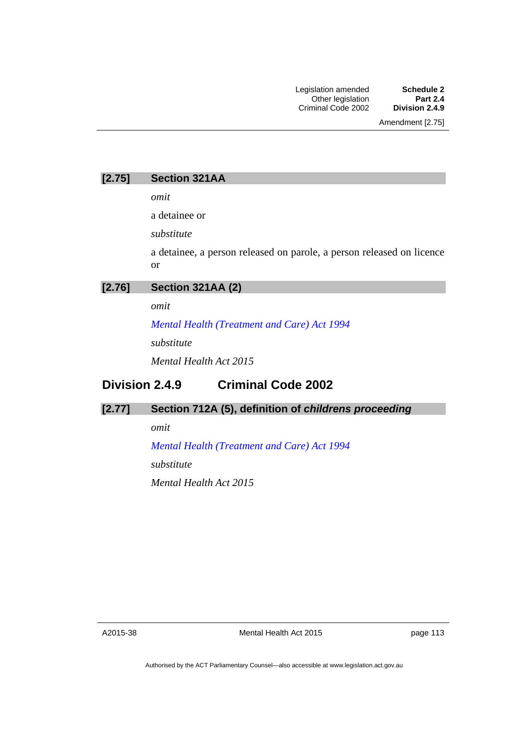Amendment [2.75]

| [2.75] | <b>Section 321AA</b> |  |
|--------|----------------------|--|
|--------|----------------------|--|

*omit* 

a detainee or

*substitute* 

a detainee, a person released on parole, a person released on licence or

| Section 321AA (2)<br>[2.76] |
|-----------------------------|
|-----------------------------|

*omit* 

*[Mental Health \(Treatment and Care\) Act 1994](http://www.legislation.act.gov.au/a/1994-44)*

*substitute*

*Mental Health Act 2015* 

# **Division 2.4.9 Criminal Code 2002**

#### **[2.77] Section 712A (5), definition of** *childrens proceeding*

*omit* 

*[Mental Health \(Treatment and Care\) Act 1994](http://www.legislation.act.gov.au/a/1994-44)*

*substitute*

*Mental Health Act 2015* 

A2015-38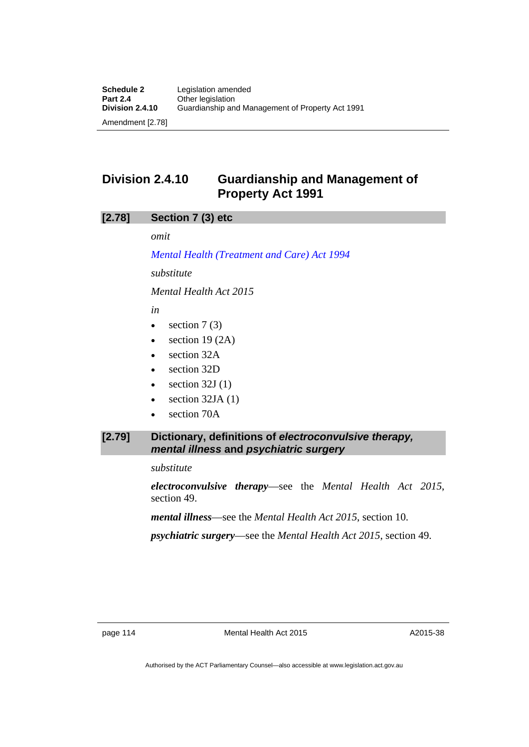# **Division 2.4.10 Guardianship and Management of Property Act 1991**

#### **[2.78] Section 7 (3) etc**

*omit* 

*[Mental Health \(Treatment and Care\) Act 1994](http://www.legislation.act.gov.au/a/1994-44)*

*substitute*

*Mental Health Act 2015* 

*in* 

- $\bullet$  section 7 (3)
- $\bullet$  section 19 (2A)
- section 32A
- section 32D
- $\bullet$  section 32J (1)
- section 32JA (1)
- section 70A

#### **[2.79] Dictionary, definitions of** *electroconvulsive therapy, mental illness* **and** *psychiatric surgery*

*substitute* 

*electroconvulsive therapy*—see the *Mental Health Act 2015*, section 49.

*mental illness*—see the *Mental Health Act 2015*, section 10.

*psychiatric surgery*—see the *Mental Health Act 2015*, section 49.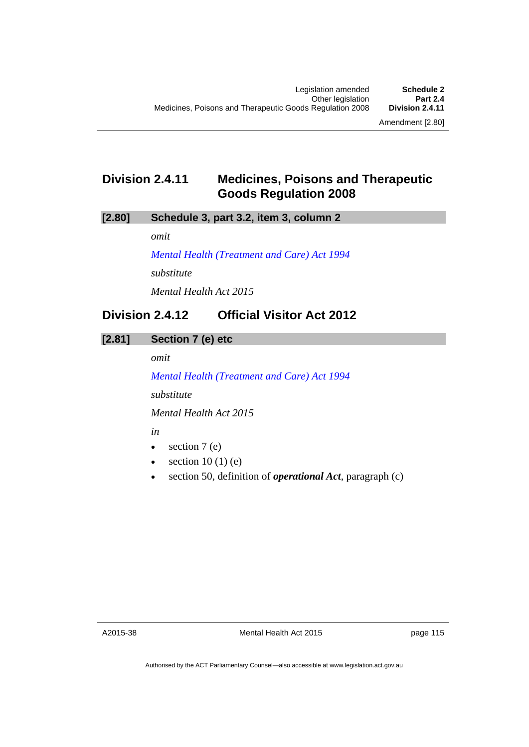# **Division 2.4.11 Medicines, Poisons and Therapeutic Goods Regulation 2008**

### **[2.80] Schedule 3, part 3.2, item 3, column 2**

*omit* 

*[Mental Health \(Treatment and Care\) Act 1994](http://www.legislation.act.gov.au/a/1994-44) substitute Mental Health Act 2015* 

# **Division 2.4.12 Official Visitor Act 2012**

**[2.81] Section 7 (e) etc** 

*omit* 

*[Mental Health \(Treatment and Care\) Act 1994](http://www.legislation.act.gov.au/a/1994-44) substitute*

*Mental Health Act 2015* 

*in* 

- $\bullet$  section 7 (e)
- $\bullet$  section 10 (1) (e)
- section 50, definition of *operational Act*, paragraph (c)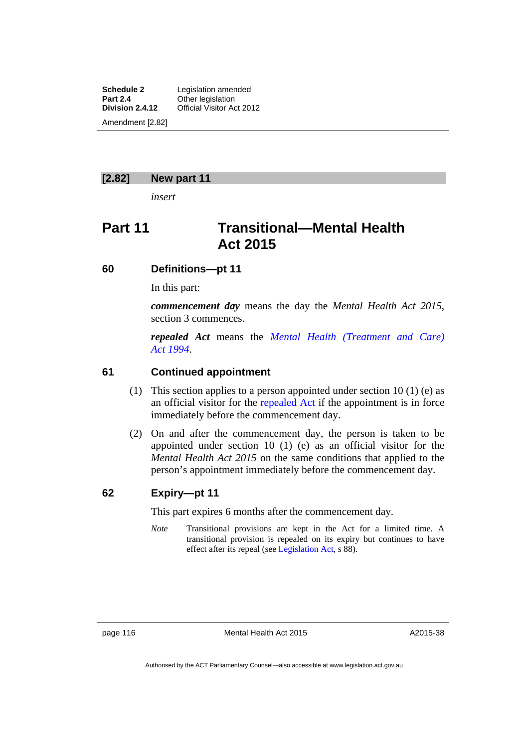**Schedule 2** Legislation amended **Part 2.4 Cther legislation**<br>**Division 2.4.12 Official Visitor Admon Official Visitor Act 2012** Amendment [2.82]

#### **[2.82] New part 11**

*insert* 

# **Part 11 Transitional—Mental Health Act 2015**

#### **60 Definitions—pt 11**

In this part:

*commencement day* means the day the *Mental Health Act 2015*, section 3 commences.

*repealed Act* means the *[Mental Health \(Treatment and Care\)](http://www.legislation.act.gov.au/a/1994-44)  [Act 1994](http://www.legislation.act.gov.au/a/1994-44)*.

#### **61 Continued appointment**

- (1) This section applies to a person appointed under section 10 (1) (e) as an official visitor for the [repealed Act](http://www.legislation.act.gov.au/a/1994-44) if the appointment is in force immediately before the commencement day.
- (2) On and after the commencement day, the person is taken to be appointed under section 10 (1) (e) as an official visitor for the *Mental Health Act 2015* on the same conditions that applied to the person's appointment immediately before the commencement day.

#### **62 Expiry—pt 11**

This part expires 6 months after the commencement day.

*Note* Transitional provisions are kept in the Act for a limited time. A transitional provision is repealed on its expiry but continues to have effect after its repeal (see [Legislation Act,](http://www.legislation.act.gov.au/a/2001-14) s 88).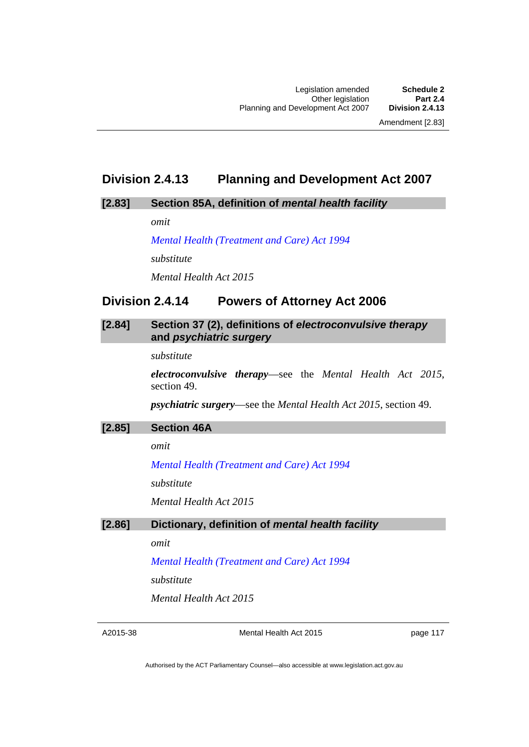### **Division 2.4.13 Planning and Development Act 2007**

#### **[2.83] Section 85A, definition of** *mental health facility*

*omit* 

*[Mental Health \(Treatment and Care\) Act 1994](http://www.legislation.act.gov.au/a/1994-44) substitute Mental Health Act 2015* 

### **Division 2.4.14 Powers of Attorney Act 2006**

#### **[2.84] Section 37 (2), definitions of** *electroconvulsive therapy*  **and** *psychiatric surgery*

*substitute* 

*electroconvulsive therapy*—see the *Mental Health Act 2015*, section 49.

*psychiatric surgery*—see the *Mental Health Act 2015*, section 49.

#### **[2.85] Section 46A**

*omit* 

*[Mental Health \(Treatment and Care\) Act 1994](http://www.legislation.act.gov.au/a/1994-44)*

*substitute*

*Mental Health Act 2015* 

#### **[2.86] Dictionary, definition of** *mental health facility*

*omit* 

*[Mental Health \(Treatment and Care\) Act 1994](http://www.legislation.act.gov.au/a/1994-44)*

*substitute*

*Mental Health Act 2015* 

A2015-38

Mental Health Act 2015

page 117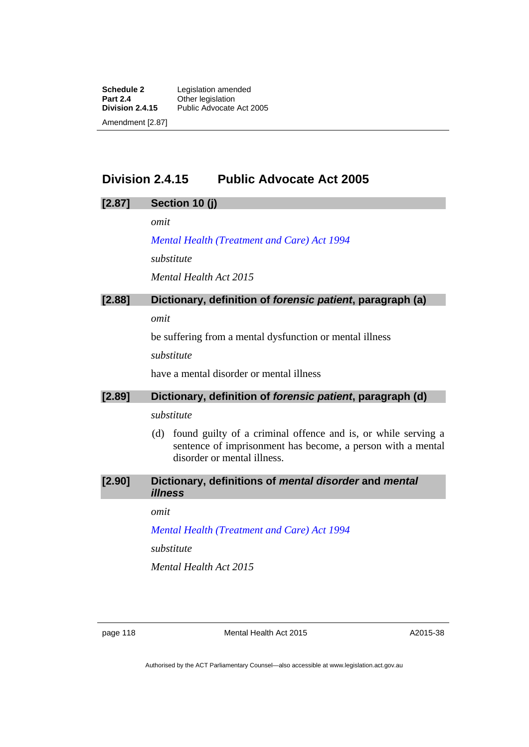**Schedule 2** Legislation amended **Part 2.4 Cther legislation**<br>**Division 2.4.15** Public Advocate Public Advocate Act 2005 Amendment [2.87]

### **Division 2.4.15 Public Advocate Act 2005**

#### **[2.87] Section 10 (j)**

*omit* 

*[Mental Health \(Treatment and Care\) Act 1994](http://www.legislation.act.gov.au/a/1994-44) substitute Mental Health Act 2015* 

### **[2.88] Dictionary, definition of** *forensic patient***, paragraph (a)**

*omit* 

be suffering from a mental dysfunction or mental illness

*substitute* 

have a mental disorder or mental illness

#### **[2.89] Dictionary, definition of** *forensic patient***, paragraph (d)**

#### *substitute*

- (d) found guilty of a criminal offence and is, or while serving a sentence of imprisonment has become, a person with a mental disorder or mental illness.
- **[2.90] Dictionary, definitions of** *mental disorder* **and** *mental illness*

#### *omit*

*[Mental Health \(Treatment and Care\) Act 1994](http://www.legislation.act.gov.au/a/1994-44)*

*substitute*

*Mental Health Act 2015* 

page 118 Mental Health Act 2015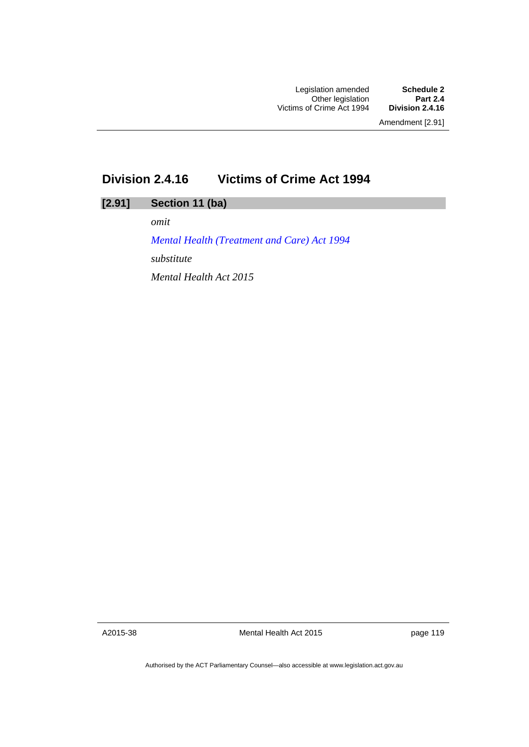# **Division 2.4.16 Victims of Crime Act 1994**

### **[2.91] Section 11 (ba)**

*omit* 

*[Mental Health \(Treatment and Care\) Act 1994](http://www.legislation.act.gov.au/a/1994-44) substitute Mental Health Act 2015* 

A2015-38

Mental Health Act 2015

page 119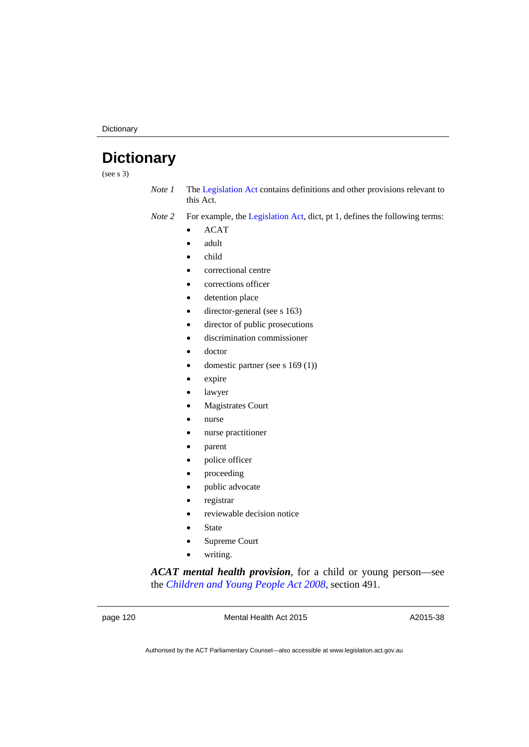# **Dictionary**

(see s 3)

*Note 1* The [Legislation Act](http://www.legislation.act.gov.au/a/2001-14) contains definitions and other provisions relevant to this Act.

*Note 2* For example, the [Legislation Act,](http://www.legislation.act.gov.au/a/2001-14) dict, pt 1, defines the following terms:

- ACAT
- adult
- child
- correctional centre
- corrections officer
- detention place
- director-general (see s 163)
- director of public prosecutions
- discrimination commissioner
- doctor
- domestic partner (see s 169 (1))
- expire
- lawyer
- Magistrates Court
- nurse
- nurse practitioner
- parent
- police officer
- proceeding
- public advocate
- registrar
- reviewable decision notice
- State
- Supreme Court
- writing.

*ACAT mental health provision*, for a child or young person—see the *[Children and Young People Act 2008](http://www.legislation.act.gov.au/a/2008-19)*, section 491.

page 120 Mental Health Act 2015

A2015-38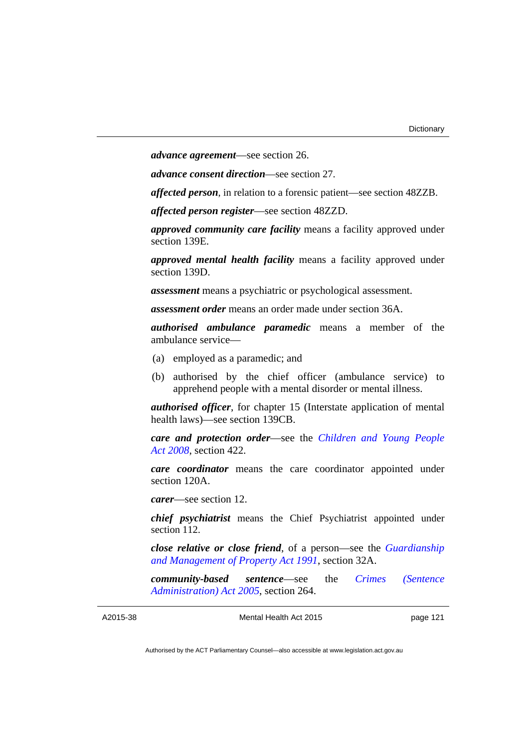*advance agreement*—see section 26.

*advance consent direction*—see section 27.

*affected person*, in relation to a forensic patient—see section 48ZZB.

*affected person register*—see section 48ZZD.

*approved community care facility* means a facility approved under section 139E.

*approved mental health facility* means a facility approved under section 139D.

*assessment* means a psychiatric or psychological assessment.

*assessment order* means an order made under section 36A.

*authorised ambulance paramedic* means a member of the ambulance service—

- (a) employed as a paramedic; and
- (b) authorised by the chief officer (ambulance service) to apprehend people with a mental disorder or mental illness.

*authorised officer*, for chapter 15 (Interstate application of mental health laws)—see section 139CB.

*care and protection order*—see the *[Children and Young People](http://www.legislation.act.gov.au/a/2008-19)  [Act 2008](http://www.legislation.act.gov.au/a/2008-19)*, section 422.

*care coordinator* means the care coordinator appointed under section 120A.

*carer*—see section 12.

*chief psychiatrist* means the Chief Psychiatrist appointed under section 112.

*close relative or close friend*, of a person—see the *[Guardianship](http://www.legislation.act.gov.au/a/1991-62)  [and Management of Property Act 1991](http://www.legislation.act.gov.au/a/1991-62)*, section 32A.

*community-based sentence*—see the *[Crimes \(Sentence](http://www.legislation.act.gov.au/a/2005-59)  [Administration\) Act 2005](http://www.legislation.act.gov.au/a/2005-59)*, section 264.

```
A2015-38
```
Mental Health Act 2015

page 121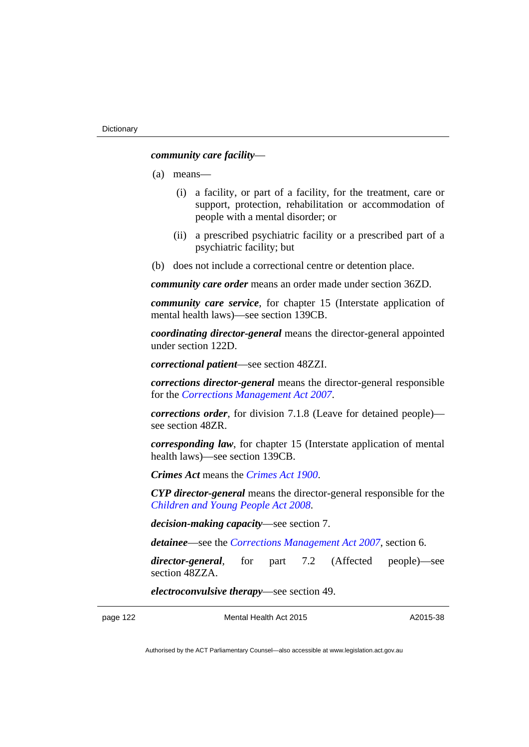#### *community care facility*—

- (a) means—
	- (i) a facility, or part of a facility, for the treatment, care or support, protection, rehabilitation or accommodation of people with a mental disorder; or
	- (ii) a prescribed psychiatric facility or a prescribed part of a psychiatric facility; but
- (b) does not include a correctional centre or detention place.

*community care order* means an order made under section 36ZD.

*community care service*, for chapter 15 (Interstate application of mental health laws)—see section 139CB.

*coordinating director-general* means the director-general appointed under section 122D.

*correctional patient*—see section 48ZZI.

*corrections director-general* means the director-general responsible for the *[Corrections Management Act 2007](http://www.legislation.act.gov.au/a/2007-15)*.

*corrections order*, for division 7.1.8 (Leave for detained people) see section 48ZR.

*corresponding law*, for chapter 15 (Interstate application of mental health laws)—see section 139CB.

*Crimes Act* means the *[Crimes Act 1900](http://www.legislation.act.gov.au/a/1900-40)*.

*CYP director-general* means the director-general responsible for the *[Children and Young People Act 2008](http://www.legislation.act.gov.au/a/2008-19)*.

*decision-making capacity*—see section 7.

*detainee*—see the *[Corrections Management Act 2007](http://www.legislation.act.gov.au/a/2007-15)*, section 6.

*director-general*, for part 7.2 (Affected people)—see section 48ZZA.

*electroconvulsive therapy*—see section 49.

page 122 Mental Health Act 2015

A2015-38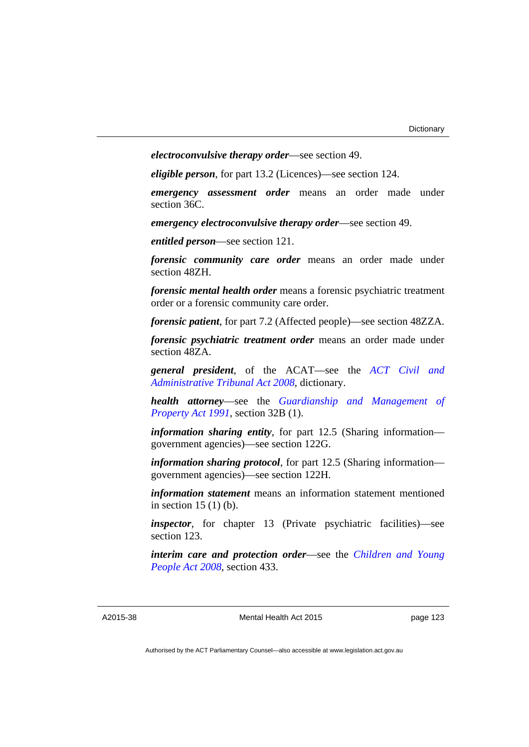*electroconvulsive therapy order*—see section 49.

*eligible person*, for part 13.2 (Licences)—see section 124.

*emergency assessment order* means an order made under section 36C.

*emergency electroconvulsive therapy order*—see section 49.

*entitled person*—see section 121.

*forensic community care order* means an order made under section 48ZH.

*forensic mental health order* means a forensic psychiatric treatment order or a forensic community care order.

*forensic patient*, for part 7.2 (Affected people)—see section 48ZZA.

*forensic psychiatric treatment order* means an order made under section 48ZA.

*general president*, of the ACAT—see the *[ACT Civil and](http://www.legislation.act.gov.au/a/2008-35)  [Administrative Tribunal Act 2008](http://www.legislation.act.gov.au/a/2008-35)*, dictionary.

*health attorney*—see the *[Guardianship and Management of](http://www.legislation.act.gov.au/a/1991-62)  [Property Act 1991](http://www.legislation.act.gov.au/a/1991-62)*, section 32B (1).

*information sharing entity*, for part 12.5 (Sharing information government agencies)—see section 122G.

*information sharing protocol*, for part 12.5 (Sharing information government agencies)—see section 122H.

*information statement* means an information statement mentioned in section 15 (1) (b).

*inspector*, for chapter 13 (Private psychiatric facilities)—see section 123.

*interim care and protection order*—see the *[Children and Young](http://www.legislation.act.gov.au/a/2008-19)  [People Act 2008](http://www.legislation.act.gov.au/a/2008-19)*, section 433.

#### A2015-38

Mental Health Act 2015

page 123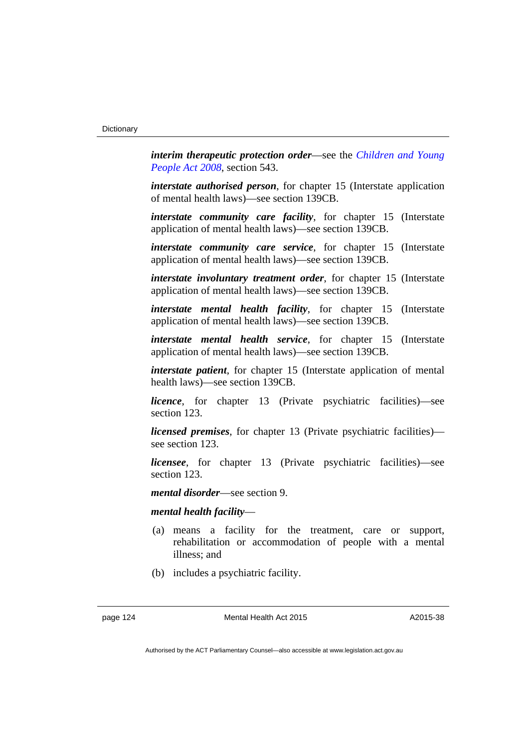*interim therapeutic protection order*—see the *[Children and Young](http://www.legislation.act.gov.au/a/2008-19)  [People Act 2008](http://www.legislation.act.gov.au/a/2008-19)*, section 543.

*interstate authorised person*, for chapter 15 (Interstate application of mental health laws)—see section 139CB.

*interstate community care facility*, for chapter 15 (Interstate application of mental health laws)—see section 139CB.

*interstate community care service*, for chapter 15 (Interstate application of mental health laws)—see section 139CB.

*interstate involuntary treatment order, for chapter 15 (Interstate)* application of mental health laws)—see section 139CB.

*interstate mental health facility*, for chapter 15 (Interstate application of mental health laws)—see section 139CB.

*interstate mental health service*, for chapter 15 (Interstate application of mental health laws)—see section 139CB.

*interstate patient*, for chapter 15 (Interstate application of mental health laws)—see section 139CB.

*licence*, for chapter 13 (Private psychiatric facilities)—see section 123.

*licensed premises*, for chapter 13 (Private psychiatric facilities) see section 123.

*licensee*, for chapter 13 (Private psychiatric facilities)—see section 123.

*mental disorder*—see section 9.

#### *mental health facility*—

- (a) means a facility for the treatment, care or support, rehabilitation or accommodation of people with a mental illness; and
- (b) includes a psychiatric facility.

page 124 Mental Health Act 2015

A2015-38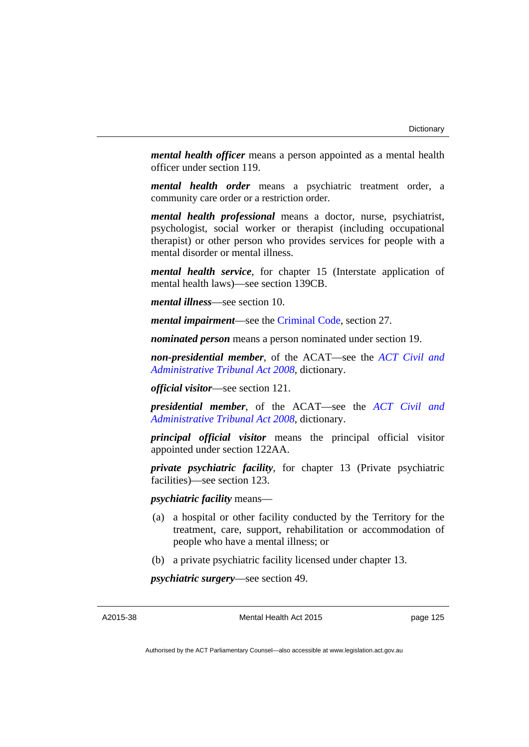*mental health officer* means a person appointed as a mental health officer under section 119.

*mental health order* means a psychiatric treatment order, a community care order or a restriction order.

*mental health professional* means a doctor, nurse, psychiatrist, psychologist, social worker or therapist (including occupational therapist) or other person who provides services for people with a mental disorder or mental illness.

*mental health service*, for chapter 15 (Interstate application of mental health laws)—see section 139CB.

*mental illness*—see section 10.

*mental impairment*—see the [Criminal Code](http://www.legislation.act.gov.au/a/2002-51), section 27.

*nominated person* means a person nominated under section 19.

*non-presidential member*, of the ACAT—see the *[ACT Civil and](http://www.legislation.act.gov.au/a/2008-35)  [Administrative Tribunal Act 2008](http://www.legislation.act.gov.au/a/2008-35)*, dictionary.

*official visitor*—see section 121.

*presidential member*, of the ACAT—see the *[ACT Civil and](http://www.legislation.act.gov.au/a/2008-35)  [Administrative Tribunal Act 2008](http://www.legislation.act.gov.au/a/2008-35)*, dictionary.

*principal official visitor* means the principal official visitor appointed under section 122AA.

*private psychiatric facility*, for chapter 13 (Private psychiatric facilities)—see section 123.

*psychiatric facility* means—

- (a) a hospital or other facility conducted by the Territory for the treatment, care, support, rehabilitation or accommodation of people who have a mental illness; or
- (b) a private psychiatric facility licensed under chapter 13.

*psychiatric surgery*—see section 49.

A2015-38

Mental Health Act 2015

page 125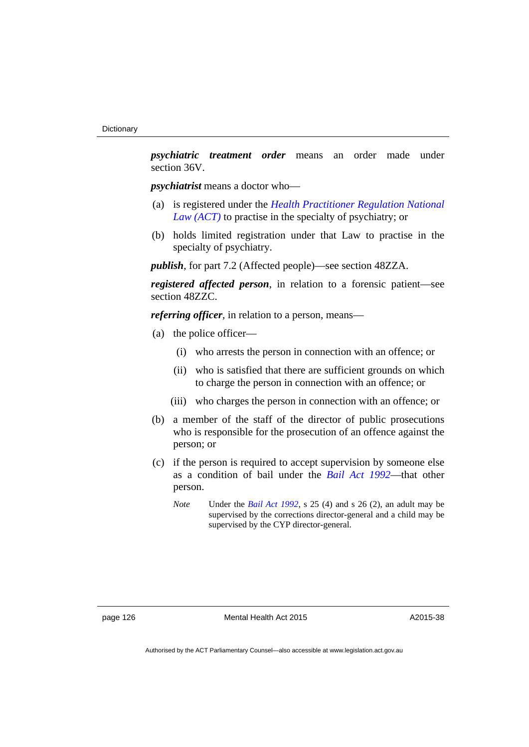*psychiatric treatment order* means an order made under section 36V.

*psychiatrist* means a doctor who—

- (a) is registered under the *[Health Practitioner Regulation National](http://www.legislation.act.gov.au/a/db_39269/default.asp)  [Law \(ACT\)](http://www.legislation.act.gov.au/a/db_39269/default.asp)* to practise in the specialty of psychiatry; or
- (b) holds limited registration under that Law to practise in the specialty of psychiatry.

*publish*, for part 7.2 (Affected people)—see section 48ZZA.

*registered affected person*, in relation to a forensic patient—see section 48ZZC.

*referring officer*, in relation to a person, means—

- (a) the police officer—
	- (i) who arrests the person in connection with an offence; or
	- (ii) who is satisfied that there are sufficient grounds on which to charge the person in connection with an offence; or
	- (iii) who charges the person in connection with an offence; or
- (b) a member of the staff of the director of public prosecutions who is responsible for the prosecution of an offence against the person; or
- (c) if the person is required to accept supervision by someone else as a condition of bail under the *[Bail Act 1992](http://www.legislation.act.gov.au/a/1992-8)*—that other person.
	- *Note* Under the *[Bail Act 1992](http://www.legislation.act.gov.au/a/1992-8)*, s 25 (4) and s 26 (2), an adult may be supervised by the corrections director-general and a child may be supervised by the CYP director-general.

A2015-38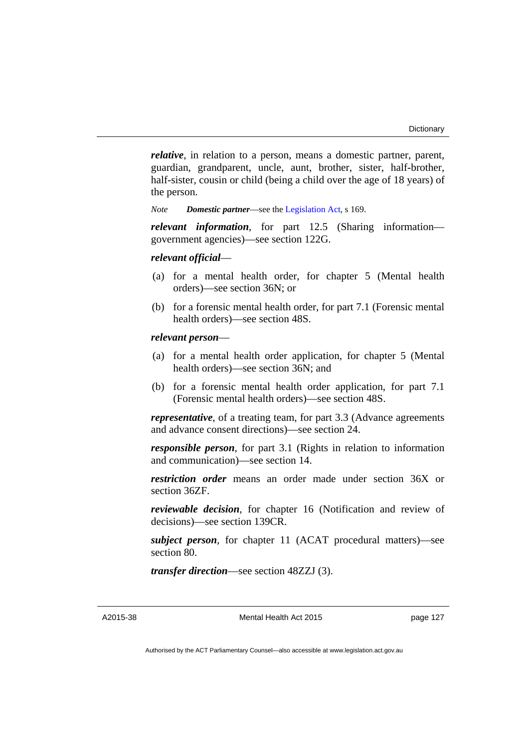*relative*, in relation to a person, means a domestic partner, parent, guardian, grandparent, uncle, aunt, brother, sister, half-brother, half-sister, cousin or child (being a child over the age of 18 years) of the person.

*Note Domestic partner*—see the [Legislation Act](http://www.legislation.act.gov.au/a/2001-14), s 169.

*relevant information*, for part 12.5 (Sharing information government agencies)—see section 122G.

#### *relevant official*—

- (a) for a mental health order, for chapter 5 (Mental health orders)—see section 36N; or
- (b) for a forensic mental health order, for part 7.1 (Forensic mental health orders)—see section 48S.

#### *relevant person*—

- (a) for a mental health order application, for chapter 5 (Mental health orders)—see section 36N; and
- (b) for a forensic mental health order application, for part 7.1 (Forensic mental health orders)—see section 48S.

*representative*, of a treating team, for part 3.3 (Advance agreements and advance consent directions)—see section 24.

*responsible person*, for part 3.1 (Rights in relation to information and communication)—see section 14.

*restriction order* means an order made under section 36X or section 36ZF.

*reviewable decision*, for chapter 16 (Notification and review of decisions)—see section 139CR.

*subject person*, for chapter 11 (ACAT procedural matters)—see section 80.

*transfer direction*—see section 48ZZJ (3).

A2015-38

Mental Health Act 2015

page 127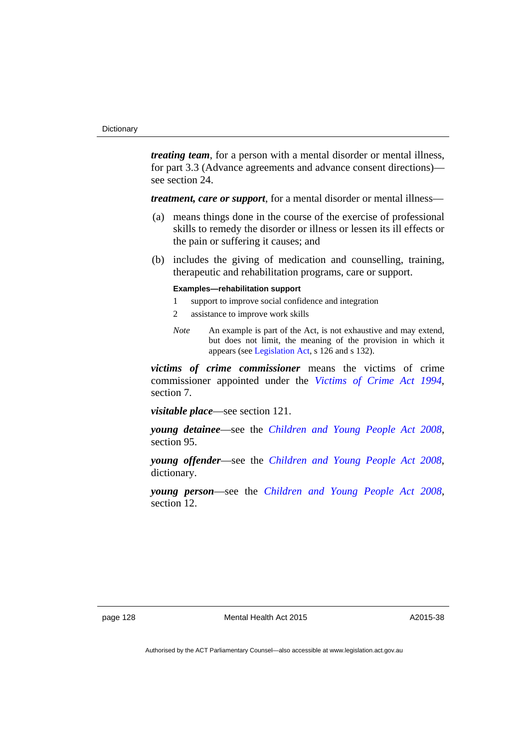*treating team*, for a person with a mental disorder or mental illness, for part 3.3 (Advance agreements and advance consent directions) see section 24.

*treatment, care or support*, for a mental disorder or mental illness—

- (a) means things done in the course of the exercise of professional skills to remedy the disorder or illness or lessen its ill effects or the pain or suffering it causes; and
- (b) includes the giving of medication and counselling, training, therapeutic and rehabilitation programs, care or support.

#### **Examples—rehabilitation support**

- 1 support to improve social confidence and integration
- 2 assistance to improve work skills
- *Note* An example is part of the Act, is not exhaustive and may extend, but does not limit, the meaning of the provision in which it appears (see [Legislation Act,](http://www.legislation.act.gov.au/a/2001-14) s 126 and s 132).

*victims of crime commissioner* means the victims of crime commissioner appointed under the *[Victims of Crime Act 1994](http://www.legislation.act.gov.au/a/1994-83)*, section 7.

*visitable place*—see section 121.

*young detainee*—see the *[Children and Young People Act 2008](http://www.legislation.act.gov.au/a/2008-19)*, section 95.

*young offender*—see the *[Children and Young People Act 2008](http://www.legislation.act.gov.au/a/2008-19)*, dictionary.

*young person*—see the *[Children and Young People Act 2008](http://www.legislation.act.gov.au/a/2008-19)*, section 12.